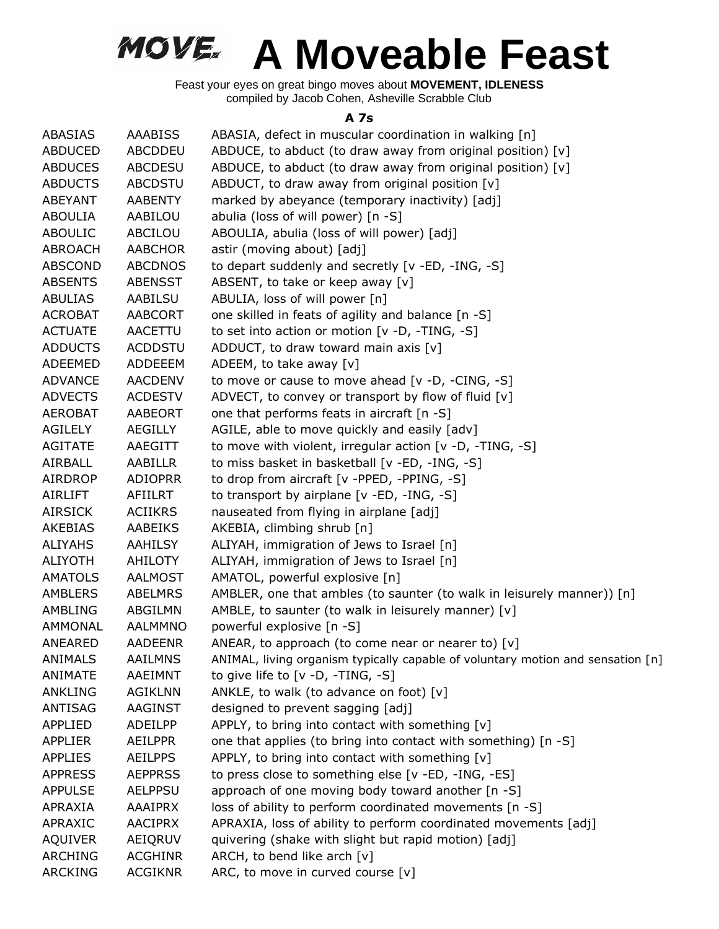Feast your eyes on great bingo moves about **MOVEMENT, IDLENESS** compiled by Jacob Cohen, Asheville Scrabble Club

#### **A 7s**

| ABASIAS        | <b>AAABISS</b> | ABASIA, defect in muscular coordination in walking [n]                          |
|----------------|----------------|---------------------------------------------------------------------------------|
| <b>ABDUCED</b> | <b>ABCDDEU</b> | ABDUCE, to abduct (to draw away from original position) [v]                     |
| <b>ABDUCES</b> | <b>ABCDESU</b> | ABDUCE, to abduct (to draw away from original position) [v]                     |
| <b>ABDUCTS</b> | <b>ABCDSTU</b> | ABDUCT, to draw away from original position [v]                                 |
| ABEYANT        | <b>AABENTY</b> | marked by abeyance (temporary inactivity) [adj]                                 |
| <b>ABOULIA</b> | AABILOU        | abulia (loss of will power) [n -S]                                              |
| <b>ABOULIC</b> | ABCILOU        | ABOULIA, abulia (loss of will power) [adj]                                      |
| ABROACH        | <b>AABCHOR</b> | astir (moving about) [adj]                                                      |
| <b>ABSCOND</b> | <b>ABCDNOS</b> | to depart suddenly and secretly [v -ED, -ING, -S]                               |
| <b>ABSENTS</b> | <b>ABENSST</b> | ABSENT, to take or keep away [v]                                                |
| <b>ABULIAS</b> | AABILSU        | ABULIA, loss of will power [n]                                                  |
| <b>ACROBAT</b> | AABCORT        | one skilled in feats of agility and balance [n -S]                              |
| <b>ACTUATE</b> | AACETTU        | to set into action or motion [v -D, -TING, -S]                                  |
| <b>ADDUCTS</b> | <b>ACDDSTU</b> | ADDUCT, to draw toward main axis $[v]$                                          |
| ADEEMED        | ADDEEEM        | ADEEM, to take away [v]                                                         |
| <b>ADVANCE</b> | <b>AACDENV</b> | to move or cause to move ahead [v -D, -CING, -S]                                |
| <b>ADVECTS</b> | <b>ACDESTV</b> | ADVECT, to convey or transport by flow of fluid [v]                             |
| <b>AEROBAT</b> | <b>AABEORT</b> | one that performs feats in aircraft [n -S]                                      |
| AGILELY        | AEGILLY        | AGILE, able to move quickly and easily [adv]                                    |
| <b>AGITATE</b> | AAEGITT        | to move with violent, irregular action [v -D, -TING, -S]                        |
| AIRBALL        | AABILLR        | to miss basket in basketball [v -ED, -ING, -S]                                  |
| AIRDROP        | <b>ADIOPRR</b> | to drop from aircraft [v -PPED, -PPING, -S]                                     |
| AIRLIFT        | AFIILRT        | to transport by airplane [v -ED, -ING, -S]                                      |
| <b>AIRSICK</b> | <b>ACIIKRS</b> | nauseated from flying in airplane [adj]                                         |
| AKEBIAS        | AABEIKS        | AKEBIA, climbing shrub [n]                                                      |
| <b>ALIYAHS</b> | AAHILSY        | ALIYAH, immigration of Jews to Israel [n]                                       |
| <b>ALIYOTH</b> | AHILOTY        | ALIYAH, immigration of Jews to Israel [n]                                       |
| <b>AMATOLS</b> | AALMOST        | AMATOL, powerful explosive [n]                                                  |
| AMBLERS        | <b>ABELMRS</b> | AMBLER, one that ambles (to saunter (to walk in leisurely manner)) [n]          |
| AMBLING        | ABGILMN        | AMBLE, to saunter (to walk in leisurely manner) [v]                             |
| AMMONAL        | AALMMNO        | powerful explosive [n -S]                                                       |
| ANEARED        | <b>AADEENR</b> | ANEAR, to approach (to come near or nearer to) [v]                              |
| <b>ANIMALS</b> | <b>AAILMNS</b> | ANIMAL, living organism typically capable of voluntary motion and sensation [n] |
| ANIMATE        | AAEIMNT        | to give life to [v -D, -TING, -S]                                               |
| ANKLING        | <b>AGIKLNN</b> | ANKLE, to walk (to advance on foot) [v]                                         |
| <b>ANTISAG</b> | <b>AAGINST</b> | designed to prevent sagging [adj]                                               |
| <b>APPLIED</b> | ADEILPP        | APPLY, to bring into contact with something [v]                                 |
| <b>APPLIER</b> | <b>AEILPPR</b> | one that applies (to bring into contact with something) [n -S]                  |
| <b>APPLIES</b> | <b>AEILPPS</b> | APPLY, to bring into contact with something [v]                                 |
| <b>APPRESS</b> | <b>AEPPRSS</b> | to press close to something else [v -ED, -ING, -ES]                             |
| <b>APPULSE</b> | <b>AELPPSU</b> | approach of one moving body toward another [n -S]                               |
| APRAXIA        | <b>AAAIPRX</b> | loss of ability to perform coordinated movements [n -S]                         |
| APRAXIC        | <b>AACIPRX</b> | APRAXIA, loss of ability to perform coordinated movements [adj]                 |
| <b>AQUIVER</b> | AEIQRUV        | quivering (shake with slight but rapid motion) [adj]                            |
| <b>ARCHING</b> | <b>ACGHINR</b> | ARCH, to bend like arch [v]                                                     |
| <b>ARCKING</b> | <b>ACGIKNR</b> | ARC, to move in curved course [v]                                               |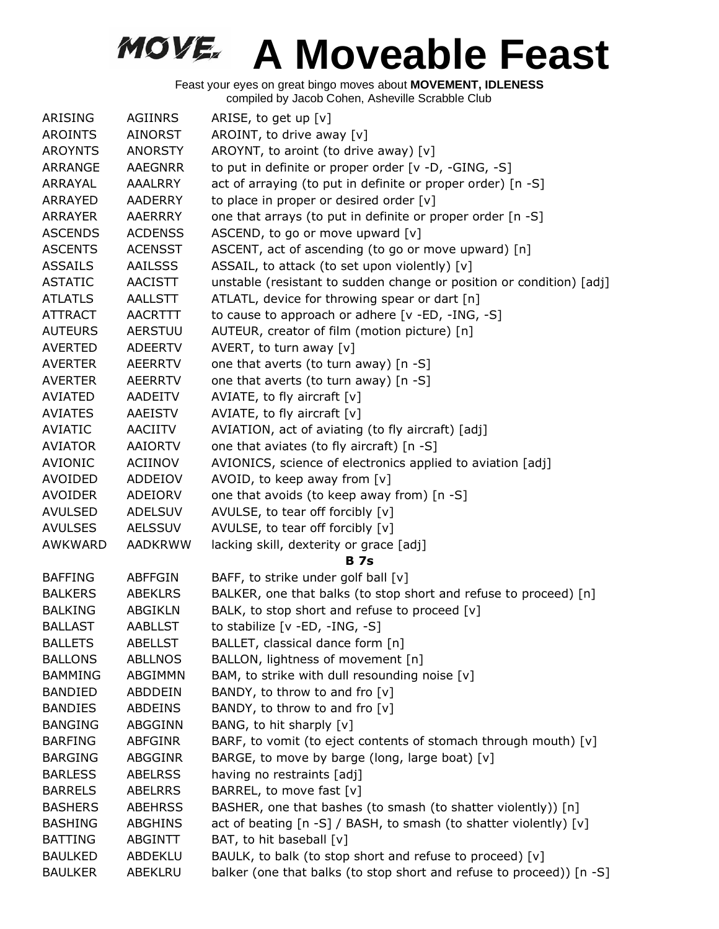| ARISING        | <b>AGIINRS</b> | ARISE, to get up $[v]$                                               |
|----------------|----------------|----------------------------------------------------------------------|
| <b>AROINTS</b> | <b>AINORST</b> | AROINT, to drive away [v]                                            |
| <b>AROYNTS</b> | <b>ANORSTY</b> | AROYNT, to aroint (to drive away) [v]                                |
| ARRANGE        | <b>AAEGNRR</b> | to put in definite or proper order [v -D, -GING, -S]                 |
| ARRAYAL        | <b>AAALRRY</b> | act of arraying (to put in definite or proper order) [n -S]          |
| ARRAYED        | <b>AADERRY</b> | to place in proper or desired order [v]                              |
| <b>ARRAYER</b> | <b>AAERRRY</b> | one that arrays (to put in definite or proper order [n -S]           |
| <b>ASCENDS</b> | <b>ACDENSS</b> | ASCEND, to go or move upward [v]                                     |
| <b>ASCENTS</b> | <b>ACENSST</b> | ASCENT, act of ascending (to go or move upward) [n]                  |
| <b>ASSAILS</b> | <b>AAILSSS</b> | ASSAIL, to attack (to set upon violently) [v]                        |
| <b>ASTATIC</b> | <b>AACISTT</b> | unstable (resistant to sudden change or position or condition) [adj] |
| <b>ATLATLS</b> | AALLSTT        | ATLATL, device for throwing spear or dart [n]                        |
| <b>ATTRACT</b> | <b>AACRTTT</b> | to cause to approach or adhere [v -ED, -ING, -S]                     |
| <b>AUTEURS</b> | <b>AERSTUU</b> | AUTEUR, creator of film (motion picture) [n]                         |
| <b>AVERTED</b> | <b>ADEERTV</b> | AVERT, to turn away $[v]$                                            |
| <b>AVERTER</b> | <b>AEERRTV</b> | one that averts (to turn away) [n -S]                                |
| <b>AVERTER</b> | <b>AEERRTV</b> | one that averts (to turn away) [n -S]                                |
| <b>AVIATED</b> | AADEITV        | AVIATE, to fly aircraft $[v]$                                        |
| <b>AVIATES</b> | AAEISTV        | AVIATE, to fly aircraft [v]                                          |
| <b>AVIATIC</b> | AACIITV        | AVIATION, act of aviating (to fly aircraft) [adj]                    |
| <b>AVIATOR</b> | <b>AAIORTV</b> | one that aviates (to fly aircraft) [n -S]                            |
| <b>AVIONIC</b> | ACIINOV        | AVIONICS, science of electronics applied to aviation [adj]           |
| <b>AVOIDED</b> | ADDEIOV        | AVOID, to keep away from [v]                                         |
| <b>AVOIDER</b> | ADEIORV        | one that avoids (to keep away from) [n -S]                           |
| <b>AVULSED</b> | <b>ADELSUV</b> | AVULSE, to tear off forcibly [v]                                     |
| <b>AVULSES</b> | <b>AELSSUV</b> | AVULSE, to tear off forcibly [v]                                     |
| <b>AWKWARD</b> | <b>AADKRWW</b> | lacking skill, dexterity or grace [adj]                              |
|                |                | <b>B</b> 7s                                                          |
| <b>BAFFING</b> | <b>ABFFGIN</b> | BAFF, to strike under golf ball [v]                                  |
| <b>BALKERS</b> | <b>ABEKLRS</b> | BALKER, one that balks (to stop short and refuse to proceed) [n]     |
| <b>BALKING</b> | ABGIKLN        | BALK, to stop short and refuse to proceed [v]                        |
| <b>BALLAST</b> | <b>AABLLST</b> | to stabilize $[v - ED, -ING, -S]$                                    |
| <b>BALLETS</b> | <b>ABELLST</b> | BALLET, classical dance form [n]                                     |
| <b>BALLONS</b> | <b>ABLLNOS</b> | BALLON, lightness of movement [n]                                    |
| <b>BAMMING</b> | ABGIMMN        | BAM, to strike with dull resounding noise [v]                        |
| <b>BANDIED</b> | <b>ABDDEIN</b> | BANDY, to throw to and fro [v]                                       |
| <b>BANDIES</b> | <b>ABDEINS</b> | BANDY, to throw to and fro $[v]$                                     |
| <b>BANGING</b> | ABGGINN        | BANG, to hit sharply [v]                                             |
| <b>BARFING</b> | ABFGINR        | BARF, to vomit (to eject contents of stomach through mouth) [v]      |
| <b>BARGING</b> | <b>ABGGINR</b> | BARGE, to move by barge (long, large boat) [v]                       |
| <b>BARLESS</b> | <b>ABELRSS</b> | having no restraints [adj]                                           |
| <b>BARRELS</b> | <b>ABELRRS</b> | BARREL, to move fast [v]                                             |
| <b>BASHERS</b> | <b>ABEHRSS</b> | BASHER, one that bashes (to smash (to shatter violently)) [n]        |
| <b>BASHING</b> | <b>ABGHINS</b> | act of beating [n -S] / BASH, to smash (to shatter violently) [v]    |
| <b>BATTING</b> | ABGINTT        | BAT, to hit baseball [v]                                             |
| <b>BAULKED</b> | ABDEKLU        | BAULK, to balk (to stop short and refuse to proceed) [v]             |
| <b>BAULKER</b> | ABEKLRU        | balker (one that balks (to stop short and refuse to proceed)) [n -S] |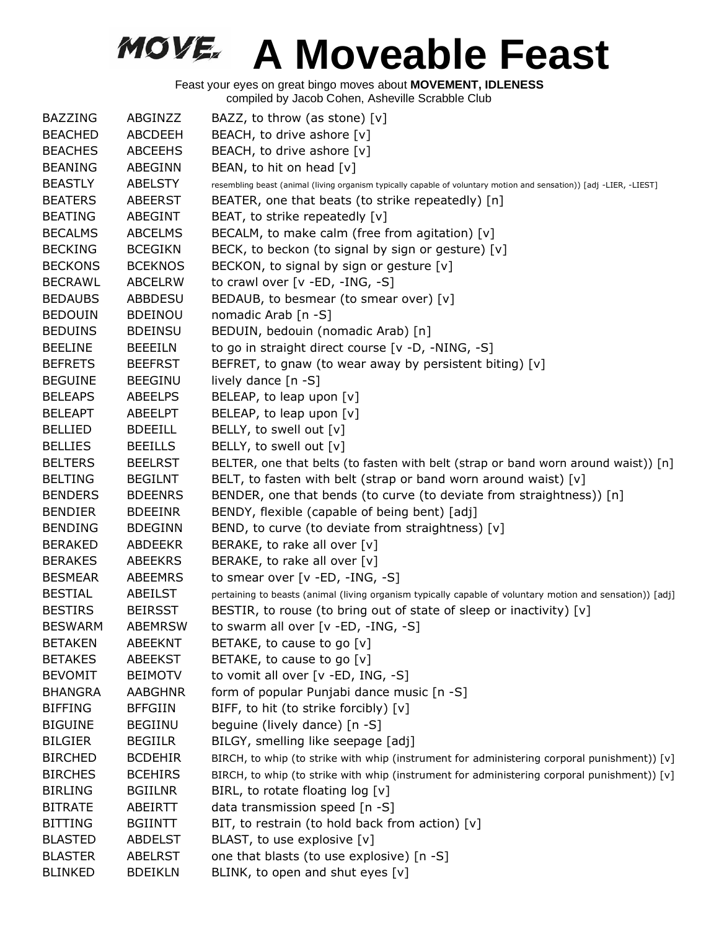| <b>BAZZING</b> | ABGINZZ        | BAZZ, to throw (as stone) $[v]$                                                                                     |
|----------------|----------------|---------------------------------------------------------------------------------------------------------------------|
| <b>BEACHED</b> | <b>ABCDEEH</b> | BEACH, to drive ashore [v]                                                                                          |
| <b>BEACHES</b> | <b>ABCEEHS</b> | BEACH, to drive ashore [v]                                                                                          |
| <b>BEANING</b> | ABEGINN        | BEAN, to hit on head [v]                                                                                            |
| <b>BEASTLY</b> | <b>ABELSTY</b> | resembling beast (animal (living organism typically capable of voluntary motion and sensation)) [adj -LIER, -LIEST] |
| <b>BEATERS</b> | <b>ABEERST</b> | BEATER, one that beats (to strike repeatedly) [n]                                                                   |
| <b>BEATING</b> | ABEGINT        | BEAT, to strike repeatedly [v]                                                                                      |
| <b>BECALMS</b> | <b>ABCELMS</b> | BECALM, to make calm (free from agitation) [v]                                                                      |
| <b>BECKING</b> | <b>BCEGIKN</b> | BECK, to beckon (to signal by sign or gesture) [v]                                                                  |
| <b>BECKONS</b> | <b>BCEKNOS</b> | BECKON, to signal by sign or gesture [v]                                                                            |
| <b>BECRAWL</b> | <b>ABCELRW</b> | to crawl over [v -ED, -ING, -S]                                                                                     |
| <b>BEDAUBS</b> | <b>ABBDESU</b> | BEDAUB, to besmear (to smear over) [v]                                                                              |
| <b>BEDOUIN</b> | <b>BDEINOU</b> | nomadic Arab [n -S]                                                                                                 |
| <b>BEDUINS</b> | <b>BDEINSU</b> | BEDUIN, bedouin (nomadic Arab) [n]                                                                                  |
| <b>BEELINE</b> | <b>BEEEILN</b> | to go in straight direct course [v -D, -NING, -S]                                                                   |
| <b>BEFRETS</b> | <b>BEEFRST</b> | BEFRET, to gnaw (to wear away by persistent biting) [v]                                                             |
| <b>BEGUINE</b> | <b>BEEGINU</b> | lively dance [n -S]                                                                                                 |
| <b>BELEAPS</b> | <b>ABEELPS</b> | BELEAP, to leap upon [v]                                                                                            |
| <b>BELEAPT</b> | ABEELPT        | BELEAP, to leap upon [v]                                                                                            |
| <b>BELLIED</b> | <b>BDEEILL</b> | BELLY, to swell out [v]                                                                                             |
| <b>BELLIES</b> | <b>BEEILLS</b> | BELLY, to swell out [v]                                                                                             |
| <b>BELTERS</b> | <b>BEELRST</b> | BELTER, one that belts (to fasten with belt (strap or band worn around waist)) [n]                                  |
| <b>BELTING</b> | <b>BEGILNT</b> | BELT, to fasten with belt (strap or band worn around waist) [v]                                                     |
| <b>BENDERS</b> | <b>BDEENRS</b> | BENDER, one that bends (to curve (to deviate from straightness)) [n]                                                |
| <b>BENDIER</b> | <b>BDEEINR</b> | BENDY, flexible (capable of being bent) [adj]                                                                       |
| <b>BENDING</b> | <b>BDEGINN</b> | BEND, to curve (to deviate from straightness) [v]                                                                   |
| <b>BERAKED</b> | <b>ABDEEKR</b> | BERAKE, to rake all over [v]                                                                                        |
| <b>BERAKES</b> | <b>ABEEKRS</b> | BERAKE, to rake all over [v]                                                                                        |
| <b>BESMEAR</b> | ABEEMRS        | to smear over $[v - ED, -ING, -S]$                                                                                  |
| <b>BESTIAL</b> | <b>ABEILST</b> | pertaining to beasts (animal (living organism typically capable of voluntary motion and sensation)) [adj]           |
| <b>BESTIRS</b> | <b>BEIRSST</b> | BESTIR, to rouse (to bring out of state of sleep or inactivity) [v]                                                 |
| <b>BESWARM</b> | <b>ABEMRSW</b> | to swarm all over [v -ED, -ING, -S]                                                                                 |
| <b>BETAKEN</b> | <b>ABEEKNT</b> | BETAKE, to cause to go [v]                                                                                          |
| <b>BETAKES</b> | <b>ABEEKST</b> | BETAKE, to cause to go [v]                                                                                          |
| <b>BEVOMIT</b> | <b>BEIMOTV</b> | to vomit all over [v -ED, ING, -S]                                                                                  |
| <b>BHANGRA</b> | <b>AABGHNR</b> | form of popular Punjabi dance music [n -S]                                                                          |
| <b>BIFFING</b> | <b>BFFGIIN</b> | BIFF, to hit (to strike forcibly) [v]                                                                               |
| <b>BIGUINE</b> | <b>BEGIINU</b> | beguine (lively dance) [n -S]                                                                                       |
| <b>BILGIER</b> | <b>BEGIILR</b> | BILGY, smelling like seepage [adj]                                                                                  |
| <b>BIRCHED</b> | <b>BCDEHIR</b> | BIRCH, to whip (to strike with whip (instrument for administering corporal punishment)) [v]                         |
| <b>BIRCHES</b> | <b>BCEHIRS</b> | BIRCH, to whip (to strike with whip (instrument for administering corporal punishment)) [v]                         |
| <b>BIRLING</b> | <b>BGIILNR</b> | BIRL, to rotate floating $log [v]$                                                                                  |
| <b>BITRATE</b> | <b>ABEIRTT</b> | data transmission speed [n -S]                                                                                      |
| <b>BITTING</b> | <b>BGIINTT</b> | BIT, to restrain (to hold back from action) [v]                                                                     |
| <b>BLASTED</b> | <b>ABDELST</b> | BLAST, to use explosive [v]                                                                                         |
| <b>BLASTER</b> | <b>ABELRST</b> | one that blasts (to use explosive) [n -S]                                                                           |
| <b>BLINKED</b> | <b>BDEIKLN</b> | BLINK, to open and shut eyes [v]                                                                                    |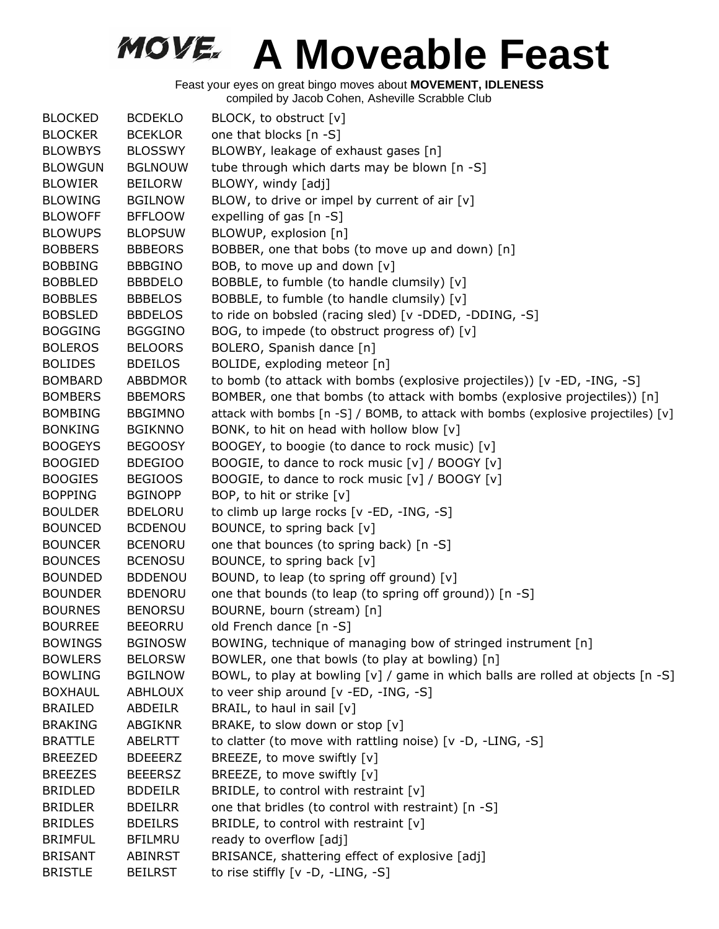| <b>BLOCKED</b> | <b>BCDEKLO</b> | BLOCK, to obstruct [v]                                                              |
|----------------|----------------|-------------------------------------------------------------------------------------|
| <b>BLOCKER</b> | <b>BCEKLOR</b> | one that blocks [n -S]                                                              |
| <b>BLOWBYS</b> | <b>BLOSSWY</b> | BLOWBY, leakage of exhaust gases [n]                                                |
| <b>BLOWGUN</b> | <b>BGLNOUW</b> | tube through which darts may be blown [n -S]                                        |
| <b>BLOWIER</b> | <b>BEILORW</b> | BLOWY, windy [adj]                                                                  |
| <b>BLOWING</b> | <b>BGILNOW</b> | BLOW, to drive or impel by current of air [v]                                       |
| <b>BLOWOFF</b> | <b>BFFLOOW</b> | expelling of gas [n -S]                                                             |
| <b>BLOWUPS</b> | <b>BLOPSUW</b> | BLOWUP, explosion [n]                                                               |
| <b>BOBBERS</b> | <b>BBBEORS</b> | BOBBER, one that bobs (to move up and down) [n]                                     |
| <b>BOBBING</b> | <b>BBBGINO</b> | BOB, to move up and down $[v]$                                                      |
| <b>BOBBLED</b> | <b>BBBDELO</b> | BOBBLE, to fumble (to handle clumsily) [v]                                          |
| <b>BOBBLES</b> | <b>BBBELOS</b> | BOBBLE, to fumble (to handle clumsily) [v]                                          |
| <b>BOBSLED</b> | <b>BBDELOS</b> | to ride on bobsled (racing sled) [v -DDED, -DDING, -S]                              |
| <b>BOGGING</b> | <b>BGGGINO</b> | BOG, to impede (to obstruct progress of) [v]                                        |
| <b>BOLEROS</b> | <b>BELOORS</b> | BOLERO, Spanish dance [n]                                                           |
| <b>BOLIDES</b> | <b>BDEILOS</b> | BOLIDE, exploding meteor [n]                                                        |
| <b>BOMBARD</b> | <b>ABBDMOR</b> | to bomb (to attack with bombs (explosive projectiles)) [v -ED, -ING, -S]            |
| <b>BOMBERS</b> | <b>BBEMORS</b> | BOMBER, one that bombs (to attack with bombs (explosive projectiles)) [n]           |
| <b>BOMBING</b> | <b>BBGIMNO</b> | attack with bombs [n -S] / BOMB, to attack with bombs (explosive projectiles) [v]   |
| <b>BONKING</b> | <b>BGIKNNO</b> | BONK, to hit on head with hollow blow [v]                                           |
| <b>BOOGEYS</b> | <b>BEGOOSY</b> | BOOGEY, to boogie (to dance to rock music) [v]                                      |
| <b>BOOGIED</b> | <b>BDEGIOO</b> | BOOGIE, to dance to rock music [v] / BOOGY [v]                                      |
| <b>BOOGIES</b> | <b>BEGIOOS</b> | BOOGIE, to dance to rock music [v] / BOOGY [v]                                      |
| <b>BOPPING</b> | <b>BGINOPP</b> | BOP, to hit or strike [v]                                                           |
| <b>BOULDER</b> | <b>BDELORU</b> | to climb up large rocks [v -ED, -ING, -S]                                           |
| <b>BOUNCED</b> | <b>BCDENOU</b> | BOUNCE, to spring back [v]                                                          |
| <b>BOUNCER</b> | <b>BCENORU</b> | one that bounces (to spring back) [n -S]                                            |
| <b>BOUNCES</b> | <b>BCENOSU</b> | BOUNCE, to spring back [v]                                                          |
| <b>BOUNDED</b> | <b>BDDENOU</b> | BOUND, to leap (to spring off ground) [v]                                           |
| <b>BOUNDER</b> | <b>BDENORU</b> | one that bounds (to leap (to spring off ground)) [n -S]                             |
| <b>BOURNES</b> | <b>BENORSU</b> | BOURNE, bourn (stream) [n]                                                          |
| <b>BOURREE</b> | <b>BEEORRU</b> | old French dance [n -S]                                                             |
| <b>BOWINGS</b> | <b>BGINOSW</b> | BOWING, technique of managing bow of stringed instrument [n]                        |
| <b>BOWLERS</b> | <b>BELORSW</b> | BOWLER, one that bowls (to play at bowling) [n]                                     |
| <b>BOWLING</b> | <b>BGILNOW</b> | BOWL, to play at bowling $[v]$ / game in which balls are rolled at objects $[n -S]$ |
| <b>BOXHAUL</b> | <b>ABHLOUX</b> | to veer ship around $[v - ED, -ING, -S]$                                            |
| <b>BRAILED</b> | ABDEILR        | BRAIL, to haul in sail [v]                                                          |
| <b>BRAKING</b> | <b>ABGIKNR</b> | BRAKE, to slow down or stop [v]                                                     |
| <b>BRATTLE</b> | ABELRTT        | to clatter (to move with rattling noise) [v -D, -LING, -S]                          |
| <b>BREEZED</b> | <b>BDEEERZ</b> | BREEZE, to move swiftly [v]                                                         |
| <b>BREEZES</b> | <b>BEEERSZ</b> | BREEZE, to move swiftly [v]                                                         |
| <b>BRIDLED</b> | <b>BDDEILR</b> | BRIDLE, to control with restraint $[v]$                                             |
| <b>BRIDLER</b> | <b>BDEILRR</b> | one that bridles (to control with restraint) [n -S]                                 |
| <b>BRIDLES</b> | <b>BDEILRS</b> | BRIDLE, to control with restraint $[v]$                                             |
| <b>BRIMFUL</b> | <b>BFILMRU</b> | ready to overflow [adj]                                                             |
| <b>BRISANT</b> | ABINRST        | BRISANCE, shattering effect of explosive [adj]                                      |
| <b>BRISTLE</b> | <b>BEILRST</b> | to rise stiffly [v -D, -LING, -S]                                                   |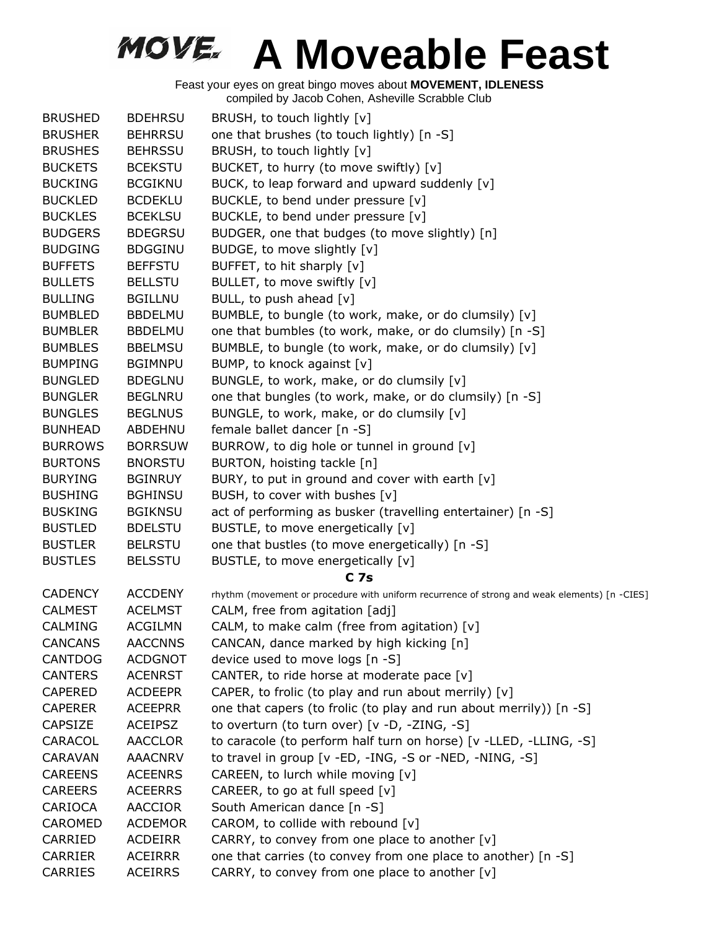| <b>BRUSHED</b> | <b>BDEHRSU</b> | BRUSH, to touch lightly [v]                                                                  |
|----------------|----------------|----------------------------------------------------------------------------------------------|
| <b>BRUSHER</b> | <b>BEHRRSU</b> | one that brushes (to touch lightly) [n -S]                                                   |
| <b>BRUSHES</b> | <b>BEHRSSU</b> | BRUSH, to touch lightly [v]                                                                  |
| <b>BUCKETS</b> | <b>BCEKSTU</b> | BUCKET, to hurry (to move swiftly) [v]                                                       |
| <b>BUCKING</b> | <b>BCGIKNU</b> | BUCK, to leap forward and upward suddenly [v]                                                |
| <b>BUCKLED</b> | <b>BCDEKLU</b> | BUCKLE, to bend under pressure [v]                                                           |
| <b>BUCKLES</b> | <b>BCEKLSU</b> | BUCKLE, to bend under pressure [v]                                                           |
| <b>BUDGERS</b> | <b>BDEGRSU</b> | BUDGER, one that budges (to move slightly) [n]                                               |
| <b>BUDGING</b> | <b>BDGGINU</b> | BUDGE, to move slightly [v]                                                                  |
| <b>BUFFETS</b> | <b>BEFFSTU</b> | BUFFET, to hit sharply [v]                                                                   |
| <b>BULLETS</b> | <b>BELLSTU</b> | BULLET, to move swiftly [v]                                                                  |
| <b>BULLING</b> | <b>BGILLNU</b> | BULL, to push ahead [v]                                                                      |
| <b>BUMBLED</b> | <b>BBDELMU</b> | BUMBLE, to bungle (to work, make, or do clumsily) [v]                                        |
| <b>BUMBLER</b> | <b>BBDELMU</b> | one that bumbles (to work, make, or do clumsily) [n -S]                                      |
| <b>BUMBLES</b> | <b>BBELMSU</b> | BUMBLE, to bungle (to work, make, or do clumsily) [v]                                        |
| <b>BUMPING</b> | <b>BGIMNPU</b> | BUMP, to knock against [v]                                                                   |
| <b>BUNGLED</b> | <b>BDEGLNU</b> | BUNGLE, to work, make, or do clumsily [v]                                                    |
| <b>BUNGLER</b> | <b>BEGLNRU</b> | one that bungles (to work, make, or do clumsily) [n -S]                                      |
| <b>BUNGLES</b> | <b>BEGLNUS</b> | BUNGLE, to work, make, or do clumsily [v]                                                    |
| <b>BUNHEAD</b> | ABDEHNU        | female ballet dancer [n -S]                                                                  |
| <b>BURROWS</b> | <b>BORRSUW</b> | BURROW, to dig hole or tunnel in ground [v]                                                  |
| <b>BURTONS</b> | <b>BNORSTU</b> | BURTON, hoisting tackle [n]                                                                  |
| <b>BURYING</b> | <b>BGINRUY</b> | BURY, to put in ground and cover with earth [v]                                              |
| <b>BUSHING</b> | <b>BGHINSU</b> | BUSH, to cover with bushes [v]                                                               |
| <b>BUSKING</b> | <b>BGIKNSU</b> | act of performing as busker (travelling entertainer) [n -S]                                  |
| <b>BUSTLED</b> | <b>BDELSTU</b> | BUSTLE, to move energetically [v]                                                            |
| <b>BUSTLER</b> | <b>BELRSTU</b> | one that bustles (to move energetically) [n -S]                                              |
| <b>BUSTLES</b> | <b>BELSSTU</b> | BUSTLE, to move energetically [v]                                                            |
|                |                | <b>C</b> 7s                                                                                  |
| <b>CADENCY</b> | <b>ACCDENY</b> | rhythm (movement or procedure with uniform recurrence of strong and weak elements) [n -CIES] |
| <b>CALMEST</b> | <b>ACELMST</b> | CALM, free from agitation [adj]                                                              |
| <b>CALMING</b> | <b>ACGILMN</b> | CALM, to make calm (free from agitation) [v]                                                 |
| <b>CANCANS</b> | <b>AACCNNS</b> | CANCAN, dance marked by high kicking [n]                                                     |
| CANTDOG        | <b>ACDGNOT</b> | device used to move logs [n -S]                                                              |
| <b>CANTERS</b> | <b>ACENRST</b> | CANTER, to ride horse at moderate pace [v]                                                   |
| <b>CAPERED</b> | <b>ACDEEPR</b> | CAPER, to frolic (to play and run about merrily) $[v]$                                       |
| <b>CAPERER</b> | <b>ACEEPRR</b> | one that capers (to frolic (to play and run about merrily)) [n -S]                           |
| <b>CAPSIZE</b> | <b>ACEIPSZ</b> | to overturn (to turn over) [v -D, -ZING, -S]                                                 |
| CARACOL        | <b>AACCLOR</b> | to caracole (to perform half turn on horse) [v -LLED, -LLING, -S]                            |
| <b>CARAVAN</b> | <b>AAACNRV</b> | to travel in group [v -ED, -ING, -S or -NED, -NING, -S]                                      |
| <b>CAREENS</b> | <b>ACEENRS</b> | CAREEN, to lurch while moving [v]                                                            |
| <b>CAREERS</b> | <b>ACEERRS</b> | CAREER, to go at full speed [v]                                                              |
| CARIOCA        | <b>AACCIOR</b> | South American dance [n -S]                                                                  |
| CAROMED        | <b>ACDEMOR</b> | CAROM, to collide with rebound [v]                                                           |
| CARRIED        | <b>ACDEIRR</b> | CARRY, to convey from one place to another [v]                                               |
| <b>CARRIER</b> | <b>ACEIRRR</b> | one that carries (to convey from one place to another) [n -S]                                |
| CARRIES        | <b>ACEIRRS</b> | CARRY, to convey from one place to another [v]                                               |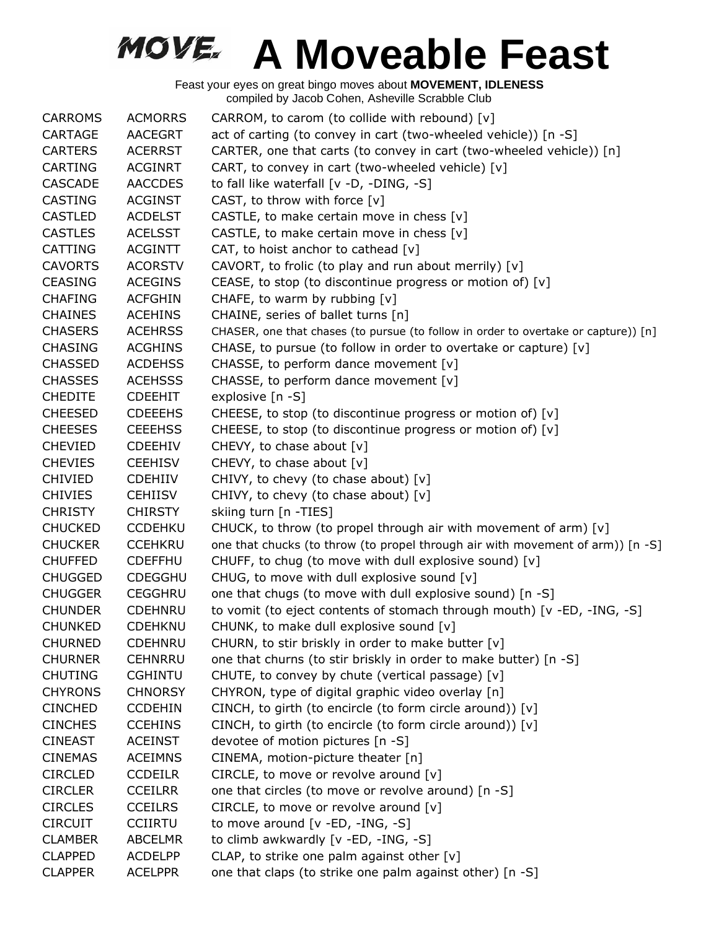| <b>CARROMS</b> | <b>ACMORRS</b> | CARROM, to carom (to collide with rebound) [v]                                      |
|----------------|----------------|-------------------------------------------------------------------------------------|
| CARTAGE        | AACEGRT        | act of carting (to convey in cart (two-wheeled vehicle)) [n -S]                     |
| <b>CARTERS</b> | <b>ACERRST</b> | CARTER, one that carts (to convey in cart (two-wheeled vehicle)) [n]                |
| <b>CARTING</b> | <b>ACGINRT</b> | CART, to convey in cart (two-wheeled vehicle) [v]                                   |
| <b>CASCADE</b> | <b>AACCDES</b> | to fall like waterfall [v -D, -DING, -S]                                            |
| <b>CASTING</b> | <b>ACGINST</b> | CAST, to throw with force $[v]$                                                     |
| <b>CASTLED</b> | <b>ACDELST</b> | CASTLE, to make certain move in chess $[v]$                                         |
| <b>CASTLES</b> | <b>ACELSST</b> | CASTLE, to make certain move in chess $[v]$                                         |
| CATTING        | <b>ACGINTT</b> | CAT, to hoist anchor to cathead $[v]$                                               |
| <b>CAVORTS</b> | <b>ACORSTV</b> | CAVORT, to frolic (to play and run about merrily) [v]                               |
| <b>CEASING</b> | <b>ACEGINS</b> | CEASE, to stop (to discontinue progress or motion of) [v]                           |
| <b>CHAFING</b> | <b>ACFGHIN</b> | CHAFE, to warm by rubbing [v]                                                       |
| <b>CHAINES</b> | <b>ACEHINS</b> | CHAINE, series of ballet turns [n]                                                  |
| <b>CHASERS</b> | <b>ACEHRSS</b> | CHASER, one that chases (to pursue (to follow in order to overtake or capture)) [n] |
| <b>CHASING</b> | <b>ACGHINS</b> | CHASE, to pursue (to follow in order to overtake or capture) [v]                    |
| <b>CHASSED</b> | <b>ACDEHSS</b> | CHASSE, to perform dance movement [v]                                               |
| <b>CHASSES</b> | <b>ACEHSSS</b> | CHASSE, to perform dance movement [v]                                               |
| <b>CHEDITE</b> | <b>CDEEHIT</b> | explosive [n -S]                                                                    |
| <b>CHEESED</b> | <b>CDEEEHS</b> | CHEESE, to stop (to discontinue progress or motion of) [v]                          |
| <b>CHEESES</b> | <b>CEEEHSS</b> | CHEESE, to stop (to discontinue progress or motion of) [v]                          |
| <b>CHEVIED</b> | <b>CDEEHIV</b> | CHEVY, to chase about [v]                                                           |
| <b>CHEVIES</b> | <b>CEEHISV</b> | CHEVY, to chase about [v]                                                           |
| <b>CHIVIED</b> | <b>CDEHIIV</b> | CHIVY, to chevy (to chase about) [v]                                                |
| <b>CHIVIES</b> | <b>CEHIISV</b> | CHIVY, to chevy (to chase about) [v]                                                |
| <b>CHRISTY</b> | <b>CHIRSTY</b> | skiing turn [n -TIES]                                                               |
| <b>CHUCKED</b> | <b>CCDEHKU</b> | CHUCK, to throw (to propel through air with movement of arm) [v]                    |
| <b>CHUCKER</b> | <b>CCEHKRU</b> | one that chucks (to throw (to propel through air with movement of arm)) [n -S]      |
| <b>CHUFFED</b> | <b>CDEFFHU</b> | CHUFF, to chug (to move with dull explosive sound) [v]                              |
| <b>CHUGGED</b> | <b>CDEGGHU</b> | CHUG, to move with dull explosive sound [v]                                         |
| <b>CHUGGER</b> | <b>CEGGHRU</b> | one that chugs (to move with dull explosive sound) [n -S]                           |
| <b>CHUNDER</b> | <b>CDEHNRU</b> | to vomit (to eject contents of stomach through mouth) [v -ED, -ING, -S]             |
| <b>CHUNKED</b> | <b>CDEHKNU</b> | CHUNK, to make dull explosive sound [v]                                             |
| <b>CHURNED</b> | <b>CDEHNRU</b> | CHURN, to stir briskly in order to make butter [v]                                  |
| <b>CHURNER</b> | <b>CEHNRRU</b> | one that churns (to stir briskly in order to make butter) [n -S]                    |
| <b>CHUTING</b> | <b>CGHINTU</b> | CHUTE, to convey by chute (vertical passage) [v]                                    |
| <b>CHYRONS</b> | <b>CHNORSY</b> | CHYRON, type of digital graphic video overlay [n]                                   |
| <b>CINCHED</b> | <b>CCDEHIN</b> | CINCH, to girth (to encircle (to form circle around)) [v]                           |
| <b>CINCHES</b> | <b>CCEHINS</b> | CINCH, to girth (to encircle (to form circle around)) [v]                           |
| <b>CINEAST</b> | <b>ACEINST</b> | devotee of motion pictures [n -S]                                                   |
| <b>CINEMAS</b> | <b>ACEIMNS</b> | CINEMA, motion-picture theater [n]                                                  |
| <b>CIRCLED</b> | <b>CCDEILR</b> | CIRCLE, to move or revolve around [v]                                               |
| <b>CIRCLER</b> | <b>CCEILRR</b> | one that circles (to move or revolve around) [n -S]                                 |
| <b>CIRCLES</b> | <b>CCEILRS</b> | CIRCLE, to move or revolve around $[v]$                                             |
| <b>CIRCUIT</b> | <b>CCIIRTU</b> | to move around [v -ED, -ING, -S]                                                    |
| <b>CLAMBER</b> | <b>ABCELMR</b> | to climb awkwardly [v -ED, -ING, -S]                                                |
| <b>CLAPPED</b> | <b>ACDELPP</b> | CLAP, to strike one palm against other [v]                                          |
| <b>CLAPPER</b> | <b>ACELPPR</b> | one that claps (to strike one palm against other) [n -S]                            |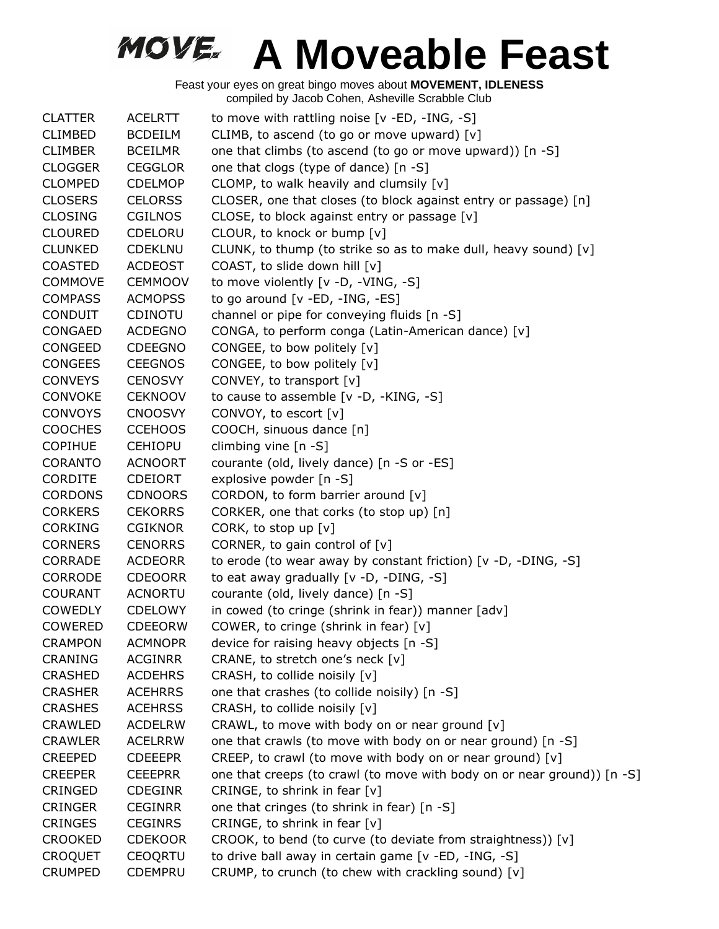| <b>CLATTER</b> | <b>ACELRTT</b> | to move with rattling noise [v -ED, -ING, -S]                           |
|----------------|----------------|-------------------------------------------------------------------------|
| <b>CLIMBED</b> | <b>BCDEILM</b> | CLIMB, to ascend (to go or move upward) [v]                             |
| <b>CLIMBER</b> | <b>BCEILMR</b> | one that climbs (to ascend (to go or move upward)) [n -S]               |
| <b>CLOGGER</b> | <b>CEGGLOR</b> | one that clogs (type of dance) [n -S]                                   |
| <b>CLOMPED</b> | <b>CDELMOP</b> | CLOMP, to walk heavily and clumsily [v]                                 |
| <b>CLOSERS</b> | <b>CELORSS</b> | CLOSER, one that closes (to block against entry or passage) [n]         |
| <b>CLOSING</b> | <b>CGILNOS</b> | CLOSE, to block against entry or passage [v]                            |
| <b>CLOURED</b> | <b>CDELORU</b> | CLOUR, to knock or bump [v]                                             |
| <b>CLUNKED</b> | <b>CDEKLNU</b> | CLUNK, to thump (to strike so as to make dull, heavy sound) [v]         |
| <b>COASTED</b> | <b>ACDEOST</b> | COAST, to slide down hill [v]                                           |
| <b>COMMOVE</b> | <b>CEMMOOV</b> | to move violently [v -D, -VING, -S]                                     |
| <b>COMPASS</b> | <b>ACMOPSS</b> | to go around [v -ED, -ING, -ES]                                         |
| <b>CONDUIT</b> | <b>CDINOTU</b> | channel or pipe for conveying fluids [n -S]                             |
| CONGAED        | <b>ACDEGNO</b> | CONGA, to perform conga (Latin-American dance) [v]                      |
| CONGEED        | <b>CDEEGNO</b> | CONGEE, to bow politely [v]                                             |
| <b>CONGEES</b> | <b>CEEGNOS</b> | CONGEE, to bow politely [v]                                             |
| <b>CONVEYS</b> | <b>CENOSVY</b> | CONVEY, to transport [v]                                                |
| <b>CONVOKE</b> | <b>CEKNOOV</b> | to cause to assemble [v -D, -KING, -S]                                  |
| <b>CONVOYS</b> | <b>CNOOSVY</b> | CONVOY, to escort [v]                                                   |
| <b>COOCHES</b> | <b>CCEHOOS</b> | COOCH, sinuous dance [n]                                                |
| <b>COPIHUE</b> | <b>CEHIOPU</b> | climbing vine $[n - S]$                                                 |
| <b>CORANTO</b> | <b>ACNOORT</b> | courante (old, lively dance) [n -S or -ES]                              |
| <b>CORDITE</b> | <b>CDEIORT</b> | explosive powder [n -S]                                                 |
| <b>CORDONS</b> | <b>CDNOORS</b> | CORDON, to form barrier around [v]                                      |
| <b>CORKERS</b> | <b>CEKORRS</b> | CORKER, one that corks (to stop up) [n]                                 |
| <b>CORKING</b> | <b>CGIKNOR</b> | CORK, to stop up [v]                                                    |
| <b>CORNERS</b> | <b>CENORRS</b> | CORNER, to gain control of $[v]$                                        |
| <b>CORRADE</b> | <b>ACDEORR</b> | to erode (to wear away by constant friction) [v -D, -DING, -S]          |
| <b>CORRODE</b> | <b>CDEOORR</b> | to eat away gradually [v -D, -DING, -S]                                 |
| <b>COURANT</b> | <b>ACNORTU</b> | courante (old, lively dance) [n -S]                                     |
| <b>COWEDLY</b> | <b>CDELOWY</b> | in cowed (to cringe (shrink in fear)) manner [adv]                      |
| <b>COWERED</b> | <b>CDEEORW</b> | COWER, to cringe (shrink in fear) [v]                                   |
| <b>CRAMPON</b> | <b>ACMNOPR</b> | device for raising heavy objects [n -S]                                 |
| <b>CRANING</b> | <b>ACGINRR</b> | CRANE, to stretch one's neck [v]                                        |
| <b>CRASHED</b> | <b>ACDEHRS</b> | CRASH, to collide noisily [v]                                           |
| <b>CRASHER</b> | <b>ACEHRRS</b> | one that crashes (to collide noisily) [n -S]                            |
| <b>CRASHES</b> | <b>ACEHRSS</b> | CRASH, to collide noisily [v]                                           |
| <b>CRAWLED</b> | <b>ACDELRW</b> | CRAWL, to move with body on or near ground [v]                          |
| <b>CRAWLER</b> | <b>ACELRRW</b> | one that crawls (to move with body on or near ground) [n -S]            |
| <b>CREEPED</b> | <b>CDEEEPR</b> | CREEP, to crawl (to move with body on or near ground) [v]               |
| <b>CREEPER</b> | <b>CEEEPRR</b> | one that creeps (to crawl (to move with body on or near ground)) [n -S] |
| CRINGED        | <b>CDEGINR</b> | CRINGE, to shrink in fear [v]                                           |
| <b>CRINGER</b> | <b>CEGINRR</b> | one that cringes (to shrink in fear) [n -S]                             |
| <b>CRINGES</b> | <b>CEGINRS</b> | CRINGE, to shrink in fear [v]                                           |
| <b>CROOKED</b> | <b>CDEKOOR</b> | CROOK, to bend (to curve (to deviate from straightness)) [v]            |
| <b>CROQUET</b> | <b>CEOQRTU</b> | to drive ball away in certain game [v -ED, -ING, -S]                    |
| <b>CRUMPED</b> | <b>CDEMPRU</b> | CRUMP, to crunch (to chew with crackling sound) [v]                     |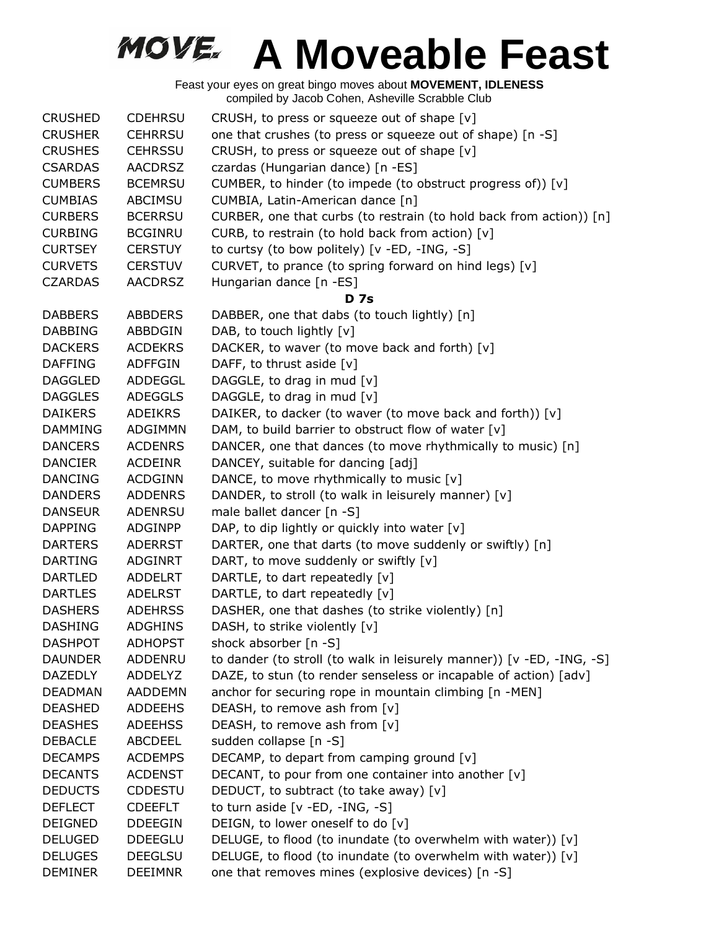| <b>CRUSHED</b> | <b>CDEHRSU</b> | CRUSH, to press or squeeze out of shape [v]                           |
|----------------|----------------|-----------------------------------------------------------------------|
| <b>CRUSHER</b> | <b>CEHRRSU</b> | one that crushes (to press or squeeze out of shape) [n -S]            |
| <b>CRUSHES</b> | <b>CEHRSSU</b> | CRUSH, to press or squeeze out of shape [v]                           |
| <b>CSARDAS</b> | <b>AACDRSZ</b> | czardas (Hungarian dance) [n -ES]                                     |
| <b>CUMBERS</b> | <b>BCEMRSU</b> | CUMBER, to hinder (to impede (to obstruct progress of)) [v]           |
| <b>CUMBIAS</b> | ABCIMSU        | CUMBIA, Latin-American dance [n]                                      |
| <b>CURBERS</b> | <b>BCERRSU</b> | CURBER, one that curbs (to restrain (to hold back from action)) [n]   |
| <b>CURBING</b> | <b>BCGINRU</b> | CURB, to restrain (to hold back from action) [v]                      |
| <b>CURTSEY</b> | <b>CERSTUY</b> | to curtsy (to bow politely) [v -ED, -ING, -S]                         |
| <b>CURVETS</b> | <b>CERSTUV</b> | CURVET, to prance (to spring forward on hind legs) [v]                |
| <b>CZARDAS</b> | <b>AACDRSZ</b> | Hungarian dance [n -ES]                                               |
|                |                | <b>D</b> 7s                                                           |
| <b>DABBERS</b> | <b>ABBDERS</b> | DABBER, one that dabs (to touch lightly) [n]                          |
| <b>DABBING</b> | ABBDGIN        | DAB, to touch lightly [v]                                             |
| <b>DACKERS</b> | <b>ACDEKRS</b> | DACKER, to waver (to move back and forth) [v]                         |
| <b>DAFFING</b> | <b>ADFFGIN</b> | DAFF, to thrust aside [v]                                             |
| <b>DAGGLED</b> | ADDEGGL        | DAGGLE, to drag in mud [v]                                            |
| <b>DAGGLES</b> | <b>ADEGGLS</b> | DAGGLE, to drag in mud [v]                                            |
| <b>DAIKERS</b> | <b>ADEIKRS</b> | DAIKER, to dacker (to waver (to move back and forth)) [v]             |
| <b>DAMMING</b> | ADGIMMN        | DAM, to build barrier to obstruct flow of water [v]                   |
| <b>DANCERS</b> | <b>ACDENRS</b> | DANCER, one that dances (to move rhythmically to music) [n]           |
| <b>DANCIER</b> | <b>ACDEINR</b> | DANCEY, suitable for dancing [adj]                                    |
| <b>DANCING</b> | <b>ACDGINN</b> | DANCE, to move rhythmically to music [v]                              |
| <b>DANDERS</b> | <b>ADDENRS</b> | DANDER, to stroll (to walk in leisurely manner) [v]                   |
| <b>DANSEUR</b> | <b>ADENRSU</b> | male ballet dancer [n -S]                                             |
| <b>DAPPING</b> | ADGINPP        | DAP, to dip lightly or quickly into water [v]                         |
| <b>DARTERS</b> | <b>ADERRST</b> | DARTER, one that darts (to move suddenly or swiftly) [n]              |
| <b>DARTING</b> | ADGINRT        | DART, to move suddenly or swiftly [v]                                 |
| <b>DARTLED</b> | ADDELRT        | DARTLE, to dart repeatedly [v]                                        |
| <b>DARTLES</b> | <b>ADELRST</b> | DARTLE, to dart repeatedly [v]                                        |
| <b>DASHERS</b> | <b>ADEHRSS</b> | DASHER, one that dashes (to strike violently) [n]                     |
| <b>DASHING</b> | <b>ADGHINS</b> | DASH, to strike violently [v]                                         |
| <b>DASHPOT</b> | <b>ADHOPST</b> | shock absorber [n -S]                                                 |
| <b>DAUNDER</b> | ADDENRU        | to dander (to stroll (to walk in leisurely manner)) [v -ED, -ING, -S] |
| <b>DAZEDLY</b> | <b>ADDELYZ</b> | DAZE, to stun (to render senseless or incapable of action) [adv]      |
| <b>DEADMAN</b> | <b>AADDEMN</b> | anchor for securing rope in mountain climbing [n -MEN]                |
| <b>DEASHED</b> | <b>ADDEEHS</b> | DEASH, to remove ash from [v]                                         |
| <b>DEASHES</b> | <b>ADEEHSS</b> | DEASH, to remove ash from [v]                                         |
| <b>DEBACLE</b> | <b>ABCDEEL</b> | sudden collapse [n -S]                                                |
| <b>DECAMPS</b> | <b>ACDEMPS</b> | DECAMP, to depart from camping ground [v]                             |
| <b>DECANTS</b> | <b>ACDENST</b> | DECANT, to pour from one container into another [v]                   |
| <b>DEDUCTS</b> | <b>CDDESTU</b> | DEDUCT, to subtract (to take away) [v]                                |
| <b>DEFLECT</b> | <b>CDEEFLT</b> | to turn aside $[v - ED, -ING, -S]$                                    |
| <b>DEIGNED</b> | <b>DDEEGIN</b> | DEIGN, to lower oneself to do [v]                                     |
| <b>DELUGED</b> | <b>DDEEGLU</b> | DELUGE, to flood (to inundate (to overwhelm with water)) [v]          |
| <b>DELUGES</b> | <b>DEEGLSU</b> | DELUGE, to flood (to inundate (to overwhelm with water)) [v]          |
| <b>DEMINER</b> | <b>DEEIMNR</b> | one that removes mines (explosive devices) [n -S]                     |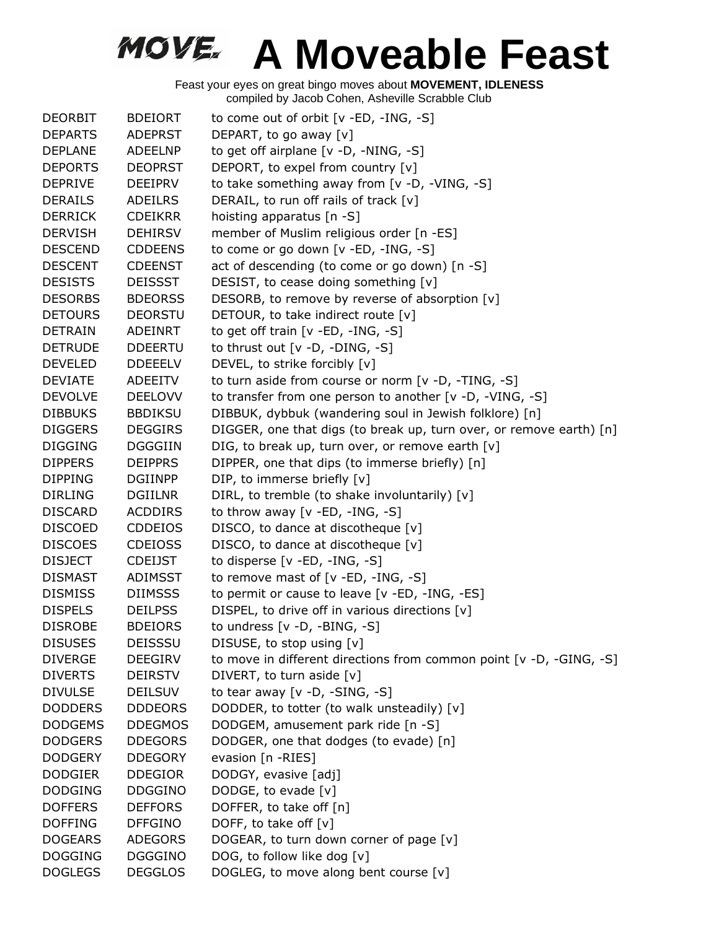| <b>DEORBIT</b> | <b>BDEIORT</b> | to come out of orbit $[v - ED, -ING, -S]$                           |
|----------------|----------------|---------------------------------------------------------------------|
| <b>DEPARTS</b> | <b>ADEPRST</b> | DEPART, to go away [v]                                              |
| <b>DEPLANE</b> | ADEELNP        | to get off airplane [v -D, -NING, -S]                               |
| <b>DEPORTS</b> | <b>DEOPRST</b> | DEPORT, to expel from country [v]                                   |
| <b>DEPRIVE</b> | DEEIPRV        | to take something away from [v -D, -VING, -S]                       |
| <b>DERAILS</b> | <b>ADEILRS</b> | DERAIL, to run off rails of track [v]                               |
| <b>DERRICK</b> | <b>CDEIKRR</b> | hoisting apparatus [n -S]                                           |
| <b>DERVISH</b> | <b>DEHIRSV</b> | member of Muslim religious order [n -ES]                            |
| <b>DESCEND</b> | <b>CDDEENS</b> | to come or go down [v -ED, -ING, -S]                                |
| <b>DESCENT</b> | <b>CDEENST</b> | act of descending (to come or go down) [n -S]                       |
| <b>DESISTS</b> | <b>DEISSST</b> | DESIST, to cease doing something [v]                                |
| <b>DESORBS</b> | <b>BDEORSS</b> | DESORB, to remove by reverse of absorption [v]                      |
| <b>DETOURS</b> | <b>DEORSTU</b> | DETOUR, to take indirect route [v]                                  |
| <b>DETRAIN</b> | ADEINRT        | to get off train $[v - ED, -ING, -S]$                               |
| <b>DETRUDE</b> | <b>DDEERTU</b> | to thrust out $[v -D, -DING, -S]$                                   |
| <b>DEVELED</b> | <b>DDEEELV</b> | DEVEL, to strike forcibly [v]                                       |
| <b>DEVIATE</b> | ADEEITV        | to turn aside from course or norm [v -D, -TING, -S]                 |
| <b>DEVOLVE</b> | <b>DEELOVV</b> | to transfer from one person to another [v -D, -VING, -S]            |
| <b>DIBBUKS</b> | <b>BBDIKSU</b> | DIBBUK, dybbuk (wandering soul in Jewish folklore) [n]              |
| <b>DIGGERS</b> | <b>DEGGIRS</b> | DIGGER, one that digs (to break up, turn over, or remove earth) [n] |
| <b>DIGGING</b> | DGGGIIN        | DIG, to break up, turn over, or remove earth [v]                    |
| <b>DIPPERS</b> | <b>DEIPPRS</b> | DIPPER, one that dips (to immerse briefly) [n]                      |
| <b>DIPPING</b> | <b>DGIINPP</b> | DIP, to immerse briefly [v]                                         |
| <b>DIRLING</b> | <b>DGIILNR</b> | DIRL, to tremble (to shake involuntarily) [v]                       |
| <b>DISCARD</b> | <b>ACDDIRS</b> | to throw away $[v - ED, -ING, -S]$                                  |
| <b>DISCOED</b> | <b>CDDEIOS</b> | DISCO, to dance at discotheque [v]                                  |
| <b>DISCOES</b> | <b>CDEIOSS</b> | DISCO, to dance at discotheque [v]                                  |
| <b>DISJECT</b> | <b>CDEIJST</b> | to disperse [v -ED, -ING, -S]                                       |
| <b>DISMAST</b> | ADIMSST        | to remove mast of $[v - ED, -ING, -S]$                              |
| <b>DISMISS</b> | <b>DIIMSSS</b> | to permit or cause to leave [v -ED, -ING, -ES]                      |
| <b>DISPELS</b> | <b>DEILPSS</b> | DISPEL, to drive off in various directions [v]                      |
| <b>DISROBE</b> | <b>BDEIORS</b> | to undress $[v -D, -BING, -S]$                                      |
| <b>DISUSES</b> | <b>DEISSSU</b> | DISUSE, to stop using [v]                                           |
| <b>DIVERGE</b> | <b>DEEGIRV</b> | to move in different directions from common point [v -D, -GING, -S] |
| <b>DIVERTS</b> | <b>DEIRSTV</b> | DIVERT, to turn aside [v]                                           |
| <b>DIVULSE</b> | <b>DEILSUV</b> | to tear away $[v -D, -SING, -S]$                                    |
| <b>DODDERS</b> | <b>DDDEORS</b> | DODDER, to totter (to walk unsteadily) [v]                          |
| <b>DODGEMS</b> | <b>DDEGMOS</b> | DODGEM, amusement park ride [n -S]                                  |
| <b>DODGERS</b> | <b>DDEGORS</b> | DODGER, one that dodges (to evade) [n]                              |
| <b>DODGERY</b> | <b>DDEGORY</b> | evasion [n -RIES]                                                   |
| <b>DODGIER</b> | <b>DDEGIOR</b> | DODGY, evasive [adj]                                                |
| <b>DODGING</b> | <b>DDGGINO</b> | DODGE, to evade [v]                                                 |
| <b>DOFFERS</b> | <b>DEFFORS</b> | DOFFER, to take off [n]                                             |
| <b>DOFFING</b> | <b>DFFGINO</b> | DOFF, to take off $[v]$                                             |
| <b>DOGEARS</b> | <b>ADEGORS</b> | DOGEAR, to turn down corner of page [v]                             |
| <b>DOGGING</b> | <b>DGGGINO</b> | DOG, to follow like dog [v]                                         |
| <b>DOGLEGS</b> | <b>DEGGLOS</b> | DOGLEG, to move along bent course [v]                               |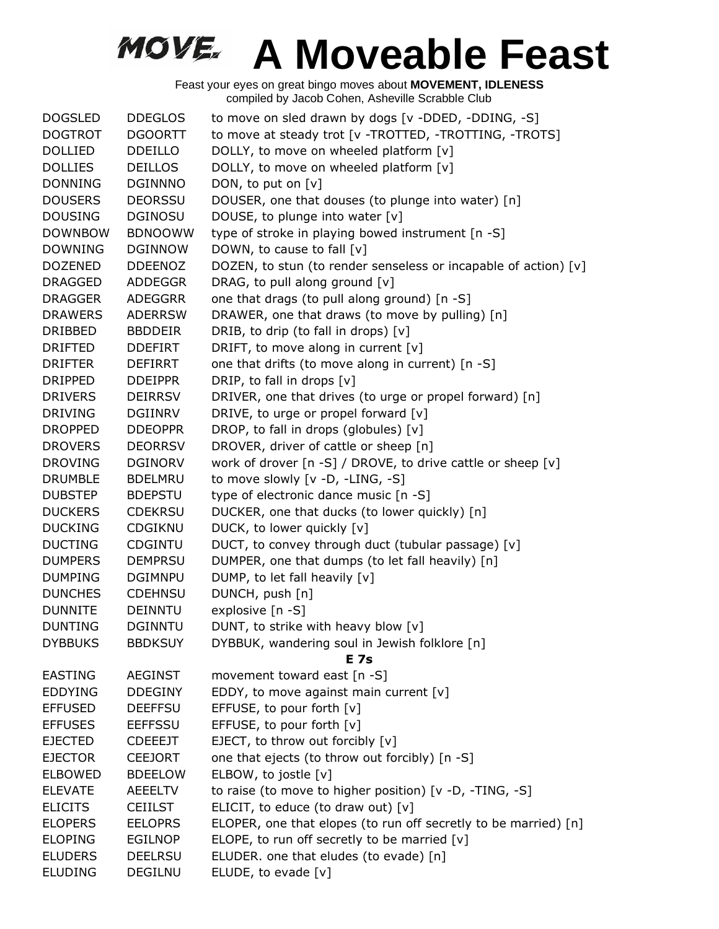| <b>DOGSLED</b> | <b>DDEGLOS</b> | to move on sled drawn by dogs [v -DDED, -DDING, -S]             |
|----------------|----------------|-----------------------------------------------------------------|
| <b>DOGTROT</b> | <b>DGOORTT</b> | to move at steady trot [v -TROTTED, -TROTTING, -TROTS]          |
| <b>DOLLIED</b> | <b>DDEILLO</b> | DOLLY, to move on wheeled platform [v]                          |
| <b>DOLLIES</b> | <b>DEILLOS</b> | DOLLY, to move on wheeled platform [v]                          |
| <b>DONNING</b> | <b>DGINNNO</b> | DON, to put on [v]                                              |
| <b>DOUSERS</b> | <b>DEORSSU</b> | DOUSER, one that douses (to plunge into water) [n]              |
| <b>DOUSING</b> | <b>DGINOSU</b> | DOUSE, to plunge into water [v]                                 |
| <b>DOWNBOW</b> | <b>BDNOOWW</b> | type of stroke in playing bowed instrument [n -S]               |
| <b>DOWNING</b> | <b>DGINNOW</b> | DOWN, to cause to fall [v]                                      |
| <b>DOZENED</b> | <b>DDEENOZ</b> | DOZEN, to stun (to render senseless or incapable of action) [v] |
| <b>DRAGGED</b> | ADDEGGR        | DRAG, to pull along ground [v]                                  |
| <b>DRAGGER</b> | ADEGGRR        | one that drags (to pull along ground) [n -S]                    |
| <b>DRAWERS</b> | <b>ADERRSW</b> | DRAWER, one that draws (to move by pulling) [n]                 |
| DRIBBED        | <b>BBDDEIR</b> | DRIB, to drip (to fall in drops) [v]                            |
| <b>DRIFTED</b> | <b>DDEFIRT</b> | DRIFT, to move along in current [v]                             |
| <b>DRIFTER</b> | <b>DEFIRRT</b> | one that drifts (to move along in current) [n -S]               |
| <b>DRIPPED</b> | <b>DDEIPPR</b> | DRIP, to fall in drops [v]                                      |
| <b>DRIVERS</b> | <b>DEIRRSV</b> | DRIVER, one that drives (to urge or propel forward) [n]         |
| <b>DRIVING</b> | <b>DGIINRV</b> | DRIVE, to urge or propel forward [v]                            |
| <b>DROPPED</b> | <b>DDEOPPR</b> | DROP, to fall in drops (globules) [v]                           |
| <b>DROVERS</b> | <b>DEORRSV</b> | DROVER, driver of cattle or sheep [n]                           |
| <b>DROVING</b> | <b>DGINORV</b> | work of drover [n -S] / DROVE, to drive cattle or sheep [v]     |
| <b>DRUMBLE</b> | <b>BDELMRU</b> | to move slowly [v -D, -LING, -S]                                |
| <b>DUBSTEP</b> | <b>BDEPSTU</b> | type of electronic dance music [n -S]                           |
| <b>DUCKERS</b> | <b>CDEKRSU</b> | DUCKER, one that ducks (to lower quickly) [n]                   |
| <b>DUCKING</b> | CDGIKNU        | DUCK, to lower quickly [v]                                      |
| <b>DUCTING</b> | <b>CDGINTU</b> | DUCT, to convey through duct (tubular passage) [v]              |
| <b>DUMPERS</b> | <b>DEMPRSU</b> | DUMPER, one that dumps (to let fall heavily) [n]                |
| <b>DUMPING</b> | <b>DGIMNPU</b> | DUMP, to let fall heavily [v]                                   |
| <b>DUNCHES</b> | <b>CDEHNSU</b> | DUNCH, push [n]                                                 |
| <b>DUNNITE</b> | <b>DEINNTU</b> | explosive [n -S]                                                |
| <b>DUNTING</b> | <b>DGINNTU</b> | DUNT, to strike with heavy blow [v]                             |
| <b>DYBBUKS</b> | <b>BBDKSUY</b> | DYBBUK, wandering soul in Jewish folklore [n]<br>E 7s           |
| <b>EASTING</b> | <b>AEGINST</b> | movement toward east [n -S]                                     |
| <b>EDDYING</b> | <b>DDEGINY</b> | EDDY, to move against main current $[v]$                        |
| <b>EFFUSED</b> | <b>DEEFFSU</b> | EFFUSE, to pour forth $[v]$                                     |
| <b>EFFUSES</b> | <b>EEFFSSU</b> | EFFUSE, to pour forth [v]                                       |
| <b>EJECTED</b> | <b>CDEEEJT</b> | EJECT, to throw out forcibly [v]                                |
| <b>EJECTOR</b> | <b>CEEJORT</b> | one that ejects (to throw out forcibly) [n -S]                  |
| <b>ELBOWED</b> | <b>BDEELOW</b> | ELBOW, to jostle [v]                                            |
| <b>ELEVATE</b> | AEEELTV        | to raise (to move to higher position) [v -D, -TING, -S]         |
| <b>ELICITS</b> | <b>CEIILST</b> | ELICIT, to educe (to draw out) $[v]$                            |
| <b>ELOPERS</b> | <b>EELOPRS</b> | ELOPER, one that elopes (to run off secretly to be married) [n] |
| <b>ELOPING</b> | <b>EGILNOP</b> | ELOPE, to run off secretly to be married [v]                    |
| <b>ELUDERS</b> | <b>DEELRSU</b> | ELUDER. one that eludes (to evade) [n]                          |
| <b>ELUDING</b> | DEGILNU        | ELUDE, to evade [v]                                             |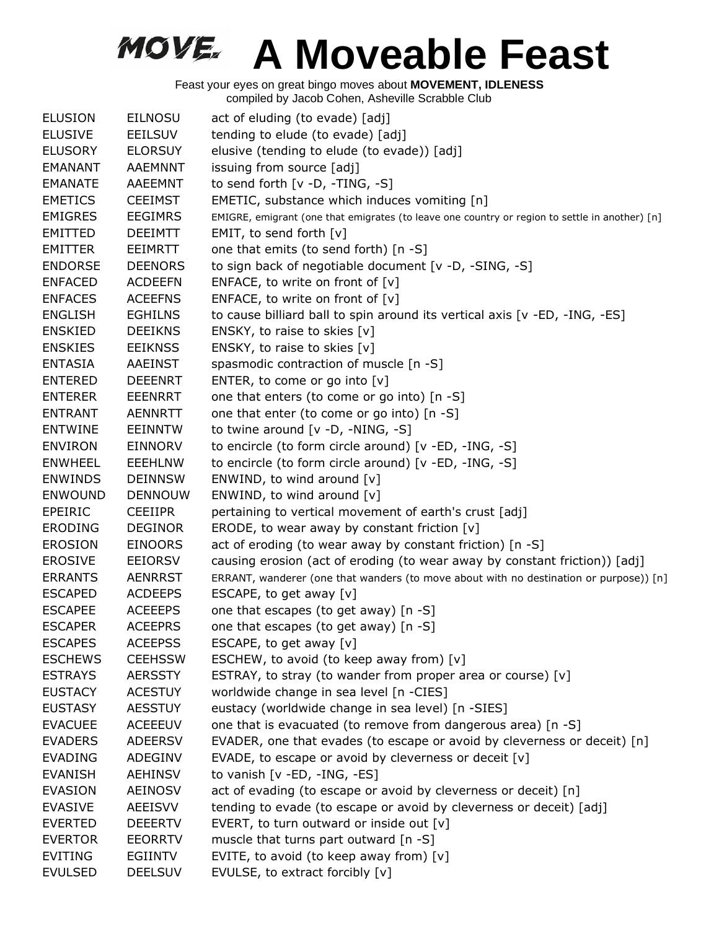| <b>ELUSION</b> | <b>EILNOSU</b> | act of eluding (to evade) [adj]                                                                |
|----------------|----------------|------------------------------------------------------------------------------------------------|
| <b>ELUSIVE</b> | EEILSUV        | tending to elude (to evade) [adj]                                                              |
| <b>ELUSORY</b> | <b>ELORSUY</b> | elusive (tending to elude (to evade)) [adj]                                                    |
| <b>EMANANT</b> | <b>AAEMNNT</b> | issuing from source [adj]                                                                      |
| <b>EMANATE</b> | AAEEMNT        | to send forth [v -D, -TING, -S]                                                                |
| <b>EMETICS</b> | <b>CEEIMST</b> | EMETIC, substance which induces vomiting [n]                                                   |
| <b>EMIGRES</b> | <b>EEGIMRS</b> | EMIGRE, emigrant (one that emigrates (to leave one country or region to settle in another) [n] |
| <b>EMITTED</b> | <b>DEEIMTT</b> | EMIT, to send forth [v]                                                                        |
| <b>EMITTER</b> | <b>EEIMRTT</b> | one that emits (to send forth) [n -S]                                                          |
| <b>ENDORSE</b> | <b>DEENORS</b> | to sign back of negotiable document [v -D, -SING, -S]                                          |
| <b>ENFACED</b> | <b>ACDEEFN</b> | ENFACE, to write on front of $[v]$                                                             |
| <b>ENFACES</b> | <b>ACEEFNS</b> | ENFACE, to write on front of $[v]$                                                             |
| <b>ENGLISH</b> | <b>EGHILNS</b> | to cause billiard ball to spin around its vertical axis [v -ED, -ING, -ES]                     |
| <b>ENSKIED</b> | <b>DEEIKNS</b> | ENSKY, to raise to skies [v]                                                                   |
| <b>ENSKIES</b> | <b>EEIKNSS</b> | ENSKY, to raise to skies [v]                                                                   |
| <b>ENTASIA</b> | <b>AAEINST</b> | spasmodic contraction of muscle [n -S]                                                         |
| <b>ENTERED</b> | <b>DEEENRT</b> | ENTER, to come or go into [v]                                                                  |
| <b>ENTERER</b> | <b>EEENRRT</b> | one that enters (to come or go into) [n -S]                                                    |
| <b>ENTRANT</b> | <b>AENNRTT</b> | one that enter (to come or go into) [n -S]                                                     |
| <b>ENTWINE</b> | EEINNTW        | to twine around $[v -D, -NING, -S]$                                                            |
| <b>ENVIRON</b> | <b>EINNORV</b> | to encircle (to form circle around) [v -ED, -ING, -S]                                          |
| <b>ENWHEEL</b> | <b>EEEHLNW</b> | to encircle (to form circle around) [v -ED, -ING, -S]                                          |
| <b>ENWINDS</b> | <b>DEINNSW</b> | ENWIND, to wind around [v]                                                                     |
| <b>ENWOUND</b> | <b>DENNOUW</b> | ENWIND, to wind around [v]                                                                     |
| <b>EPEIRIC</b> | <b>CEEIIPR</b> | pertaining to vertical movement of earth's crust [adj]                                         |
| <b>ERODING</b> | <b>DEGINOR</b> | ERODE, to wear away by constant friction $[v]$                                                 |
| <b>EROSION</b> | <b>EINOORS</b> | act of eroding (to wear away by constant friction) [n -S]                                      |
| <b>EROSIVE</b> | <b>EEIORSV</b> | causing erosion (act of eroding (to wear away by constant friction)) [adj]                     |
| <b>ERRANTS</b> | <b>AENRRST</b> | ERRANT, wanderer (one that wanders (to move about with no destination or purpose)) [n]         |
| <b>ESCAPED</b> | <b>ACDEEPS</b> | ESCAPE, to get away [v]                                                                        |
| <b>ESCAPEE</b> | <b>ACEEEPS</b> | one that escapes (to get away) [n -S]                                                          |
| <b>ESCAPER</b> | <b>ACEEPRS</b> | one that escapes (to get away) [n -S]                                                          |
| <b>ESCAPES</b> | <b>ACEEPSS</b> | ESCAPE, to get away $[v]$                                                                      |
| <b>ESCHEWS</b> | <b>CEEHSSW</b> | ESCHEW, to avoid (to keep away from) $[v]$                                                     |
| <b>ESTRAYS</b> | <b>AERSSTY</b> | ESTRAY, to stray (to wander from proper area or course) [v]                                    |
| <b>EUSTACY</b> | <b>ACESTUY</b> | worldwide change in sea level [n -CIES]                                                        |
| <b>EUSTASY</b> | <b>AESSTUY</b> | eustacy (worldwide change in sea level) [n -SIES]                                              |
| <b>EVACUEE</b> | <b>ACEEEUV</b> | one that is evacuated (to remove from dangerous area) [n -S]                                   |
| <b>EVADERS</b> | <b>ADEERSV</b> | EVADER, one that evades (to escape or avoid by cleverness or deceit) [n]                       |
| <b>EVADING</b> | ADEGINV        | EVADE, to escape or avoid by cleverness or deceit [v]                                          |
| <b>EVANISH</b> | <b>AEHINSV</b> | to vanish $[v - ED, -ING, -ES]$                                                                |
| <b>EVASION</b> | <b>AEINOSV</b> | act of evading (to escape or avoid by cleverness or deceit) [n]                                |
| <b>EVASIVE</b> | <b>AEEISVV</b> | tending to evade (to escape or avoid by cleverness or deceit) [adj]                            |
| <b>EVERTED</b> | <b>DEEERTV</b> | EVERT, to turn outward or inside out $[v]$                                                     |
| <b>EVERTOR</b> | <b>EEORRTV</b> | muscle that turns part outward [n -S]                                                          |
| <b>EVITING</b> | EGIINTV        | EVITE, to avoid (to keep away from) $[v]$                                                      |
| <b>EVULSED</b> | <b>DEELSUV</b> | EVULSE, to extract forcibly [v]                                                                |
|                |                |                                                                                                |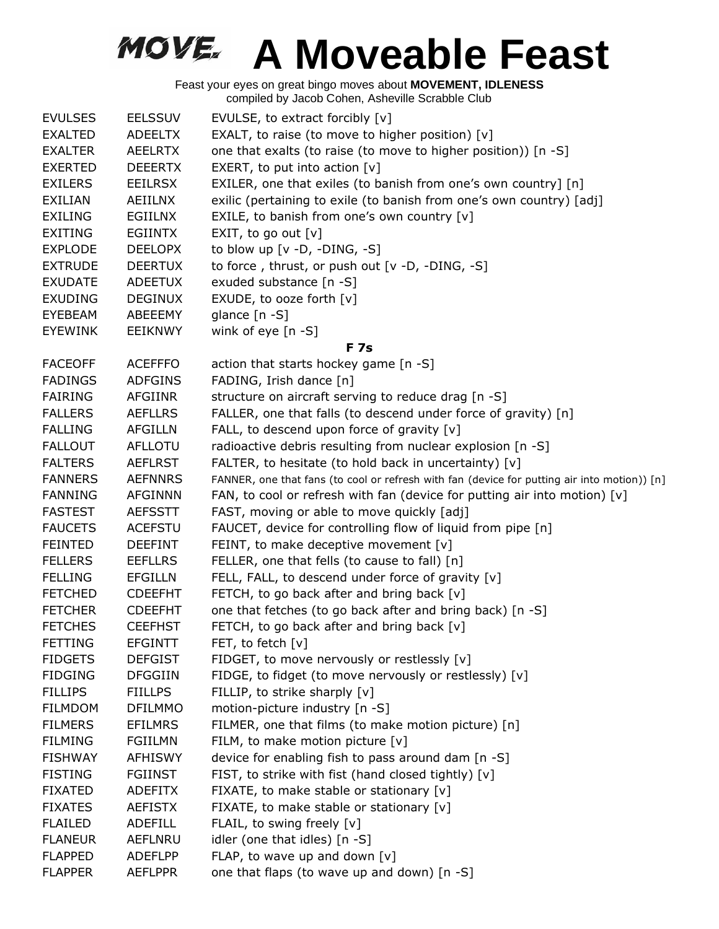| <b>EVULSES</b> | <b>EELSSUV</b> | EVULSE, to extract forcibly [v]                                                              |
|----------------|----------------|----------------------------------------------------------------------------------------------|
| <b>EXALTED</b> | <b>ADEELTX</b> | EXALT, to raise (to move to higher position) [v]                                             |
| <b>EXALTER</b> | <b>AEELRTX</b> | one that exalts (to raise (to move to higher position)) [n -S]                               |
| <b>EXERTED</b> | <b>DEEERTX</b> | EXERT, to put into action $[v]$                                                              |
| <b>EXILERS</b> | <b>EEILRSX</b> | EXILER, one that exiles (to banish from one's own country] [n]                               |
| <b>EXILIAN</b> | AEIILNX        | exilic (pertaining to exile (to banish from one's own country) [adj]                         |
| <b>EXILING</b> | EGIILNX        | EXILE, to banish from one's own country [v]                                                  |
| <b>EXITING</b> | <b>EGIINTX</b> | EXIT, to go out $[v]$                                                                        |
| <b>EXPLODE</b> | <b>DEELOPX</b> | to blow up $[v -D, -DING, -S]$                                                               |
| <b>EXTRUDE</b> | <b>DEERTUX</b> | to force, thrust, or push out [v -D, -DING, -S]                                              |
| <b>EXUDATE</b> | <b>ADEETUX</b> | exuded substance [n -S]                                                                      |
| <b>EXUDING</b> | <b>DEGINUX</b> | EXUDE, to ooze forth [v]                                                                     |
| EYEBEAM        | ABEEEMY        | glance [n -S]                                                                                |
| <b>EYEWINK</b> | <b>EEIKNWY</b> | wink of eye $[n - S]$                                                                        |
|                |                | <b>F7s</b>                                                                                   |
| <b>FACEOFF</b> | <b>ACEFFFO</b> | action that starts hockey game [n -S]                                                        |
| <b>FADINGS</b> | <b>ADFGINS</b> | FADING, Irish dance [n]                                                                      |
| <b>FAIRING</b> | <b>AFGIINR</b> | structure on aircraft serving to reduce drag [n -S]                                          |
| <b>FALLERS</b> | <b>AEFLLRS</b> | FALLER, one that falls (to descend under force of gravity) [n]                               |
| <b>FALLING</b> | AFGILLN        | FALL, to descend upon force of gravity [v]                                                   |
| <b>FALLOUT</b> | <b>AFLLOTU</b> | radioactive debris resulting from nuclear explosion [n -S]                                   |
| <b>FALTERS</b> | <b>AEFLRST</b> | FALTER, to hesitate (to hold back in uncertainty) [v]                                        |
| <b>FANNERS</b> | <b>AEFNNRS</b> | FANNER, one that fans (to cool or refresh with fan (device for putting air into motion)) [n] |
| <b>FANNING</b> | <b>AFGINNN</b> | FAN, to cool or refresh with fan (device for putting air into motion) $[v]$                  |
| <b>FASTEST</b> | <b>AEFSSTT</b> | FAST, moving or able to move quickly [adj]                                                   |
| <b>FAUCETS</b> | <b>ACEFSTU</b> | FAUCET, device for controlling flow of liquid from pipe [n]                                  |
| <b>FEINTED</b> | <b>DEEFINT</b> | FEINT, to make deceptive movement $[v]$                                                      |
| <b>FELLERS</b> | <b>EEFLLRS</b> | FELLER, one that fells (to cause to fall) [n]                                                |
| <b>FELLING</b> | <b>EFGILLN</b> | FELL, FALL, to descend under force of gravity [v]                                            |
| <b>FETCHED</b> | <b>CDEEFHT</b> | FETCH, to go back after and bring back [v]                                                   |
| <b>FETCHER</b> | <b>CDEEFHT</b> | one that fetches (to go back after and bring back) [n -S]                                    |
| <b>FETCHES</b> | <b>CEEFHST</b> | FETCH, to go back after and bring back [v]                                                   |
| <b>FETTING</b> | <b>EFGINTT</b> | FET, to fetch $[v]$                                                                          |
| <b>FIDGETS</b> | <b>DEFGIST</b> | FIDGET, to move nervously or restlessly [v]                                                  |
| <b>FIDGING</b> | <b>DFGGIIN</b> | FIDGE, to fidget (to move nervously or restlessly) [v]                                       |
| <b>FILLIPS</b> | <b>FIILLPS</b> | FILLIP, to strike sharply [v]                                                                |
| <b>FILMDOM</b> | <b>DFILMMO</b> | motion-picture industry [n -S]                                                               |
| <b>FILMERS</b> | <b>EFILMRS</b> | FILMER, one that films (to make motion picture) [n]                                          |
| <b>FILMING</b> | <b>FGIILMN</b> | FILM, to make motion picture [v]                                                             |
| <b>FISHWAY</b> | <b>AFHISWY</b> | device for enabling fish to pass around dam [n -S]                                           |
| <b>FISTING</b> | <b>FGIINST</b> | FIST, to strike with fist (hand closed tightly) [v]                                          |
| <b>FIXATED</b> | <b>ADEFITX</b> | FIXATE, to make stable or stationary [v]                                                     |
| <b>FIXATES</b> | <b>AEFISTX</b> | FIXATE, to make stable or stationary [v]                                                     |
| <b>FLAILED</b> | ADEFILL        | FLAIL, to swing freely [v]                                                                   |
| <b>FLANEUR</b> | <b>AEFLNRU</b> | idler (one that idles) [n -S]                                                                |
| <b>FLAPPED</b> | <b>ADEFLPP</b> | FLAP, to wave up and down $[v]$                                                              |
| <b>FLAPPER</b> | <b>AEFLPPR</b> | one that flaps (to wave up and down) [n -S]                                                  |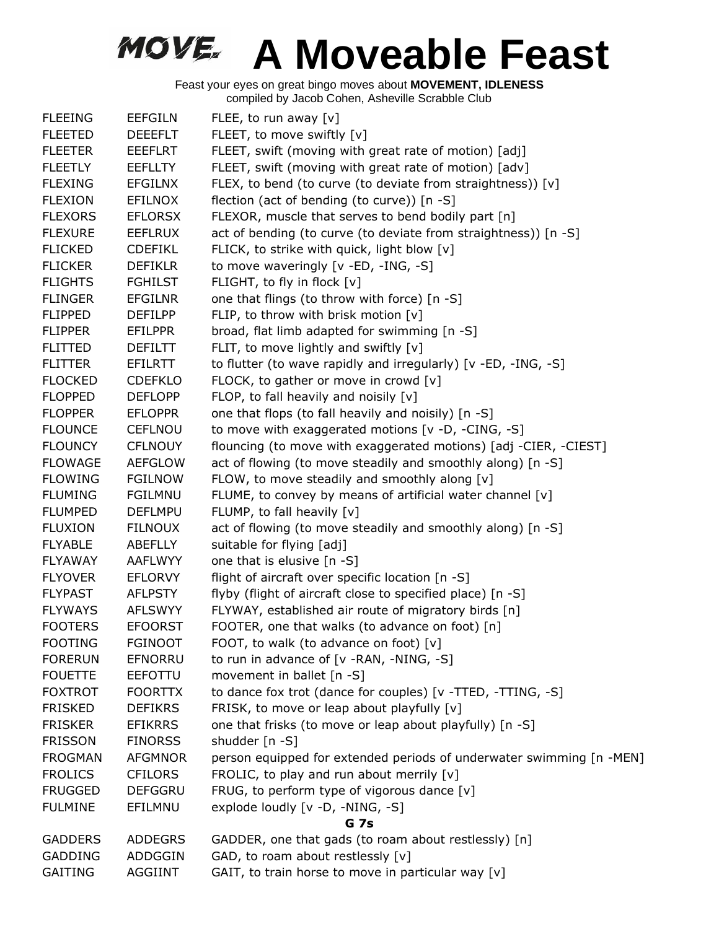| <b>FLEEING</b> | <b>EEFGILN</b> | FLEE, to run away [v]                                                |
|----------------|----------------|----------------------------------------------------------------------|
| <b>FLEETED</b> | <b>DEEEFLT</b> | FLEET, to move swiftly [v]                                           |
| <b>FLEETER</b> | <b>EEEFLRT</b> | FLEET, swift (moving with great rate of motion) [adj]                |
| <b>FLEETLY</b> | <b>EEFLLTY</b> | FLEET, swift (moving with great rate of motion) [adv]                |
| <b>FLEXING</b> | <b>EFGILNX</b> | FLEX, to bend (to curve (to deviate from straightness)) [v]          |
| <b>FLEXION</b> | <b>EFILNOX</b> | flection (act of bending (to curve)) [n -S]                          |
| <b>FLEXORS</b> | <b>EFLORSX</b> | FLEXOR, muscle that serves to bend bodily part [n]                   |
| <b>FLEXURE</b> | <b>EEFLRUX</b> | act of bending (to curve (to deviate from straightness)) [n -S]      |
| <b>FLICKED</b> | <b>CDEFIKL</b> | FLICK, to strike with quick, light blow [v]                          |
| <b>FLICKER</b> | <b>DEFIKLR</b> | to move waveringly [v -ED, -ING, -S]                                 |
| <b>FLIGHTS</b> | <b>FGHILST</b> | FLIGHT, to fly in flock [v]                                          |
| <b>FLINGER</b> | <b>EFGILNR</b> | one that flings (to throw with force) [n -S]                         |
| <b>FLIPPED</b> | <b>DEFILPP</b> | FLIP, to throw with brisk motion [v]                                 |
| <b>FLIPPER</b> | EFILPPR        | broad, flat limb adapted for swimming [n -S]                         |
| <b>FLITTED</b> | <b>DEFILTT</b> | FLIT, to move lightly and swiftly $[v]$                              |
| <b>FLITTER</b> | <b>EFILRTT</b> | to flutter (to wave rapidly and irregularly) [v -ED, -ING, -S]       |
| <b>FLOCKED</b> | <b>CDEFKLO</b> | FLOCK, to gather or move in crowd [v]                                |
| <b>FLOPPED</b> | <b>DEFLOPP</b> | FLOP, to fall heavily and noisily [v]                                |
| <b>FLOPPER</b> | <b>EFLOPPR</b> | one that flops (to fall heavily and noisily) [n -S]                  |
| <b>FLOUNCE</b> | <b>CEFLNOU</b> | to move with exaggerated motions [v -D, -CING, -S]                   |
| <b>FLOUNCY</b> | <b>CFLNOUY</b> | flouncing (to move with exaggerated motions) [adj -CIER, -CIEST]     |
| <b>FLOWAGE</b> | <b>AEFGLOW</b> | act of flowing (to move steadily and smoothly along) [n -S]          |
| <b>FLOWING</b> | <b>FGILNOW</b> | FLOW, to move steadily and smoothly along [v]                        |
| <b>FLUMING</b> | <b>FGILMNU</b> | FLUME, to convey by means of artificial water channel [v]            |
| <b>FLUMPED</b> | <b>DEFLMPU</b> | FLUMP, to fall heavily [v]                                           |
| <b>FLUXION</b> | <b>FILNOUX</b> | act of flowing (to move steadily and smoothly along) [n -S]          |
| <b>FLYABLE</b> | ABEFLLY        | suitable for flying [adj]                                            |
| <b>FLYAWAY</b> | AAFLWYY        | one that is elusive [n -S]                                           |
| <b>FLYOVER</b> | <b>EFLORVY</b> | flight of aircraft over specific location [n -S]                     |
| <b>FLYPAST</b> | <b>AFLPSTY</b> | flyby (flight of aircraft close to specified place) [n -S]           |
| <b>FLYWAYS</b> | <b>AFLSWYY</b> | FLYWAY, established air route of migratory birds [n]                 |
| <b>FOOTERS</b> | <b>EFOORST</b> | FOOTER, one that walks (to advance on foot) [n]                      |
| <b>FOOTING</b> | <b>FGINOOT</b> | FOOT, to walk (to advance on foot) [v]                               |
| <b>FORERUN</b> | EFNORRU        | to run in advance of [v -RAN, -NING, -S]                             |
| <b>FOUETTE</b> | <b>EEFOTTU</b> | movement in ballet [n -S]                                            |
| <b>FOXTROT</b> | <b>FOORTTX</b> | to dance fox trot (dance for couples) [v -TTED, -TTING, -S]          |
| <b>FRISKED</b> | <b>DEFIKRS</b> | FRISK, to move or leap about playfully [v]                           |
| <b>FRISKER</b> | <b>EFIKRRS</b> | one that frisks (to move or leap about playfully) [n -S]             |
| <b>FRISSON</b> | <b>FINORSS</b> | shudder [n -S]                                                       |
| <b>FROGMAN</b> | <b>AFGMNOR</b> | person equipped for extended periods of underwater swimming [n -MEN] |
| <b>FROLICS</b> | <b>CFILORS</b> | FROLIC, to play and run about merrily $[v]$                          |
| <b>FRUGGED</b> | <b>DEFGGRU</b> | FRUG, to perform type of vigorous dance [v]                          |
| <b>FULMINE</b> | EFILMNU        | explode loudly [v -D, -NING, -S]                                     |
|                |                | <b>G</b> 7s                                                          |
| <b>GADDERS</b> | <b>ADDEGRS</b> | GADDER, one that gads (to roam about restlessly) [n]                 |
| <b>GADDING</b> | ADDGGIN        | GAD, to roam about restlessly [v]                                    |
| <b>GAITING</b> | <b>AGGIINT</b> | GAIT, to train horse to move in particular way [v]                   |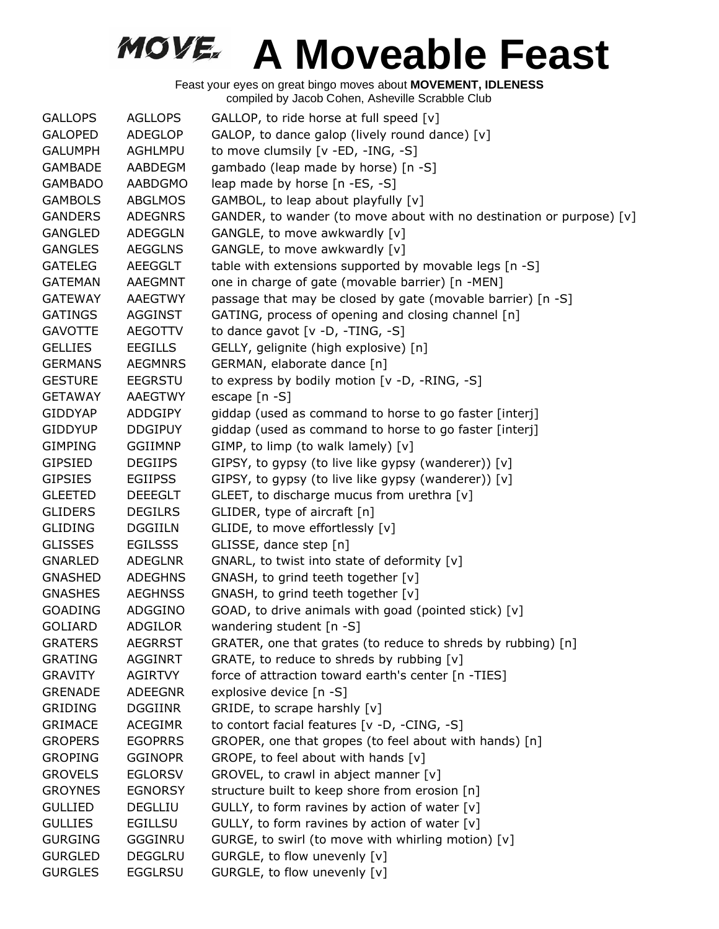| <b>GALLOPS</b> | <b>AGLLOPS</b> | GALLOP, to ride horse at full speed [v]                              |
|----------------|----------------|----------------------------------------------------------------------|
| <b>GALOPED</b> | ADEGLOP        | GALOP, to dance galop (lively round dance) [v]                       |
| <b>GALUMPH</b> | AGHLMPU        | to move clumsily [v -ED, -ING, -S]                                   |
| <b>GAMBADE</b> | AABDEGM        | gambado (leap made by horse) [n -S]                                  |
| <b>GAMBADO</b> | AABDGMO        | leap made by horse [n -ES, -S]                                       |
| <b>GAMBOLS</b> | <b>ABGLMOS</b> | GAMBOL, to leap about playfully [v]                                  |
| <b>GANDERS</b> | <b>ADEGNRS</b> | GANDER, to wander (to move about with no destination or purpose) [v] |
| <b>GANGLED</b> | <b>ADEGGLN</b> | GANGLE, to move awkwardly [v]                                        |
| <b>GANGLES</b> | <b>AEGGLNS</b> | GANGLE, to move awkwardly [v]                                        |
| <b>GATELEG</b> | AEEGGLT        | table with extensions supported by movable legs [n -S]               |
| <b>GATEMAN</b> | <b>AAEGMNT</b> | one in charge of gate (movable barrier) [n -MEN]                     |
| <b>GATEWAY</b> | <b>AAEGTWY</b> | passage that may be closed by gate (movable barrier) [n -S]          |
| <b>GATINGS</b> | <b>AGGINST</b> | GATING, process of opening and closing channel [n]                   |
| <b>GAVOTTE</b> | <b>AEGOTTV</b> | to dance gavot $[v -D, -TING, -S]$                                   |
| <b>GELLIES</b> | <b>EEGILLS</b> | GELLY, gelignite (high explosive) [n]                                |
| <b>GERMANS</b> | <b>AEGMNRS</b> | GERMAN, elaborate dance [n]                                          |
| <b>GESTURE</b> | <b>EEGRSTU</b> | to express by bodily motion [v -D, -RING, -S]                        |
| <b>GETAWAY</b> | AAEGTWY        | escape [n -S]                                                        |
| <b>GIDDYAP</b> | <b>ADDGIPY</b> | giddap (used as command to horse to go faster [interj]               |
| <b>GIDDYUP</b> | <b>DDGIPUY</b> | giddap (used as command to horse to go faster [interj]               |
| <b>GIMPING</b> | <b>GGIIMNP</b> | GIMP, to limp (to walk lamely) [v]                                   |
| <b>GIPSIED</b> | <b>DEGIIPS</b> | GIPSY, to gypsy (to live like gypsy (wanderer)) [v]                  |
| <b>GIPSIES</b> | <b>EGIIPSS</b> | GIPSY, to gypsy (to live like gypsy (wanderer)) [v]                  |
| <b>GLEETED</b> | <b>DEEEGLT</b> | GLEET, to discharge mucus from urethra [v]                           |
| <b>GLIDERS</b> | <b>DEGILRS</b> | GLIDER, type of aircraft [n]                                         |
| <b>GLIDING</b> | <b>DGGIILN</b> | GLIDE, to move effortlessly [v]                                      |
| <b>GLISSES</b> | <b>EGILSSS</b> | GLISSE, dance step [n]                                               |
| <b>GNARLED</b> | ADEGLNR        | GNARL, to twist into state of deformity [v]                          |
| <b>GNASHED</b> | <b>ADEGHNS</b> | GNASH, to grind teeth together [v]                                   |
| <b>GNASHES</b> | <b>AEGHNSS</b> | GNASH, to grind teeth together [v]                                   |
| <b>GOADING</b> | ADGGINO        | GOAD, to drive animals with goad (pointed stick) [v]                 |
| <b>GOLIARD</b> | <b>ADGILOR</b> | wandering student [n -S]                                             |
| <b>GRATERS</b> | <b>AEGRRST</b> | GRATER, one that grates (to reduce to shreds by rubbing) [n]         |
| <b>GRATING</b> | <b>AGGINRT</b> | GRATE, to reduce to shreds by rubbing [v]                            |
| <b>GRAVITY</b> | AGIRTVY        | force of attraction toward earth's center [n -TIES]                  |
| <b>GRENADE</b> | <b>ADEEGNR</b> | explosive device [n -S]                                              |
| <b>GRIDING</b> | <b>DGGIINR</b> | GRIDE, to scrape harshly [v]                                         |
| <b>GRIMACE</b> | <b>ACEGIMR</b> | to contort facial features [v -D, -CING, -S]                         |
| <b>GROPERS</b> | <b>EGOPRRS</b> | GROPER, one that gropes (to feel about with hands) [n]               |
| <b>GROPING</b> | <b>GGINOPR</b> | GROPE, to feel about with hands [v]                                  |
| <b>GROVELS</b> | <b>EGLORSV</b> | GROVEL, to crawl in abject manner [v]                                |
| <b>GROYNES</b> | <b>EGNORSY</b> | structure built to keep shore from erosion [n]                       |
| <b>GULLIED</b> | <b>DEGLLIU</b> | GULLY, to form ravines by action of water [v]                        |
| <b>GULLIES</b> | <b>EGILLSU</b> | GULLY, to form ravines by action of water [v]                        |
| <b>GURGING</b> | GGGINRU        | GURGE, to swirl (to move with whirling motion) [v]                   |
| <b>GURGLED</b> | <b>DEGGLRU</b> | GURGLE, to flow unevenly [v]                                         |
| <b>GURGLES</b> | <b>EGGLRSU</b> | GURGLE, to flow unevenly [v]                                         |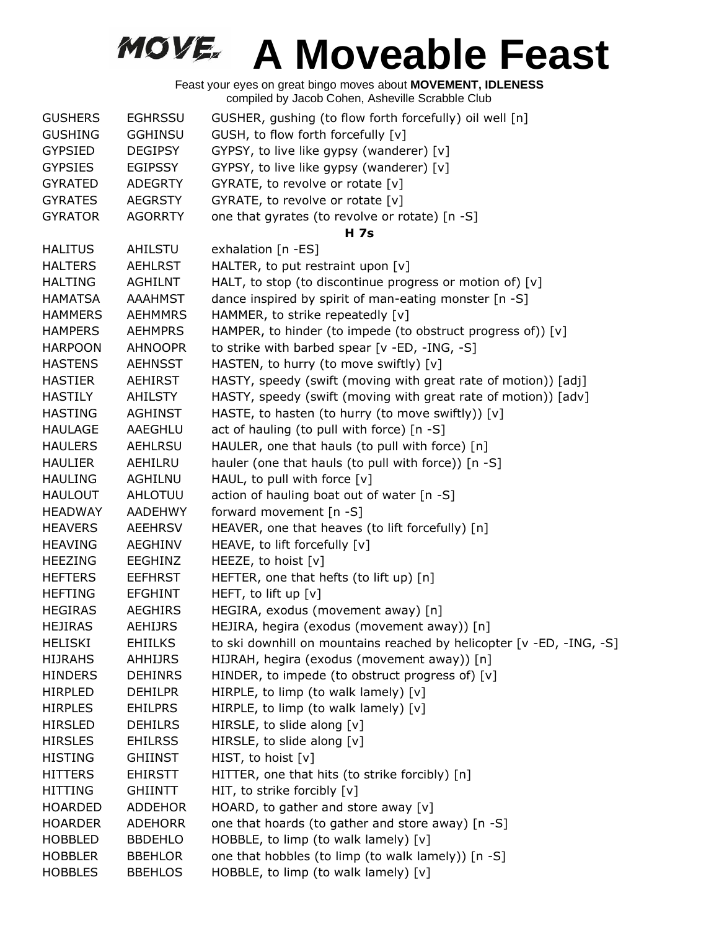| <b>GUSHERS</b> | <b>EGHRSSU</b> | GUSHER, gushing (to flow forth forcefully) oil well [n]              |
|----------------|----------------|----------------------------------------------------------------------|
| <b>GUSHING</b> | <b>GGHINSU</b> | GUSH, to flow forth forcefully [v]                                   |
| <b>GYPSIED</b> | <b>DEGIPSY</b> | GYPSY, to live like gypsy (wanderer) [v]                             |
| <b>GYPSIES</b> | <b>EGIPSSY</b> | GYPSY, to live like gypsy (wanderer) [v]                             |
| <b>GYRATED</b> | <b>ADEGRTY</b> | GYRATE, to revolve or rotate [v]                                     |
| <b>GYRATES</b> | <b>AEGRSTY</b> | GYRATE, to revolve or rotate [v]                                     |
| <b>GYRATOR</b> | <b>AGORRTY</b> | one that gyrates (to revolve or rotate) [n -S]                       |
|                |                | <b>H</b> 7s                                                          |
| <b>HALITUS</b> | AHILSTU        | exhalation [n -ES]                                                   |
| <b>HALTERS</b> | <b>AEHLRST</b> | HALTER, to put restraint upon [v]                                    |
| <b>HALTING</b> | <b>AGHILNT</b> | HALT, to stop (to discontinue progress or motion of) [v]             |
| <b>HAMATSA</b> | <b>AAAHMST</b> | dance inspired by spirit of man-eating monster [n -S]                |
| <b>HAMMERS</b> | <b>AEHMMRS</b> | HAMMER, to strike repeatedly [v]                                     |
| <b>HAMPERS</b> | <b>AEHMPRS</b> | HAMPER, to hinder (to impede (to obstruct progress of)) [v]          |
| <b>HARPOON</b> | <b>AHNOOPR</b> | to strike with barbed spear [v -ED, -ING, -S]                        |
| <b>HASTENS</b> | <b>AEHNSST</b> | HASTEN, to hurry (to move swiftly) [v]                               |
| <b>HASTIER</b> | AEHIRST        | HASTY, speedy (swift (moving with great rate of motion)) [adj]       |
| <b>HASTILY</b> | AHILSTY        | HASTY, speedy (swift (moving with great rate of motion)) [adv]       |
| <b>HASTING</b> | <b>AGHINST</b> | HASTE, to hasten (to hurry (to move swiftly)) [v]                    |
| <b>HAULAGE</b> | AAEGHLU        | act of hauling (to pull with force) [n -S]                           |
| <b>HAULERS</b> | <b>AEHLRSU</b> | HAULER, one that hauls (to pull with force) [n]                      |
| <b>HAULIER</b> | AEHILRU        | hauler (one that hauls (to pull with force)) [n -S]                  |
| <b>HAULING</b> | AGHILNU        | HAUL, to pull with force [v]                                         |
| <b>HAULOUT</b> | AHLOTUU        | action of hauling boat out of water [n -S]                           |
| <b>HEADWAY</b> | <b>AADEHWY</b> | forward movement [n -S]                                              |
| <b>HEAVERS</b> | AEEHRSV        | HEAVER, one that heaves (to lift forcefully) [n]                     |
| <b>HEAVING</b> | AEGHINV        | HEAVE, to lift forcefully [v]                                        |
| <b>HEEZING</b> | EEGHINZ        | HEEZE, to hoist [v]                                                  |
| <b>HEFTERS</b> | <b>EEFHRST</b> | HEFTER, one that hefts (to lift up) [n]                              |
| <b>HEFTING</b> | <b>EFGHINT</b> | HEFT, to lift up [v]                                                 |
| <b>HEGIRAS</b> | <b>AEGHIRS</b> | HEGIRA, exodus (movement away) [n]                                   |
| <b>HEJIRAS</b> | <b>AEHIJRS</b> | HEJIRA, hegira (exodus (movement away)) [n]                          |
| <b>HELISKI</b> | <b>EHIILKS</b> | to ski downhill on mountains reached by helicopter [v -ED, -ING, -S] |
| <b>HIJRAHS</b> | <b>AHHIJRS</b> | HIJRAH, hegira (exodus (movement away)) [n]                          |
| <b>HINDERS</b> | <b>DEHINRS</b> | HINDER, to impede (to obstruct progress of) [v]                      |
| <b>HIRPLED</b> | <b>DEHILPR</b> | HIRPLE, to limp (to walk lamely) [v]                                 |
| <b>HIRPLES</b> | <b>EHILPRS</b> | HIRPLE, to limp (to walk lamely) [v]                                 |
| <b>HIRSLED</b> | <b>DEHILRS</b> | HIRSLE, to slide along [v]                                           |
| <b>HIRSLES</b> | <b>EHILRSS</b> | HIRSLE, to slide along [v]                                           |
| <b>HISTING</b> | <b>GHIINST</b> | HIST, to hoist [v]                                                   |
| <b>HITTERS</b> | <b>EHIRSTT</b> | HITTER, one that hits (to strike forcibly) [n]                       |
| <b>HITTING</b> | <b>GHIINTT</b> | HIT, to strike forcibly [v]                                          |
| <b>HOARDED</b> | <b>ADDEHOR</b> | HOARD, to gather and store away [v]                                  |
| <b>HOARDER</b> | <b>ADEHORR</b> | one that hoards (to gather and store away) [n -S]                    |
| <b>HOBBLED</b> | <b>BBDEHLO</b> | HOBBLE, to limp (to walk lamely) $[v]$                               |
| <b>HOBBLER</b> | <b>BBEHLOR</b> | one that hobbles (to limp (to walk lamely)) [n -S]                   |
| <b>HOBBLES</b> | <b>BBEHLOS</b> | HOBBLE, to limp (to walk lamely) [v]                                 |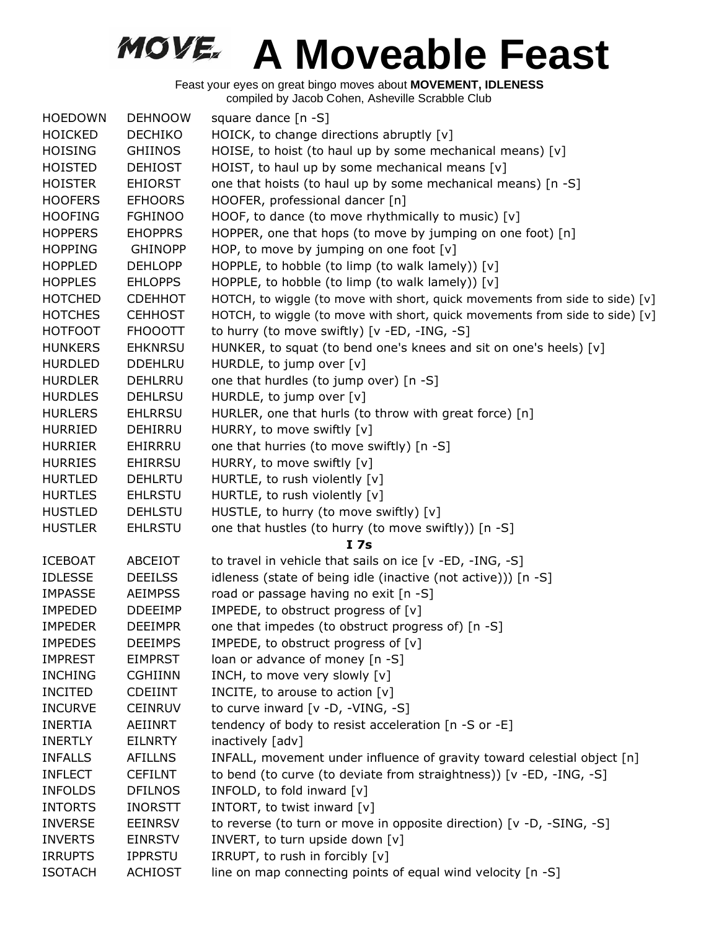| <b>HOEDOWN</b> | <b>DEHNOOW</b> | square dance $[n - S]$                                                       |
|----------------|----------------|------------------------------------------------------------------------------|
| <b>HOICKED</b> | <b>DECHIKO</b> | HOICK, to change directions abruptly [v]                                     |
| <b>HOISING</b> | <b>GHIINOS</b> | HOISE, to hoist (to haul up by some mechanical means) [v]                    |
| <b>HOISTED</b> | <b>DEHIOST</b> | HOIST, to haul up by some mechanical means [v]                               |
| <b>HOISTER</b> | <b>EHIORST</b> | one that hoists (to haul up by some mechanical means) [n -S]                 |
| <b>HOOFERS</b> | <b>EFHOORS</b> | HOOFER, professional dancer [n]                                              |
| <b>HOOFING</b> | <b>FGHINOO</b> | HOOF, to dance (to move rhythmically to music) [v]                           |
| <b>HOPPERS</b> | <b>EHOPPRS</b> | HOPPER, one that hops (to move by jumping on one foot) [n]                   |
| <b>HOPPING</b> | <b>GHINOPP</b> | HOP, to move by jumping on one foot $[v]$                                    |
| <b>HOPPLED</b> | <b>DEHLOPP</b> | HOPPLE, to hobble (to limp (to walk lamely)) $[v]$                           |
| <b>HOPPLES</b> | <b>EHLOPPS</b> | HOPPLE, to hobble (to limp (to walk lamely)) [v]                             |
| <b>HOTCHED</b> | <b>CDEHHOT</b> | HOTCH, to wiggle (to move with short, quick movements from side to side) [v] |
| <b>HOTCHES</b> | <b>CEHHOST</b> | HOTCH, to wiggle (to move with short, quick movements from side to side) [v] |
| <b>HOTFOOT</b> | <b>FHOOOTT</b> | to hurry (to move swiftly) [v -ED, -ING, -S]                                 |
| <b>HUNKERS</b> | <b>EHKNRSU</b> | HUNKER, to squat (to bend one's knees and sit on one's heels) [v]            |
| <b>HURDLED</b> | <b>DDEHLRU</b> | HURDLE, to jump over [v]                                                     |
| <b>HURDLER</b> | DEHLRRU        | one that hurdles (to jump over) [n -S]                                       |
| <b>HURDLES</b> | <b>DEHLRSU</b> | HURDLE, to jump over [v]                                                     |
| <b>HURLERS</b> | <b>EHLRRSU</b> | HURLER, one that hurls (to throw with great force) [n]                       |
| <b>HURRIED</b> | DEHIRRU        | HURRY, to move swiftly [v]                                                   |
| <b>HURRIER</b> | EHIRRRU        | one that hurries (to move swiftly) [n -S]                                    |
| <b>HURRIES</b> | <b>EHIRRSU</b> | HURRY, to move swiftly [v]                                                   |
| <b>HURTLED</b> | <b>DEHLRTU</b> | HURTLE, to rush violently [v]                                                |
| <b>HURTLES</b> | <b>EHLRSTU</b> | HURTLE, to rush violently [v]                                                |
| <b>HUSTLED</b> | <b>DEHLSTU</b> | HUSTLE, to hurry (to move swiftly) [v]                                       |
| <b>HUSTLER</b> | <b>EHLRSTU</b> | one that hustles (to hurry (to move swiftly)) [n -S]                         |
|                |                | I <sub>7s</sub>                                                              |
| <b>ICEBOAT</b> | ABCEIOT        | to travel in vehicle that sails on ice [v -ED, -ING, -S]                     |
| <b>IDLESSE</b> | <b>DEEILSS</b> | idleness (state of being idle (inactive (not active))) [n -S]                |
| <b>IMPASSE</b> | <b>AEIMPSS</b> | road or passage having no exit [n -S]                                        |
| <b>IMPEDED</b> | <b>DDEEIMP</b> | IMPEDE, to obstruct progress of [v]                                          |
| <b>IMPEDER</b> | <b>DEEIMPR</b> | one that impedes (to obstruct progress of) [n -S]                            |
| <b>IMPEDES</b> | <b>DEEIMPS</b> | IMPEDE, to obstruct progress of [v]                                          |
| <b>IMPREST</b> | <b>EIMPRST</b> | loan or advance of money [n -S]                                              |
| <b>INCHING</b> | <b>CGHIINN</b> | INCH, to move very slowly [v]                                                |
| <b>INCITED</b> | <b>CDEIINT</b> | INCITE, to arouse to action [v]                                              |
| <b>INCURVE</b> | <b>CEINRUV</b> | to curve inward [v -D, -VING, -S]                                            |
| <b>INERTIA</b> | AEIINRT        | tendency of body to resist acceleration [n -S or -E]                         |
| <b>INERTLY</b> | <b>EILNRTY</b> | inactively [adv]                                                             |
| <b>INFALLS</b> | <b>AFILLNS</b> | INFALL, movement under influence of gravity toward celestial object [n]      |
| <b>INFLECT</b> | <b>CEFILNT</b> | to bend (to curve (to deviate from straightness)) [v -ED, -ING, -S]          |
| <b>INFOLDS</b> | <b>DFILNOS</b> | INFOLD, to fold inward [v]                                                   |
| <b>INTORTS</b> | <b>INORSTT</b> | INTORT, to twist inward [v]                                                  |
| <b>INVERSE</b> | <b>EEINRSV</b> | to reverse (to turn or move in opposite direction) [v -D, -SING, -S]         |
| <b>INVERTS</b> | <b>EINRSTV</b> | INVERT, to turn upside down [v]                                              |
| <b>IRRUPTS</b> | <b>IPPRSTU</b> | IRRUPT, to rush in forcibly [v]                                              |
| <b>ISOTACH</b> | <b>ACHIOST</b> | line on map connecting points of equal wind velocity [n -S]                  |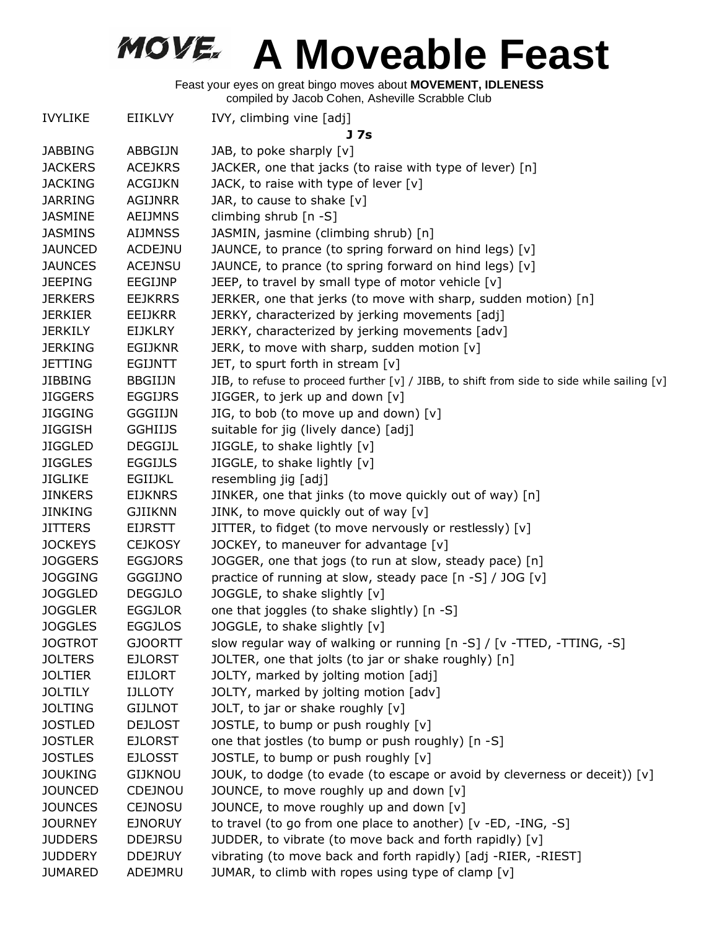| <b>IVYLIKE</b> | <b>EIIKLVY</b> | IVY, climbing vine [adj]<br>J 7s                                                           |
|----------------|----------------|--------------------------------------------------------------------------------------------|
| <b>JABBING</b> | ABBGIJN        | JAB, to poke sharply $[v]$                                                                 |
| <b>JACKERS</b> | <b>ACEJKRS</b> | JACKER, one that jacks (to raise with type of lever) [n]                                   |
| <b>JACKING</b> | <b>ACGIJKN</b> | JACK, to raise with type of lever [v]                                                      |
| <b>JARRING</b> | <b>AGIJNRR</b> | JAR, to cause to shake [v]                                                                 |
| <b>JASMINE</b> | <b>AEIJMNS</b> | climbing shrub [n -S]                                                                      |
| <b>JASMINS</b> | <b>AIJMNSS</b> | JASMIN, jasmine (climbing shrub) [n]                                                       |
| <b>JAUNCED</b> | <b>ACDEJNU</b> | JAUNCE, to prance (to spring forward on hind legs) [v]                                     |
| <b>JAUNCES</b> | <b>ACEJNSU</b> | JAUNCE, to prance (to spring forward on hind legs) [v]                                     |
| <b>JEEPING</b> | EEGIJNP        | JEEP, to travel by small type of motor vehicle [v]                                         |
| <b>JERKERS</b> | <b>EEJKRRS</b> | JERKER, one that jerks (to move with sharp, sudden motion) [n]                             |
| <b>JERKIER</b> | EEIJKRR        | JERKY, characterized by jerking movements [adj]                                            |
| <b>JERKILY</b> | EIJKLRY        | JERKY, characterized by jerking movements [adv]                                            |
| <b>JERKING</b> | EGIJKNR        | JERK, to move with sharp, sudden motion $[v]$                                              |
| <b>JETTING</b> | <b>EGIJNTT</b> | JET, to spurt forth in stream $[v]$                                                        |
| <b>JIBBING</b> | <b>BBGIIJN</b> | JIB, to refuse to proceed further [v] / JIBB, to shift from side to side while sailing [v] |
| <b>JIGGERS</b> | EGGIJRS        | JIGGER, to jerk up and down $[v]$                                                          |
| <b>JIGGING</b> | <b>GGGIIJN</b> | JIG, to bob (to move up and down) [v]                                                      |
| <b>JIGGISH</b> | <b>GGHIIJS</b> | suitable for jig (lively dance) [adj]                                                      |
| <b>JIGGLED</b> | <b>DEGGIJL</b> | JIGGLE, to shake lightly [v]                                                               |
| <b>JIGGLES</b> | <b>EGGIJLS</b> | JIGGLE, to shake lightly [v]                                                               |
| <b>JIGLIKE</b> | EGIIJKL        | resembling jig [adj]                                                                       |
| <b>JINKERS</b> | <b>EIJKNRS</b> | JINKER, one that jinks (to move quickly out of way) [n]                                    |
| <b>JINKING</b> | <b>GJIIKNN</b> | JINK, to move quickly out of way [v]                                                       |
| <b>JITTERS</b> | <b>EIJRSTT</b> | JITTER, to fidget (to move nervously or restlessly) [v]                                    |
| <b>JOCKEYS</b> | <b>CEJKOSY</b> | JOCKEY, to maneuver for advantage [v]                                                      |
| <b>JOGGERS</b> | <b>EGGJORS</b> | JOGGER, one that jogs (to run at slow, steady pace) [n]                                    |
| <b>JOGGING</b> | <b>GGGIJNO</b> | practice of running at slow, steady pace [n -S] / JOG [v]                                  |
| <b>JOGGLED</b> | <b>DEGGJLO</b> | JOGGLE, to shake slightly [v]                                                              |
| <b>JOGGLER</b> | <b>EGGJLOR</b> | one that joggles (to shake slightly) [n -S]                                                |
| <b>JOGGLES</b> | <b>EGGJLOS</b> | JOGGLE, to shake slightly [v]                                                              |
| <b>JOGTROT</b> | <b>GJOORTT</b> | slow regular way of walking or running [n -S] / [v -TTED, -TTING, -S]                      |
| <b>JOLTERS</b> | <b>EJLORST</b> | JOLTER, one that jolts (to jar or shake roughly) [n]                                       |
| <b>JOLTIER</b> | <b>EIJLORT</b> | JOLTY, marked by jolting motion [adj]                                                      |
| <b>JOLTILY</b> | <b>IJLLOTY</b> | JOLTY, marked by jolting motion [adv]                                                      |
| <b>JOLTING</b> | <b>GIJLNOT</b> | JOLT, to jar or shake roughly [v]                                                          |
| <b>JOSTLED</b> | <b>DEJLOST</b> | JOSTLE, to bump or push roughly [v]                                                        |
| <b>JOSTLER</b> | <b>EJLORST</b> | one that jostles (to bump or push roughly) [n -S]                                          |
| <b>JOSTLES</b> | <b>EJLOSST</b> | JOSTLE, to bump or push roughly [v]                                                        |
| <b>JOUKING</b> | <b>GIJKNOU</b> | JOUK, to dodge (to evade (to escape or avoid by cleverness or deceit)) [v]                 |
| <b>JOUNCED</b> | CDEJNOU        | JOUNCE, to move roughly up and down [v]                                                    |
| <b>JOUNCES</b> | <b>CEJNOSU</b> | JOUNCE, to move roughly up and down [v]                                                    |
| <b>JOURNEY</b> | <b>EJNORUY</b> | to travel (to go from one place to another) [v -ED, -ING, -S]                              |
| <b>JUDDERS</b> | <b>DDEJRSU</b> | JUDDER, to vibrate (to move back and forth rapidly) [v]                                    |
| <b>JUDDERY</b> | <b>DDEJRUY</b> | vibrating (to move back and forth rapidly) [adj -RIER, -RIEST]                             |
| <b>JUMARED</b> | ADEJMRU        | JUMAR, to climb with ropes using type of clamp [v]                                         |
|                |                |                                                                                            |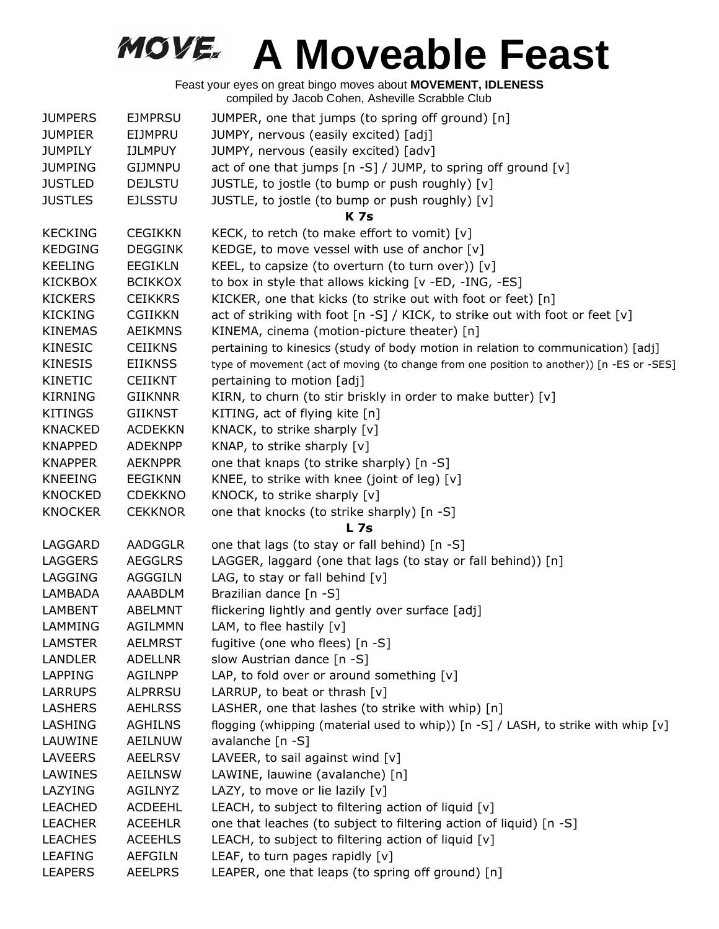| <b>JUMPERS</b> | <b>EJMPRSU</b> | JUMPER, one that jumps (to spring off ground) [n]                                         |
|----------------|----------------|-------------------------------------------------------------------------------------------|
| <b>JUMPIER</b> | EIJMPRU        | JUMPY, nervous (easily excited) [adj]                                                     |
| <b>JUMPILY</b> | <b>IJLMPUY</b> | JUMPY, nervous (easily excited) [adv]                                                     |
| <b>JUMPING</b> | <b>GIJMNPU</b> | act of one that jumps [n -S] / JUMP, to spring off ground [v]                             |
| <b>JUSTLED</b> | <b>DEJLSTU</b> | JUSTLE, to jostle (to bump or push roughly) [v]                                           |
| <b>JUSTLES</b> | <b>EJLSSTU</b> | JUSTLE, to jostle (to bump or push roughly) [v]                                           |
|                |                | <b>K7s</b>                                                                                |
| <b>KECKING</b> | <b>CEGIKKN</b> | KECK, to retch (to make effort to vomit) [v]                                              |
| <b>KEDGING</b> | <b>DEGGINK</b> | KEDGE, to move vessel with use of anchor [v]                                              |
| <b>KEELING</b> | <b>EEGIKLN</b> | KEEL, to capsize (to overturn (to turn over)) $[v]$                                       |
| <b>KICKBOX</b> | <b>BCIKKOX</b> | to box in style that allows kicking [v -ED, -ING, -ES]                                    |
| <b>KICKERS</b> | <b>CEIKKRS</b> | KICKER, one that kicks (to strike out with foot or feet) [n]                              |
| <b>KICKING</b> | <b>CGIIKKN</b> | act of striking with foot [n -S] / KICK, to strike out with foot or feet [v]              |
| <b>KINEMAS</b> | <b>AEIKMNS</b> | KINEMA, cinema (motion-picture theater) [n]                                               |
| <b>KINESIC</b> | <b>CEIIKNS</b> | pertaining to kinesics (study of body motion in relation to communication) [adj]          |
| <b>KINESIS</b> | <b>EIIKNSS</b> | type of movement (act of moving (to change from one position to another)) [n -ES or -SES] |
| KINETIC        | <b>CEIIKNT</b> | pertaining to motion [adj]                                                                |
| <b>KIRNING</b> | <b>GIIKNNR</b> | KIRN, to churn (to stir briskly in order to make butter) [v]                              |
| <b>KITINGS</b> | <b>GIIKNST</b> | KITING, act of flying kite [n]                                                            |
| <b>KNACKED</b> | <b>ACDEKKN</b> | KNACK, to strike sharply [v]                                                              |
| <b>KNAPPED</b> | <b>ADEKNPP</b> | KNAP, to strike sharply [v]                                                               |
| <b>KNAPPER</b> | <b>AEKNPPR</b> | one that knaps (to strike sharply) [n -S]                                                 |
| <b>KNEEING</b> | <b>EEGIKNN</b> | KNEE, to strike with knee (joint of leg) [v]                                              |
| <b>KNOCKED</b> | <b>CDEKKNO</b> | KNOCK, to strike sharply [v]                                                              |
| <b>KNOCKER</b> | <b>CEKKNOR</b> | one that knocks (to strike sharply) [n -S]                                                |
|                |                | L <sub>7s</sub>                                                                           |
| LAGGARD        | <b>AADGGLR</b> | one that lags (to stay or fall behind) [n -S]                                             |
| LAGGERS        | <b>AEGGLRS</b> | LAGGER, laggard (one that lags (to stay or fall behind)) [n]                              |
| LAGGING        | AGGGILN        | LAG, to stay or fall behind $[v]$                                                         |
| LAMBADA        | AAABDLM        | Brazilian dance [n -S]                                                                    |
| <b>LAMBENT</b> | <b>ABELMNT</b> | flickering lightly and gently over surface [adj]                                          |
| LAMMING        | <b>AGILMMN</b> | LAM, to flee hastily $[v]$                                                                |
| <b>LAMSTER</b> | <b>AELMRST</b> | fugitive (one who flees) [n -S]                                                           |
| <b>LANDLER</b> | <b>ADELLNR</b> | slow Austrian dance [n -S]                                                                |
| <b>LAPPING</b> | <b>AGILNPP</b> | LAP, to fold over or around something $[v]$                                               |
| <b>LARRUPS</b> | <b>ALPRRSU</b> | LARRUP, to beat or thrash $[v]$                                                           |
| <b>LASHERS</b> | <b>AEHLRSS</b> | LASHER, one that lashes (to strike with whip) [n]                                         |
| LASHING        | <b>AGHILNS</b> | flogging (whipping (material used to whip)) [n -S] / LASH, to strike with whip [v]        |
| LAUWINE        | <b>AEILNUW</b> | avalanche [n -S]                                                                          |
| <b>LAVEERS</b> | <b>AEELRSV</b> | LAVEER, to sail against wind [v]                                                          |
| LAWINES        | <b>AEILNSW</b> | LAWINE, lauwine (avalanche) [n]                                                           |
| LAZYING        | AGILNYZ        | LAZY, to move or lie lazily [v]                                                           |
| <b>LEACHED</b> | <b>ACDEEHL</b> | LEACH, to subject to filtering action of liquid $[v]$                                     |
| <b>LEACHER</b> | <b>ACEEHLR</b> | one that leaches (to subject to filtering action of liquid) [n -S]                        |
| <b>LEACHES</b> | <b>ACEEHLS</b> | LEACH, to subject to filtering action of liquid $[v]$                                     |
| <b>LEAFING</b> | <b>AEFGILN</b> | LEAF, to turn pages rapidly $[v]$                                                         |
| <b>LEAPERS</b> | <b>AEELPRS</b> | LEAPER, one that leaps (to spring off ground) [n]                                         |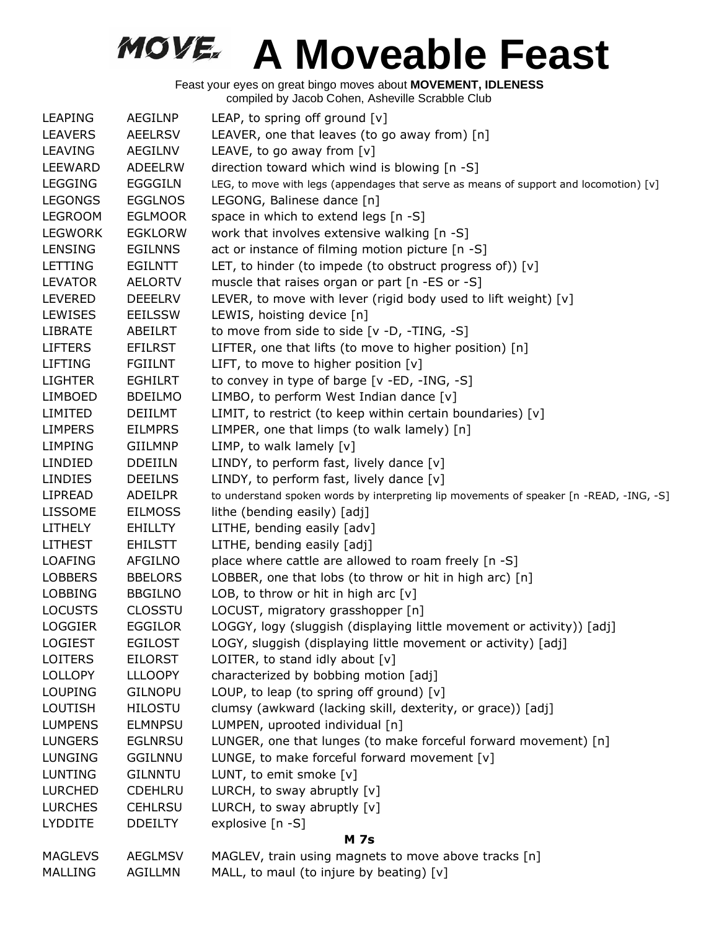| <b>LEAPING</b> | AEGILNP        | LEAP, to spring off ground [v]                                                          |  |
|----------------|----------------|-----------------------------------------------------------------------------------------|--|
| <b>LEAVERS</b> | <b>AEELRSV</b> | LEAVER, one that leaves (to go away from) [n]                                           |  |
| <b>LEAVING</b> | AEGILNV        | LEAVE, to go away from [v]                                                              |  |
| <b>LEEWARD</b> | <b>ADEELRW</b> | direction toward which wind is blowing [n -S]                                           |  |
| <b>LEGGING</b> | <b>EGGGILN</b> | LEG, to move with legs (appendages that serve as means of support and locomotion) [v]   |  |
| <b>LEGONGS</b> | <b>EGGLNOS</b> | LEGONG, Balinese dance [n]                                                              |  |
| <b>LEGROOM</b> | <b>EGLMOOR</b> | space in which to extend legs [n -S]                                                    |  |
| <b>LEGWORK</b> | <b>EGKLORW</b> | work that involves extensive walking [n -S]                                             |  |
| <b>LENSING</b> | <b>EGILNNS</b> | act or instance of filming motion picture [n -S]                                        |  |
| LETTING        | EGILNTT        | LET, to hinder (to impede (to obstruct progress of)) $[v]$                              |  |
| <b>LEVATOR</b> | <b>AELORTV</b> | muscle that raises organ or part [n -ES or -S]                                          |  |
| <b>LEVERED</b> | <b>DEEELRV</b> | LEVER, to move with lever (rigid body used to lift weight) [v]                          |  |
| <b>LEWISES</b> | EEILSSW        | LEWIS, hoisting device [n]                                                              |  |
| <b>LIBRATE</b> | ABEILRT        | to move from side to side [v -D, -TING, -S]                                             |  |
| <b>LIFTERS</b> | <b>EFILRST</b> | LIFTER, one that lifts (to move to higher position) [n]                                 |  |
| <b>LIFTING</b> | <b>FGIILNT</b> | LIFT, to move to higher position [v]                                                    |  |
| <b>LIGHTER</b> | <b>EGHILRT</b> | to convey in type of barge [v -ED, -ING, -S]                                            |  |
| <b>LIMBOED</b> | <b>BDEILMO</b> | LIMBO, to perform West Indian dance [v]                                                 |  |
| LIMITED        | <b>DEIILMT</b> | LIMIT, to restrict (to keep within certain boundaries) [v]                              |  |
| <b>LIMPERS</b> | <b>EILMPRS</b> | LIMPER, one that limps (to walk lamely) [n]                                             |  |
| <b>LIMPING</b> | <b>GIILMNP</b> | LIMP, to walk lamely [v]                                                                |  |
| LINDIED        | <b>DDEIILN</b> | LINDY, to perform fast, lively dance [v]                                                |  |
| <b>LINDIES</b> | <b>DEEILNS</b> | LINDY, to perform fast, lively dance [v]                                                |  |
| LIPREAD        | ADEILPR        | to understand spoken words by interpreting lip movements of speaker [n -READ, -ING, -S] |  |
| <b>LISSOME</b> | <b>EILMOSS</b> | lithe (bending easily) [adj]                                                            |  |
| <b>LITHELY</b> | EHILLTY        | LITHE, bending easily [adv]                                                             |  |
| <b>LITHEST</b> | <b>EHILSTT</b> | LITHE, bending easily [adj]                                                             |  |
| <b>LOAFING</b> | <b>AFGILNO</b> | place where cattle are allowed to roam freely [n -S]                                    |  |
| <b>LOBBERS</b> | <b>BBELORS</b> | LOBBER, one that lobs (to throw or hit in high arc) [n]                                 |  |
| <b>LOBBING</b> | <b>BBGILNO</b> | LOB, to throw or hit in high arc $[v]$                                                  |  |
| <b>LOCUSTS</b> | <b>CLOSSTU</b> | LOCUST, migratory grasshopper [n]                                                       |  |
| <b>LOGGIER</b> | <b>EGGILOR</b> | LOGGY, logy (sluggish (displaying little movement or activity)) [adj]                   |  |
| <b>LOGIEST</b> | <b>EGILOST</b> | LOGY, sluggish (displaying little movement or activity) [adj]                           |  |
| <b>LOITERS</b> | EILORST        | LOITER, to stand idly about $[v]$                                                       |  |
| <b>LOLLOPY</b> | <b>LLLOOPY</b> | characterized by bobbing motion [adj]                                                   |  |
| <b>LOUPING</b> | <b>GILNOPU</b> | LOUP, to leap (to spring off ground) $[v]$                                              |  |
| <b>LOUTISH</b> | <b>HILOSTU</b> | clumsy (awkward (lacking skill, dexterity, or grace)) [adj]                             |  |
| <b>LUMPENS</b> | <b>ELMNPSU</b> | LUMPEN, uprooted individual [n]                                                         |  |
| <b>LUNGERS</b> | <b>EGLNRSU</b> | LUNGER, one that lunges (to make forceful forward movement) [n]                         |  |
| <b>LUNGING</b> | <b>GGILNNU</b> | LUNGE, to make forceful forward movement [v]                                            |  |
| <b>LUNTING</b> | <b>GILNNTU</b> | LUNT, to emit smoke [v]                                                                 |  |
| <b>LURCHED</b> | <b>CDEHLRU</b> | LURCH, to sway abruptly $[v]$                                                           |  |
| <b>LURCHES</b> | <b>CEHLRSU</b> | LURCH, to sway abruptly $[v]$                                                           |  |
| <b>LYDDITE</b> | <b>DDEILTY</b> | explosive [n -S]                                                                        |  |
| <b>M</b> 7s    |                |                                                                                         |  |
| <b>MAGLEVS</b> | <b>AEGLMSV</b> | MAGLEV, train using magnets to move above tracks [n]                                    |  |
| <b>MALLING</b> | <b>AGILLMN</b> | MALL, to maul (to injure by beating) [v]                                                |  |
|                |                |                                                                                         |  |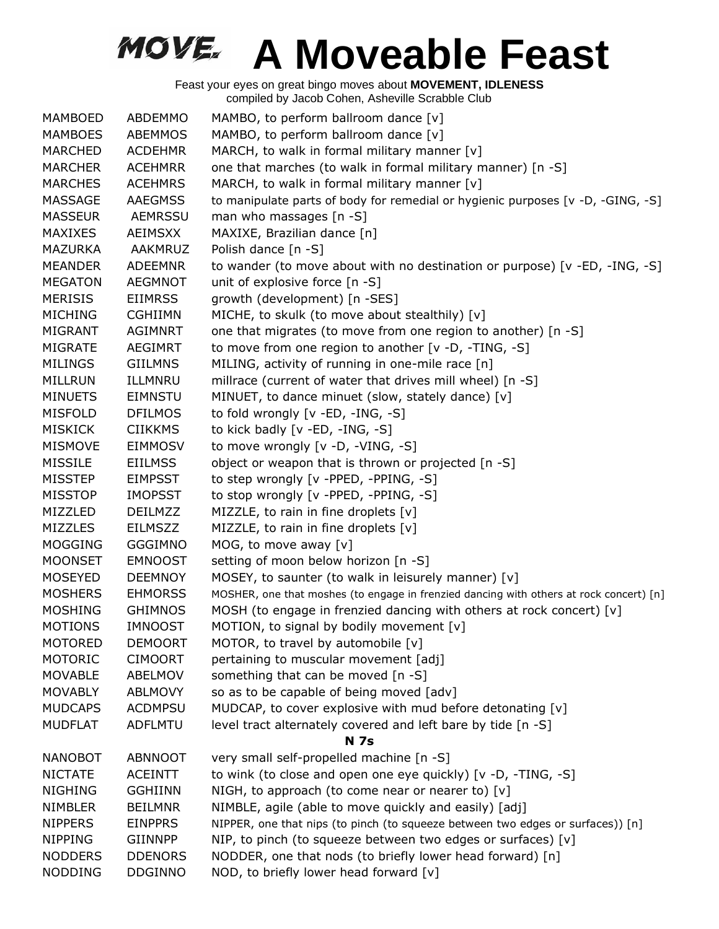| <b>MAMBOED</b> | ABDEMMO        | MAMBO, to perform ballroom dance [v]                                                    |
|----------------|----------------|-----------------------------------------------------------------------------------------|
| <b>MAMBOES</b> | ABEMMOS        | MAMBO, to perform ballroom dance [v]                                                    |
| <b>MARCHED</b> | <b>ACDEHMR</b> | MARCH, to walk in formal military manner [v]                                            |
| <b>MARCHER</b> | <b>ACEHMRR</b> | one that marches (to walk in formal military manner) [n -S]                             |
| <b>MARCHES</b> | <b>ACEHMRS</b> | MARCH, to walk in formal military manner [v]                                            |
| <b>MASSAGE</b> | <b>AAEGMSS</b> | to manipulate parts of body for remedial or hygienic purposes [v -D, -GING, -S]         |
| <b>MASSEUR</b> | <b>AEMRSSU</b> | man who massages [n -S]                                                                 |
| <b>MAXIXES</b> | <b>AEIMSXX</b> | MAXIXE, Brazilian dance [n]                                                             |
| <b>MAZURKA</b> | <b>AAKMRUZ</b> | Polish dance [n -S]                                                                     |
| <b>MEANDER</b> | <b>ADEEMNR</b> | to wander (to move about with no destination or purpose) [ $v$ -ED, -ING, -S]           |
| <b>MEGATON</b> | <b>AEGMNOT</b> | unit of explosive force [n -S]                                                          |
| <b>MERISIS</b> | <b>EIIMRSS</b> | growth (development) [n -SES]                                                           |
| <b>MICHING</b> | <b>CGHIIMN</b> | MICHE, to skulk (to move about stealthily) [v]                                          |
| <b>MIGRANT</b> | <b>AGIMNRT</b> | one that migrates (to move from one region to another) [n -S]                           |
| <b>MIGRATE</b> | <b>AEGIMRT</b> | to move from one region to another $[v -D, -TING, -S]$                                  |
| <b>MILINGS</b> | <b>GIILMNS</b> | MILING, activity of running in one-mile race [n]                                        |
| MILLRUN        | ILLMNRU        | millrace (current of water that drives mill wheel) [n -S]                               |
| <b>MINUETS</b> | <b>EIMNSTU</b> | MINUET, to dance minuet (slow, stately dance) [v]                                       |
| <b>MISFOLD</b> | <b>DFILMOS</b> | to fold wrongly [v -ED, -ING, -S]                                                       |
| <b>MISKICK</b> | <b>CIIKKMS</b> | to kick badly [v -ED, -ING, -S]                                                         |
| <b>MISMOVE</b> | <b>EIMMOSV</b> | to move wrongly [v -D, -VING, -S]                                                       |
| <b>MISSILE</b> | <b>EIILMSS</b> | object or weapon that is thrown or projected [n -S]                                     |
| <b>MISSTEP</b> | EIMPSST        | to step wrongly [v -PPED, -PPING, -S]                                                   |
| <b>MISSTOP</b> | <b>IMOPSST</b> | to stop wrongly [v -PPED, -PPING, -S]                                                   |
| MIZZLED        | <b>DEILMZZ</b> | MIZZLE, to rain in fine droplets $[v]$                                                  |
| <b>MIZZLES</b> | <b>EILMSZZ</b> | MIZZLE, to rain in fine droplets [v]                                                    |
| <b>MOGGING</b> | <b>GGGIMNO</b> | MOG, to move away [v]                                                                   |
| <b>MOONSET</b> | <b>EMNOOST</b> | setting of moon below horizon [n -S]                                                    |
| <b>MOSEYED</b> | <b>DEEMNOY</b> | MOSEY, to saunter (to walk in leisurely manner) [v]                                     |
| <b>MOSHERS</b> | <b>EHMORSS</b> | MOSHER, one that moshes (to engage in frenzied dancing with others at rock concert) [n] |
| <b>MOSHING</b> | <b>GHIMNOS</b> | MOSH (to engage in frenzied dancing with others at rock concert) [v]                    |
| <b>MOTIONS</b> | <b>IMNOOST</b> | MOTION, to signal by bodily movement [v]                                                |
| <b>MOTORED</b> | <b>DEMOORT</b> | MOTOR, to travel by automobile [v]                                                      |
| <b>MOTORIC</b> | <b>CIMOORT</b> | pertaining to muscular movement [adj]                                                   |
| <b>MOVABLE</b> | ABELMOV        | something that can be moved [n -S]                                                      |
| <b>MOVABLY</b> | ABLMOVY        | so as to be capable of being moved [adv]                                                |
| <b>MUDCAPS</b> | <b>ACDMPSU</b> | MUDCAP, to cover explosive with mud before detonating [v]                               |
| <b>MUDFLAT</b> | <b>ADFLMTU</b> | level tract alternately covered and left bare by tide [n -S]                            |
|                |                | <b>N</b> 7s                                                                             |
| <b>NANOBOT</b> | <b>ABNNOOT</b> | very small self-propelled machine [n -S]                                                |
| <b>NICTATE</b> | <b>ACEINTT</b> | to wink (to close and open one eye quickly) [v -D, -TING, -S]                           |
| <b>NIGHING</b> | <b>GGHIINN</b> | NIGH, to approach (to come near or nearer to) [v]                                       |
| <b>NIMBLER</b> | <b>BEILMNR</b> | NIMBLE, agile (able to move quickly and easily) [adj]                                   |
| <b>NIPPERS</b> | <b>EINPPRS</b> | NIPPER, one that nips (to pinch (to squeeze between two edges or surfaces)) [n]         |
| <b>NIPPING</b> | <b>GIINNPP</b> | NIP, to pinch (to squeeze between two edges or surfaces) [v]                            |
| <b>NODDERS</b> | <b>DDENORS</b> | NODDER, one that nods (to briefly lower head forward) [n]                               |
| <b>NODDING</b> | <b>DDGINNO</b> | NOD, to briefly lower head forward [v]                                                  |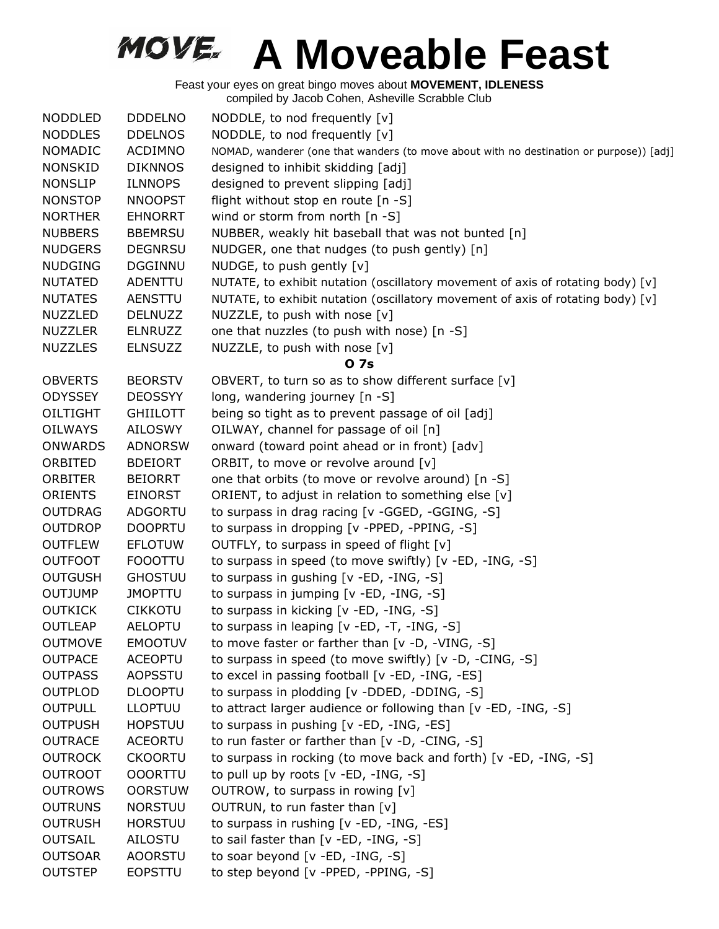| <b>NODDLED</b>  | <b>DDDELNO</b>  | NODDLE, to nod frequently [v]                                                           |
|-----------------|-----------------|-----------------------------------------------------------------------------------------|
| <b>NODDLES</b>  | <b>DDELNOS</b>  | NODDLE, to nod frequently [v]                                                           |
| <b>NOMADIC</b>  | <b>ACDIMNO</b>  | NOMAD, wanderer (one that wanders (to move about with no destination or purpose)) [adj] |
| <b>NONSKID</b>  | <b>DIKNNOS</b>  | designed to inhibit skidding [adj]                                                      |
| <b>NONSLIP</b>  | <b>ILNNOPS</b>  | designed to prevent slipping [adj]                                                      |
| <b>NONSTOP</b>  | <b>NNOOPST</b>  | flight without stop en route [n -S]                                                     |
| <b>NORTHER</b>  | <b>EHNORRT</b>  | wind or storm from north [n -S]                                                         |
| <b>NUBBERS</b>  | <b>BBEMRSU</b>  | NUBBER, weakly hit baseball that was not bunted [n]                                     |
| <b>NUDGERS</b>  | <b>DEGNRSU</b>  | NUDGER, one that nudges (to push gently) [n]                                            |
| <b>NUDGING</b>  | <b>DGGINNU</b>  | NUDGE, to push gently [v]                                                               |
| <b>NUTATED</b>  | <b>ADENTTU</b>  | NUTATE, to exhibit nutation (oscillatory movement of axis of rotating body) [v]         |
| <b>NUTATES</b>  | AENSTTU         | NUTATE, to exhibit nutation (oscillatory movement of axis of rotating body) [v]         |
| <b>NUZZLED</b>  | <b>DELNUZZ</b>  | NUZZLE, to push with nose [v]                                                           |
| <b>NUZZLER</b>  | <b>ELNRUZZ</b>  | one that nuzzles (to push with nose) [n -S]                                             |
| <b>NUZZLES</b>  | <b>ELNSUZZ</b>  | NUZZLE, to push with nose [v]                                                           |
|                 |                 | 0 7s                                                                                    |
| <b>OBVERTS</b>  | <b>BEORSTV</b>  | OBVERT, to turn so as to show different surface [v]                                     |
| <b>ODYSSEY</b>  | <b>DEOSSYY</b>  | long, wandering journey [n -S]                                                          |
| <b>OILTIGHT</b> | <b>GHIILOTT</b> | being so tight as to prevent passage of oil [adj]                                       |
| <b>OILWAYS</b>  | <b>AILOSWY</b>  | OILWAY, channel for passage of oil [n]                                                  |
| <b>ONWARDS</b>  | <b>ADNORSW</b>  | onward (toward point ahead or in front) [adv]                                           |
| ORBITED         | <b>BDEIORT</b>  | ORBIT, to move or revolve around [v]                                                    |
| <b>ORBITER</b>  | <b>BEIORRT</b>  | one that orbits (to move or revolve around) [n -S]                                      |
| <b>ORIENTS</b>  | <b>EINORST</b>  | ORIENT, to adjust in relation to something else [v]                                     |
| <b>OUTDRAG</b>  | ADGORTU         | to surpass in drag racing [v -GGED, -GGING, -S]                                         |
| <b>OUTDROP</b>  | <b>DOOPRTU</b>  | to surpass in dropping [v -PPED, -PPING, -S]                                            |
| <b>OUTFLEW</b>  | <b>EFLOTUW</b>  | OUTFLY, to surpass in speed of flight [v]                                               |
| <b>OUTFOOT</b>  | <b>FOOOTTU</b>  | to surpass in speed (to move swiftly) [v -ED, -ING, -S]                                 |
| <b>OUTGUSH</b>  | <b>GHOSTUU</b>  | to surpass in gushing [v -ED, -ING, -S]                                                 |
| <b>OUTJUMP</b>  | <b>JMOPTTU</b>  | to surpass in jumping [v -ED, -ING, -S]                                                 |
| <b>OUTKICK</b>  | <b>CIKKOTU</b>  | to surpass in kicking [v -ED, -ING, -S]                                                 |
| <b>OUTLEAP</b>  | <b>AELOPTU</b>  | to surpass in leaping [v -ED, -T, -ING, -S]                                             |
| <b>OUTMOVE</b>  | <b>EMOOTUV</b>  | to move faster or farther than [v -D, -VING, -S]                                        |
| <b>OUTPACE</b>  | <b>ACEOPTU</b>  | to surpass in speed (to move swiftly) [v -D, -CING, -S]                                 |
| <b>OUTPASS</b>  | AOPSSTU         | to excel in passing football [v -ED, -ING, -ES]                                         |
| <b>OUTPLOD</b>  | <b>DLOOPTU</b>  | to surpass in plodding [v -DDED, -DDING, -S]                                            |
| <b>OUTPULL</b>  | <b>LLOPTUU</b>  | to attract larger audience or following than [v -ED, -ING, -S]                          |
| <b>OUTPUSH</b>  | <b>HOPSTUU</b>  | to surpass in pushing [v -ED, -ING, -ES]                                                |
| <b>OUTRACE</b>  | <b>ACEORTU</b>  | to run faster or farther than [v -D, -CING, -S]                                         |
| <b>OUTROCK</b>  | <b>CKOORTU</b>  | to surpass in rocking (to move back and forth) [v -ED, -ING, -S]                        |
| <b>OUTROOT</b>  | <b>OOORTTU</b>  | to pull up by roots $[v - ED, -ING, -S]$                                                |
| <b>OUTROWS</b>  | <b>OORSTUW</b>  | OUTROW, to surpass in rowing [v]                                                        |
| <b>OUTRUNS</b>  | <b>NORSTUU</b>  | OUTRUN, to run faster than [v]                                                          |
| <b>OUTRUSH</b>  | <b>HORSTUU</b>  | to surpass in rushing [v -ED, -ING, -ES]                                                |
| OUTSAIL         | AILOSTU         | to sail faster than [v -ED, -ING, -S]                                                   |
| <b>OUTSOAR</b>  | <b>AOORSTU</b>  | to soar beyond [v -ED, -ING, -S]                                                        |
| <b>OUTSTEP</b>  | <b>EOPSTTU</b>  | to step beyond [v -PPED, -PPING, -S]                                                    |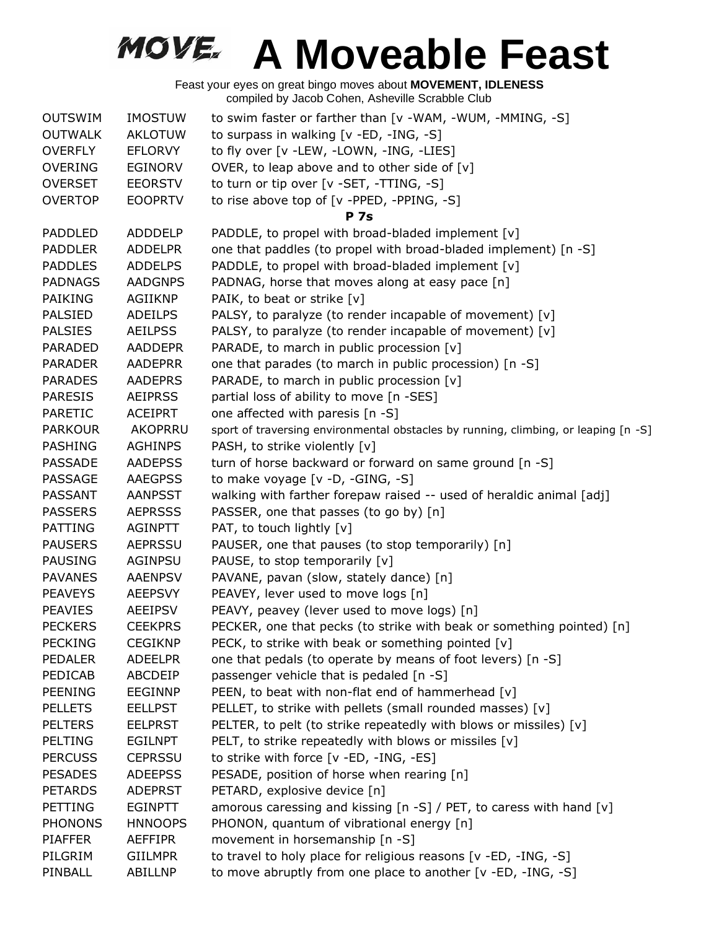| <b>OUTSWIM</b> | <b>IMOSTUW</b> | to swim faster or farther than [v -WAM, -WUM, -MMING, -S]                           |
|----------------|----------------|-------------------------------------------------------------------------------------|
| <b>OUTWALK</b> | <b>AKLOTUW</b> | to surpass in walking [v -ED, -ING, -S]                                             |
| <b>OVERFLY</b> | <b>EFLORVY</b> | to fly over [v -LEW, -LOWN, -ING, -LIES]                                            |
| <b>OVERING</b> | EGINORV        | OVER, to leap above and to other side of $[v]$                                      |
| <b>OVERSET</b> | <b>EEORSTV</b> | to turn or tip over [v -SET, -TTING, -S]                                            |
| <b>OVERTOP</b> | <b>EOOPRTV</b> | to rise above top of [v -PPED, -PPING, -S]                                          |
|                |                | <b>P</b> 7s                                                                         |
| <b>PADDLED</b> | <b>ADDDELP</b> | PADDLE, to propel with broad-bladed implement [v]                                   |
| <b>PADDLER</b> | <b>ADDELPR</b> | one that paddles (to propel with broad-bladed implement) [n -S]                     |
| <b>PADDLES</b> | <b>ADDELPS</b> | PADDLE, to propel with broad-bladed implement [v]                                   |
| <b>PADNAGS</b> | <b>AADGNPS</b> | PADNAG, horse that moves along at easy pace [n]                                     |
| <b>PAIKING</b> | <b>AGIIKNP</b> | PAIK, to beat or strike [v]                                                         |
| <b>PALSIED</b> | <b>ADEILPS</b> | PALSY, to paralyze (to render incapable of movement) [v]                            |
| <b>PALSIES</b> | <b>AEILPSS</b> | PALSY, to paralyze (to render incapable of movement) [v]                            |
| <b>PARADED</b> | <b>AADDEPR</b> | PARADE, to march in public procession [v]                                           |
| <b>PARADER</b> | <b>AADEPRR</b> | one that parades (to march in public procession) [n -S]                             |
| <b>PARADES</b> | <b>AADEPRS</b> | PARADE, to march in public procession [v]                                           |
| <b>PARESIS</b> | <b>AEIPRSS</b> | partial loss of ability to move [n -SES]                                            |
| <b>PARETIC</b> | <b>ACEIPRT</b> | one affected with paresis [n -S]                                                    |
| <b>PARKOUR</b> | <b>AKOPRRU</b> | sport of traversing environmental obstacles by running, climbing, or leaping [n -S] |
| <b>PASHING</b> | <b>AGHINPS</b> | PASH, to strike violently [v]                                                       |
| <b>PASSADE</b> | <b>AADEPSS</b> | turn of horse backward or forward on same ground [n -S]                             |
| <b>PASSAGE</b> | <b>AAEGPSS</b> | to make voyage [v -D, -GING, -S]                                                    |
| PASSANT        | <b>AANPSST</b> | walking with farther forepaw raised -- used of heraldic animal [adj]                |
| <b>PASSERS</b> | <b>AEPRSSS</b> | PASSER, one that passes (to go by) [n]                                              |
| <b>PATTING</b> | <b>AGINPTT</b> | PAT, to touch lightly [v]                                                           |
| <b>PAUSERS</b> | <b>AEPRSSU</b> | PAUSER, one that pauses (to stop temporarily) [n]                                   |
| <b>PAUSING</b> | AGINPSU        | PAUSE, to stop temporarily [v]                                                      |
| <b>PAVANES</b> | <b>AAENPSV</b> | PAVANE, pavan (slow, stately dance) [n]                                             |
| <b>PEAVEYS</b> | <b>AEEPSVY</b> | PEAVEY, lever used to move logs [n]                                                 |
| <b>PEAVIES</b> | <b>AEEIPSV</b> | PEAVY, peavey (lever used to move logs) [n]                                         |
| <b>PECKERS</b> | <b>CEEKPRS</b> | PECKER, one that pecks (to strike with beak or something pointed) [n]               |
| <b>PECKING</b> | <b>CEGIKNP</b> | PECK, to strike with beak or something pointed [v]                                  |
| <b>PEDALER</b> | <b>ADEELPR</b> | one that pedals (to operate by means of foot levers) [n -S]                         |
| PEDICAB        | ABCDEIP        | passenger vehicle that is pedaled [n -S]                                            |
| <b>PEENING</b> | <b>EEGINNP</b> | PEEN, to beat with non-flat end of hammerhead [v]                                   |
| <b>PELLETS</b> | <b>EELLPST</b> | PELLET, to strike with pellets (small rounded masses) [v]                           |
| <b>PELTERS</b> | <b>EELPRST</b> | PELTER, to pelt (to strike repeatedly with blows or missiles) [v]                   |
| <b>PELTING</b> | <b>EGILNPT</b> | PELT, to strike repeatedly with blows or missiles [v]                               |
| <b>PERCUSS</b> | <b>CEPRSSU</b> | to strike with force [v -ED, -ING, -ES]                                             |
| <b>PESADES</b> | <b>ADEEPSS</b> | PESADE, position of horse when rearing [n]                                          |
| <b>PETARDS</b> | <b>ADEPRST</b> | PETARD, explosive device [n]                                                        |
| PETTING        | <b>EGINPTT</b> | amorous caressing and kissing $[n-S]$ / PET, to caress with hand $[v]$              |
| <b>PHONONS</b> | <b>HNNOOPS</b> | PHONON, quantum of vibrational energy [n]                                           |
| <b>PIAFFER</b> | <b>AEFFIPR</b> | movement in horsemanship [n -S]                                                     |
| PILGRIM        | <b>GIILMPR</b> | to travel to holy place for religious reasons [v -ED, -ING, -S]                     |
| PINBALL        | <b>ABILLNP</b> | to move abruptly from one place to another [v -ED, -ING, -S]                        |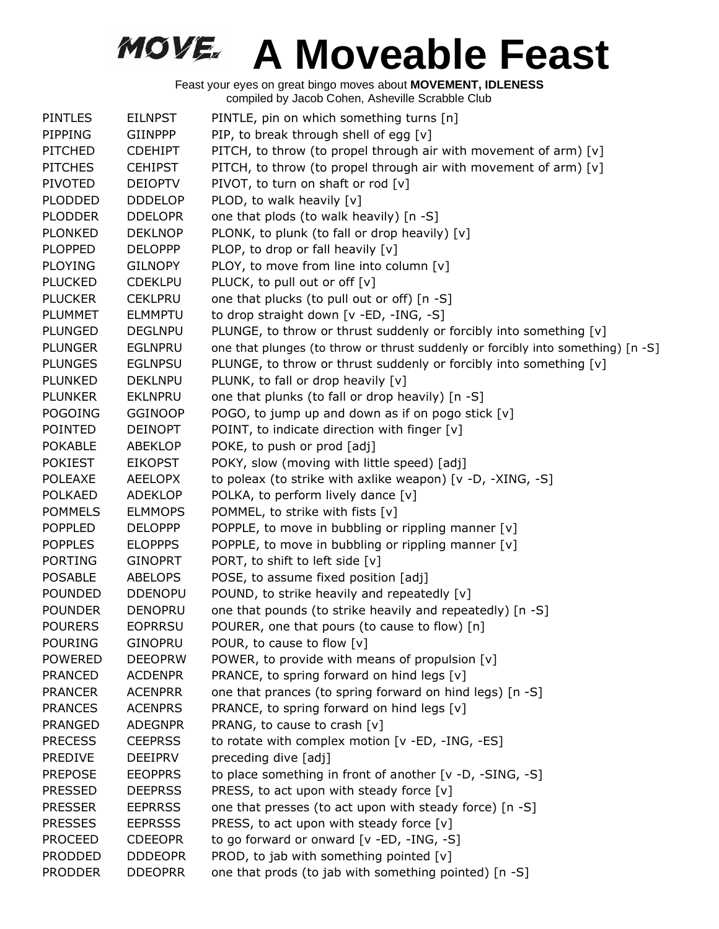| <b>PINTLES</b> | <b>EILNPST</b> | PINTLE, pin on which something turns [n]                                         |
|----------------|----------------|----------------------------------------------------------------------------------|
| PIPPING        | <b>GIINPPP</b> | PIP, to break through shell of egg [v]                                           |
| <b>PITCHED</b> | <b>CDEHIPT</b> | PITCH, to throw (to propel through air with movement of arm) [v]                 |
| <b>PITCHES</b> | <b>CEHIPST</b> | PITCH, to throw (to propel through air with movement of arm) [v]                 |
| PIVOTED        | <b>DEIOPTV</b> | PIVOT, to turn on shaft or rod [v]                                               |
| <b>PLODDED</b> | <b>DDDELOP</b> | PLOD, to walk heavily [v]                                                        |
| <b>PLODDER</b> | <b>DDELOPR</b> | one that plods (to walk heavily) [n -S]                                          |
| <b>PLONKED</b> | <b>DEKLNOP</b> | PLONK, to plunk (to fall or drop heavily) [v]                                    |
| <b>PLOPPED</b> | <b>DELOPPP</b> | PLOP, to drop or fall heavily [v]                                                |
| <b>PLOYING</b> | <b>GILNOPY</b> | PLOY, to move from line into column [v]                                          |
| <b>PLUCKED</b> | <b>CDEKLPU</b> | PLUCK, to pull out or off [v]                                                    |
| <b>PLUCKER</b> | <b>CEKLPRU</b> | one that plucks (to pull out or off) [n -S]                                      |
| <b>PLUMMET</b> | <b>ELMMPTU</b> | to drop straight down [v -ED, -ING, -S]                                          |
| <b>PLUNGED</b> | <b>DEGLNPU</b> | PLUNGE, to throw or thrust suddenly or forcibly into something [v]               |
| <b>PLUNGER</b> | <b>EGLNPRU</b> | one that plunges (to throw or thrust suddenly or forcibly into something) [n -S] |
| <b>PLUNGES</b> | <b>EGLNPSU</b> | PLUNGE, to throw or thrust suddenly or forcibly into something [v]               |
| <b>PLUNKED</b> | <b>DEKLNPU</b> | PLUNK, to fall or drop heavily [v]                                               |
| <b>PLUNKER</b> | <b>EKLNPRU</b> | one that plunks (to fall or drop heavily) [n -S]                                 |
| <b>POGOING</b> | <b>GGINOOP</b> | POGO, to jump up and down as if on pogo stick [v]                                |
| <b>POINTED</b> | <b>DEINOPT</b> | POINT, to indicate direction with finger [v]                                     |
| <b>POKABLE</b> | <b>ABEKLOP</b> | POKE, to push or prod [adj]                                                      |
| <b>POKIEST</b> | <b>EIKOPST</b> | POKY, slow (moving with little speed) [adj]                                      |
| <b>POLEAXE</b> | <b>AEELOPX</b> | to poleax (to strike with axlike weapon) [v -D, -XING, -S]                       |
| <b>POLKAED</b> | <b>ADEKLOP</b> | POLKA, to perform lively dance [v]                                               |
| <b>POMMELS</b> | <b>ELMMOPS</b> | POMMEL, to strike with fists [v]                                                 |
| <b>POPPLED</b> | <b>DELOPPP</b> | POPPLE, to move in bubbling or rippling manner [v]                               |
| <b>POPPLES</b> | <b>ELOPPPS</b> | POPPLE, to move in bubbling or rippling manner [v]                               |
| <b>PORTING</b> | <b>GINOPRT</b> | PORT, to shift to left side [v]                                                  |
| <b>POSABLE</b> | <b>ABELOPS</b> | POSE, to assume fixed position [adj]                                             |
| <b>POUNDED</b> | <b>DDENOPU</b> | POUND, to strike heavily and repeatedly [v]                                      |
| <b>POUNDER</b> | <b>DENOPRU</b> | one that pounds (to strike heavily and repeatedly) [n -S]                        |
| <b>POURERS</b> | <b>EOPRRSU</b> | POURER, one that pours (to cause to flow) [n]                                    |
| <b>POURING</b> | <b>GINOPRU</b> | POUR, to cause to flow [v]                                                       |
| <b>POWERED</b> | <b>DEEOPRW</b> | POWER, to provide with means of propulsion [v]                                   |
| <b>PRANCED</b> | <b>ACDENPR</b> | PRANCE, to spring forward on hind legs [v]                                       |
| <b>PRANCER</b> | <b>ACENPRR</b> | one that prances (to spring forward on hind legs) [n -S]                         |
| <b>PRANCES</b> | <b>ACENPRS</b> | PRANCE, to spring forward on hind legs [v]                                       |
| <b>PRANGED</b> | <b>ADEGNPR</b> | PRANG, to cause to crash [v]                                                     |
| <b>PRECESS</b> | <b>CEEPRSS</b> | to rotate with complex motion [v -ED, -ING, -ES]                                 |
| <b>PREDIVE</b> | <b>DEEIPRV</b> | preceding dive [adj]                                                             |
| <b>PREPOSE</b> | <b>EEOPPRS</b> | to place something in front of another [v -D, -SING, -S]                         |
| <b>PRESSED</b> | <b>DEEPRSS</b> | PRESS, to act upon with steady force [v]                                         |
| <b>PRESSER</b> | <b>EEPRRSS</b> | one that presses (to act upon with steady force) [n -S]                          |
| <b>PRESSES</b> | <b>EEPRSSS</b> | PRESS, to act upon with steady force [v]                                         |
| <b>PROCEED</b> | <b>CDEEOPR</b> | to go forward or onward [v -ED, -ING, -S]                                        |
| <b>PRODDED</b> | <b>DDDEOPR</b> | PROD, to jab with something pointed [v]                                          |
| <b>PRODDER</b> | <b>DDEOPRR</b> | one that prods (to jab with something pointed) [n -S]                            |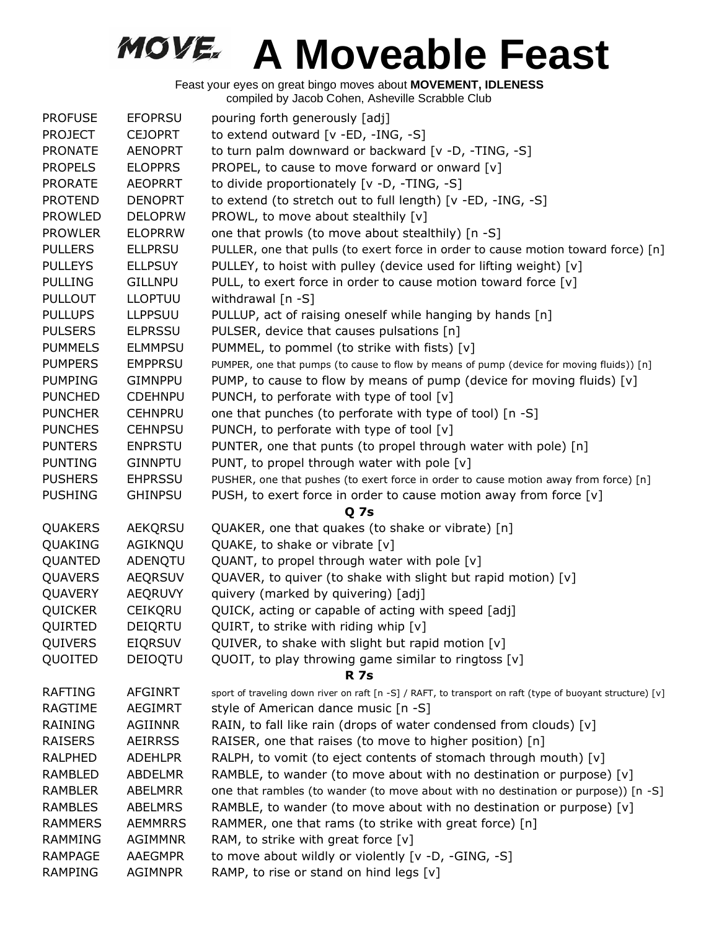| <b>PROFUSE</b> | <b>EFOPRSU</b> | pouring forth generously [adj]                                                                            |
|----------------|----------------|-----------------------------------------------------------------------------------------------------------|
| <b>PROJECT</b> | <b>CEJOPRT</b> | to extend outward [v -ED, -ING, -S]                                                                       |
| <b>PRONATE</b> | <b>AENOPRT</b> | to turn palm downward or backward [v -D, -TING, -S]                                                       |
| <b>PROPELS</b> | <b>ELOPPRS</b> | PROPEL, to cause to move forward or onward [v]                                                            |
| <b>PRORATE</b> | <b>AEOPRRT</b> | to divide proportionately [v -D, -TING, -S]                                                               |
| <b>PROTEND</b> | <b>DENOPRT</b> | to extend (to stretch out to full length) [v -ED, -ING, -S]                                               |
| <b>PROWLED</b> | <b>DELOPRW</b> | PROWL, to move about stealthily [v]                                                                       |
| <b>PROWLER</b> | <b>ELOPRRW</b> | one that prowls (to move about stealthily) [n -S]                                                         |
| <b>PULLERS</b> | <b>ELLPRSU</b> | PULLER, one that pulls (to exert force in order to cause motion toward force) [n]                         |
| <b>PULLEYS</b> | <b>ELLPSUY</b> | PULLEY, to hoist with pulley (device used for lifting weight) [v]                                         |
| <b>PULLING</b> | <b>GILLNPU</b> | PULL, to exert force in order to cause motion toward force [v]                                            |
| <b>PULLOUT</b> | <b>LLOPTUU</b> | withdrawal [n -S]                                                                                         |
| <b>PULLUPS</b> | <b>LLPPSUU</b> | PULLUP, act of raising oneself while hanging by hands [n]                                                 |
| <b>PULSERS</b> | <b>ELPRSSU</b> | PULSER, device that causes pulsations [n]                                                                 |
| <b>PUMMELS</b> | <b>ELMMPSU</b> | PUMMEL, to pommel (to strike with fists) [v]                                                              |
| <b>PUMPERS</b> | <b>EMPPRSU</b> | PUMPER, one that pumps (to cause to flow by means of pump (device for moving fluids)) [n]                 |
| <b>PUMPING</b> | <b>GIMNPPU</b> | PUMP, to cause to flow by means of pump (device for moving fluids) $[v]$                                  |
| <b>PUNCHED</b> | <b>CDEHNPU</b> | PUNCH, to perforate with type of tool [v]                                                                 |
| <b>PUNCHER</b> | <b>CEHNPRU</b> | one that punches (to perforate with type of tool) [n -S]                                                  |
| <b>PUNCHES</b> | <b>CEHNPSU</b> | PUNCH, to perforate with type of tool [v]                                                                 |
| <b>PUNTERS</b> | <b>ENPRSTU</b> | PUNTER, one that punts (to propel through water with pole) [n]                                            |
| <b>PUNTING</b> | <b>GINNPTU</b> | PUNT, to propel through water with pole [v]                                                               |
| <b>PUSHERS</b> | <b>EHPRSSU</b> | PUSHER, one that pushes (to exert force in order to cause motion away from force) [n]                     |
| <b>PUSHING</b> | <b>GHINPSU</b> | PUSH, to exert force in order to cause motion away from force [v]                                         |
|                |                | <b>Q7s</b>                                                                                                |
| QUAKERS        | AEKQRSU        | QUAKER, one that quakes (to shake or vibrate) [n]                                                         |
| QUAKING        | AGIKNQU        | QUAKE, to shake or vibrate [v]                                                                            |
| QUANTED        | ADENQTU        | QUANT, to propel through water with pole [v]                                                              |
| QUAVERS        | <b>AEQRSUV</b> | QUAVER, to quiver (to shake with slight but rapid motion) [v]                                             |
| QUAVERY        | <b>AEQRUVY</b> | quivery (marked by quivering) [adj]                                                                       |
| QUICKER        | <b>CEIKQRU</b> | QUICK, acting or capable of acting with speed [adj]                                                       |
| QUIRTED        | DEIQRTU        | QUIRT, to strike with riding whip [v]                                                                     |
| QUIVERS        | <b>EIQRSUV</b> | QUIVER, to shake with slight but rapid motion [v]                                                         |
| QUOITED        | DEIOQTU        | QUOIT, to play throwing game similar to ringtoss [v]                                                      |
|                |                | <b>R</b> 7s                                                                                               |
| <b>RAFTING</b> | <b>AFGINRT</b> | sport of traveling down river on raft [n -S] / RAFT, to transport on raft (type of buoyant structure) [v] |
| RAGTIME        | <b>AEGIMRT</b> | style of American dance music [n -S]                                                                      |
| <b>RAINING</b> | <b>AGIINNR</b> | RAIN, to fall like rain (drops of water condensed from clouds) [v]                                        |
| <b>RAISERS</b> | <b>AEIRRSS</b> | RAISER, one that raises (to move to higher position) [n]                                                  |
| <b>RALPHED</b> | <b>ADEHLPR</b> | RALPH, to vomit (to eject contents of stomach through mouth) [v]                                          |
| RAMBLED        | <b>ABDELMR</b> | RAMBLE, to wander (to move about with no destination or purpose) [v]                                      |
| <b>RAMBLER</b> | <b>ABELMRR</b> | one that rambles (to wander (to move about with no destination or purpose)) [n -S]                        |
| <b>RAMBLES</b> | <b>ABELMRS</b> | RAMBLE, to wander (to move about with no destination or purpose) [v]                                      |
| <b>RAMMERS</b> | <b>AEMMRRS</b> | RAMMER, one that rams (to strike with great force) [n]                                                    |
| <b>RAMMING</b> | <b>AGIMMNR</b> | RAM, to strike with great force $[v]$                                                                     |
| <b>RAMPAGE</b> | <b>AAEGMPR</b> | to move about wildly or violently [v -D, -GING, -S]                                                       |
| <b>RAMPING</b> | AGIMNPR        | RAMP, to rise or stand on hind legs [v]                                                                   |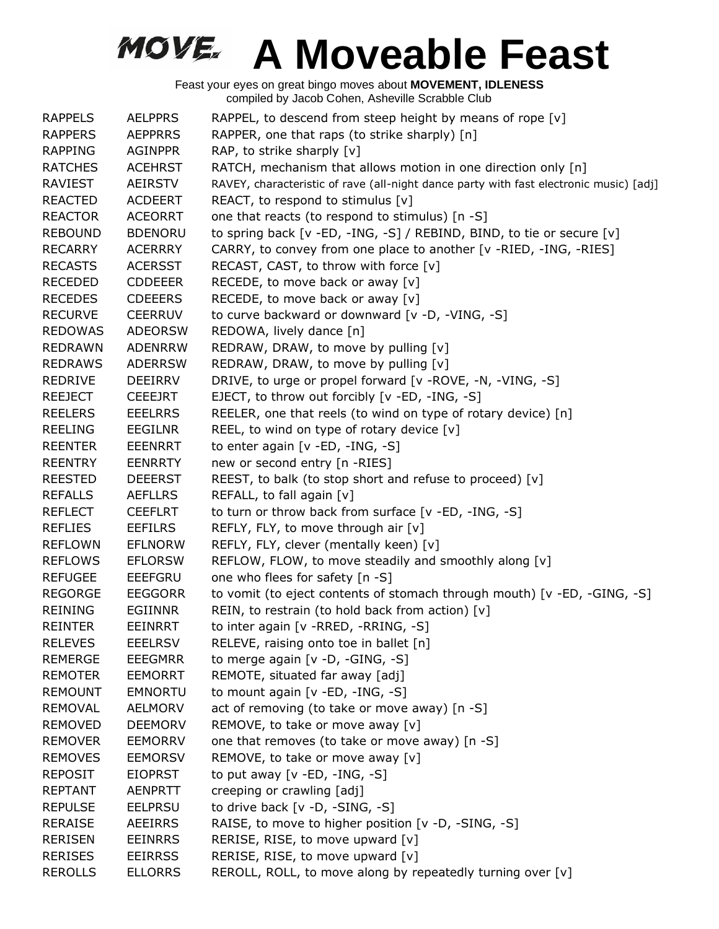| <b>RAPPELS</b> | <b>AELPPRS</b> | RAPPEL, to descend from steep height by means of rope [v]                              |
|----------------|----------------|----------------------------------------------------------------------------------------|
| <b>RAPPERS</b> | <b>AEPPRRS</b> | RAPPER, one that raps (to strike sharply) [n]                                          |
| <b>RAPPING</b> | <b>AGINPPR</b> | RAP, to strike sharply [v]                                                             |
| <b>RATCHES</b> | <b>ACEHRST</b> | RATCH, mechanism that allows motion in one direction only [n]                          |
| RAVIEST        | AEIRSTV        | RAVEY, characteristic of rave (all-night dance party with fast electronic music) [adj] |
| <b>REACTED</b> | <b>ACDEERT</b> | REACT, to respond to stimulus $[v]$                                                    |
| <b>REACTOR</b> | <b>ACEORRT</b> | one that reacts (to respond to stimulus) [n -S]                                        |
| <b>REBOUND</b> | <b>BDENORU</b> | to spring back [v -ED, -ING, -S] / REBIND, BIND, to tie or secure [v]                  |
| <b>RECARRY</b> | <b>ACERRRY</b> | CARRY, to convey from one place to another [v -RIED, -ING, -RIES]                      |
| <b>RECASTS</b> | <b>ACERSST</b> | RECAST, CAST, to throw with force [v]                                                  |
| <b>RECEDED</b> | <b>CDDEEER</b> | RECEDE, to move back or away [v]                                                       |
| <b>RECEDES</b> | <b>CDEEERS</b> | RECEDE, to move back or away [v]                                                       |
| <b>RECURVE</b> | <b>CEERRUV</b> | to curve backward or downward [v -D, -VING, -S]                                        |
| <b>REDOWAS</b> | <b>ADEORSW</b> | REDOWA, lively dance [n]                                                               |
| <b>REDRAWN</b> | <b>ADENRRW</b> | REDRAW, DRAW, to move by pulling [v]                                                   |
| <b>REDRAWS</b> | <b>ADERRSW</b> | REDRAW, DRAW, to move by pulling [v]                                                   |
| <b>REDRIVE</b> | <b>DEEIRRV</b> | DRIVE, to urge or propel forward [v -ROVE, -N, -VING, -S]                              |
| <b>REEJECT</b> | <b>CEEEJRT</b> | EJECT, to throw out forcibly [v -ED, -ING, -S]                                         |
| <b>REELERS</b> | <b>EEELRRS</b> | REELER, one that reels (to wind on type of rotary device) [n]                          |
| <b>REELING</b> | EEGILNR        | REEL, to wind on type of rotary device [v]                                             |
| <b>REENTER</b> | <b>EEENRRT</b> | to enter again [v -ED, -ING, -S]                                                       |
| <b>REENTRY</b> | <b>EENRRTY</b> | new or second entry [n -RIES]                                                          |
| <b>REESTED</b> | <b>DEEERST</b> | REEST, to balk (to stop short and refuse to proceed) [v]                               |
| <b>REFALLS</b> | <b>AEFLLRS</b> | REFALL, to fall again [v]                                                              |
| <b>REFLECT</b> | <b>CEEFLRT</b> | to turn or throw back from surface [v -ED, -ING, -S]                                   |
| <b>REFLIES</b> | <b>EEFILRS</b> | REFLY, FLY, to move through air [v]                                                    |
| <b>REFLOWN</b> | <b>EFLNORW</b> | REFLY, FLY, clever (mentally keen) [v]                                                 |
| <b>REFLOWS</b> | <b>EFLORSW</b> | REFLOW, FLOW, to move steadily and smoothly along [v]                                  |
| <b>REFUGEE</b> | <b>EEEFGRU</b> | one who flees for safety [n -S]                                                        |
| <b>REGORGE</b> | <b>EEGGORR</b> | to vomit (to eject contents of stomach through mouth) [v -ED, -GING, -S]               |
| <b>REINING</b> | <b>EGIINNR</b> | REIN, to restrain (to hold back from action) [v]                                       |
| <b>REINTER</b> | EEINRRT        | to inter again [v - RRED, - RRING, - S]                                                |
| <b>RELEVES</b> | <b>EEELRSV</b> | RELEVE, raising onto toe in ballet [n]                                                 |
| <b>REMERGE</b> | <b>EEEGMRR</b> | to merge again [v -D, -GING, -S]                                                       |
| <b>REMOTER</b> | <b>EEMORRT</b> | REMOTE, situated far away [adj]                                                        |
| <b>REMOUNT</b> | <b>EMNORTU</b> | to mount again [v -ED, -ING, -S]                                                       |
| <b>REMOVAL</b> | <b>AELMORV</b> | act of removing (to take or move away) [n -S]                                          |
| <b>REMOVED</b> | <b>DEEMORV</b> | REMOVE, to take or move away [v]                                                       |
| <b>REMOVER</b> | <b>EEMORRV</b> | one that removes (to take or move away) [n -S]                                         |
| <b>REMOVES</b> | <b>EEMORSV</b> | REMOVE, to take or move away [v]                                                       |
| <b>REPOSIT</b> | <b>EIOPRST</b> | to put away $[v - ED, -ING, -S]$                                                       |
| <b>REPTANT</b> | <b>AENPRTT</b> | creeping or crawling [adj]                                                             |
| <b>REPULSE</b> | <b>EELPRSU</b> | to drive back [v -D, -SING, -S]                                                        |
| <b>RERAISE</b> | <b>AEEIRRS</b> | RAISE, to move to higher position [v -D, -SING, -S]                                    |
| <b>RERISEN</b> | <b>EEINRRS</b> | RERISE, RISE, to move upward [v]                                                       |
| <b>RERISES</b> | <b>EEIRRSS</b> | RERISE, RISE, to move upward [v]                                                       |
| <b>REROLLS</b> | <b>ELLORRS</b> | REROLL, ROLL, to move along by repeatedly turning over [v]                             |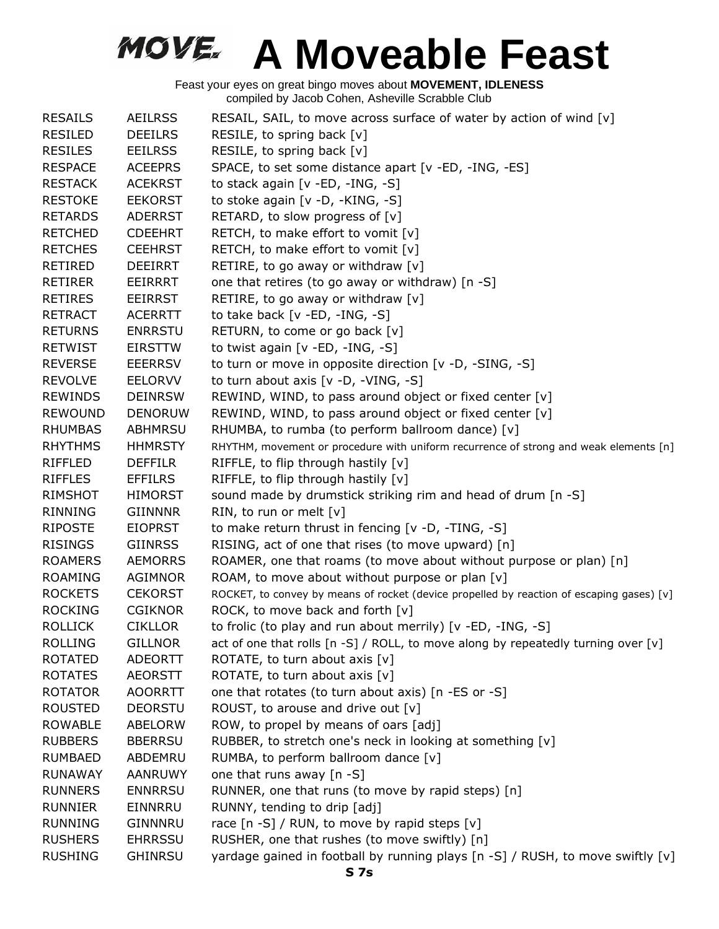| <b>RESAILS</b> | <b>AEILRSS</b> | RESAIL, SAIL, to move across surface of water by action of wind [v]                       |
|----------------|----------------|-------------------------------------------------------------------------------------------|
| RESILED        | <b>DEEILRS</b> | RESILE, to spring back [v]                                                                |
| <b>RESILES</b> | <b>EEILRSS</b> | RESILE, to spring back [v]                                                                |
| <b>RESPACE</b> | <b>ACEEPRS</b> | SPACE, to set some distance apart [v -ED, -ING, -ES]                                      |
| <b>RESTACK</b> | <b>ACEKRST</b> | to stack again [v -ED, -ING, -S]                                                          |
| <b>RESTOKE</b> | <b>EEKORST</b> | to stoke again [v -D, -KING, -S]                                                          |
| <b>RETARDS</b> | <b>ADERRST</b> | RETARD, to slow progress of [v]                                                           |
| <b>RETCHED</b> | <b>CDEEHRT</b> | RETCH, to make effort to vomit [v]                                                        |
| <b>RETCHES</b> | <b>CEEHRST</b> | RETCH, to make effort to vomit [v]                                                        |
| <b>RETIRED</b> | DEEIRRT        | RETIRE, to go away or withdraw [v]                                                        |
| <b>RETIRER</b> | EEIRRRT        | one that retires (to go away or withdraw) [n -S]                                          |
| <b>RETIRES</b> | <b>EEIRRST</b> | RETIRE, to go away or withdraw [v]                                                        |
| <b>RETRACT</b> | <b>ACERRTT</b> | to take back [v -ED, -ING, -S]                                                            |
| <b>RETURNS</b> | <b>ENRRSTU</b> | RETURN, to come or go back [v]                                                            |
| <b>RETWIST</b> | <b>EIRSTTW</b> | to twist again $[v - ED, -ING, -S]$                                                       |
| <b>REVERSE</b> | <b>EEERRSV</b> | to turn or move in opposite direction [v -D, -SING, -S]                                   |
| <b>REVOLVE</b> | <b>EELORVV</b> | to turn about axis $[v -D, -VING, -S]$                                                    |
| <b>REWINDS</b> | <b>DEINRSW</b> | REWIND, WIND, to pass around object or fixed center [v]                                   |
| <b>REWOUND</b> | <b>DENORUW</b> | REWIND, WIND, to pass around object or fixed center [v]                                   |
| <b>RHUMBAS</b> | <b>ABHMRSU</b> | RHUMBA, to rumba (to perform ballroom dance) [v]                                          |
| <b>RHYTHMS</b> | <b>HHMRSTY</b> | RHYTHM, movement or procedure with uniform recurrence of strong and weak elements [n]     |
| <b>RIFFLED</b> | <b>DEFFILR</b> | RIFFLE, to flip through hastily [v]                                                       |
| <b>RIFFLES</b> | <b>EFFILRS</b> | RIFFLE, to flip through hastily [v]                                                       |
| <b>RIMSHOT</b> | <b>HIMORST</b> | sound made by drumstick striking rim and head of drum [n -S]                              |
| <b>RINNING</b> | <b>GIINNNR</b> | RIN, to run or melt [v]                                                                   |
| <b>RIPOSTE</b> | <b>EIOPRST</b> | to make return thrust in fencing [v -D, -TING, -S]                                        |
| <b>RISINGS</b> | <b>GIINRSS</b> | RISING, act of one that rises (to move upward) [n]                                        |
| <b>ROAMERS</b> | <b>AEMORRS</b> | ROAMER, one that roams (to move about without purpose or plan) [n]                        |
| <b>ROAMING</b> | AGIMNOR        | ROAM, to move about without purpose or plan [v]                                           |
| <b>ROCKETS</b> | <b>CEKORST</b> | ROCKET, to convey by means of rocket (device propelled by reaction of escaping gases) [v] |
| <b>ROCKING</b> | <b>CGIKNOR</b> | ROCK, to move back and forth [v]                                                          |
| <b>ROLLICK</b> | <b>CIKLLOR</b> | to frolic (to play and run about merrily) [v -ED, -ING, -S]                               |
| <b>ROLLING</b> | <b>GILLNOR</b> | act of one that rolls [n -S] / ROLL, to move along by repeatedly turning over [v]         |
| <b>ROTATED</b> | <b>ADEORTT</b> | ROTATE, to turn about axis [v]                                                            |
| <b>ROTATES</b> | <b>AEORSTT</b> | ROTATE, to turn about axis [v]                                                            |
| <b>ROTATOR</b> | <b>AOORRTT</b> | one that rotates (to turn about axis) [n -ES or -S]                                       |
| <b>ROUSTED</b> | <b>DEORSTU</b> | ROUST, to arouse and drive out [v]                                                        |
| <b>ROWABLE</b> | ABELORW        | ROW, to propel by means of oars [adj]                                                     |
| <b>RUBBERS</b> | <b>BBERRSU</b> | RUBBER, to stretch one's neck in looking at something [v]                                 |
|                |                |                                                                                           |
| <b>RUMBAED</b> | ABDEMRU        | RUMBA, to perform ballroom dance [v]                                                      |
| <b>RUNAWAY</b> | <b>AANRUWY</b> | one that runs away [n -S]                                                                 |
| <b>RUNNERS</b> | <b>ENNRRSU</b> | RUNNER, one that runs (to move by rapid steps) [n]                                        |
| <b>RUNNIER</b> | EINNRRU        | RUNNY, tending to drip [adj]                                                              |
| <b>RUNNING</b> | GINNNRU        | race [n -S] / RUN, to move by rapid steps [v]                                             |
| <b>RUSHERS</b> | <b>EHRRSSU</b> | RUSHER, one that rushes (to move swiftly) [n]                                             |
| <b>RUSHING</b> | <b>GHINRSU</b> | yardage gained in football by running plays [n -S] / RUSH, to move swiftly [v]            |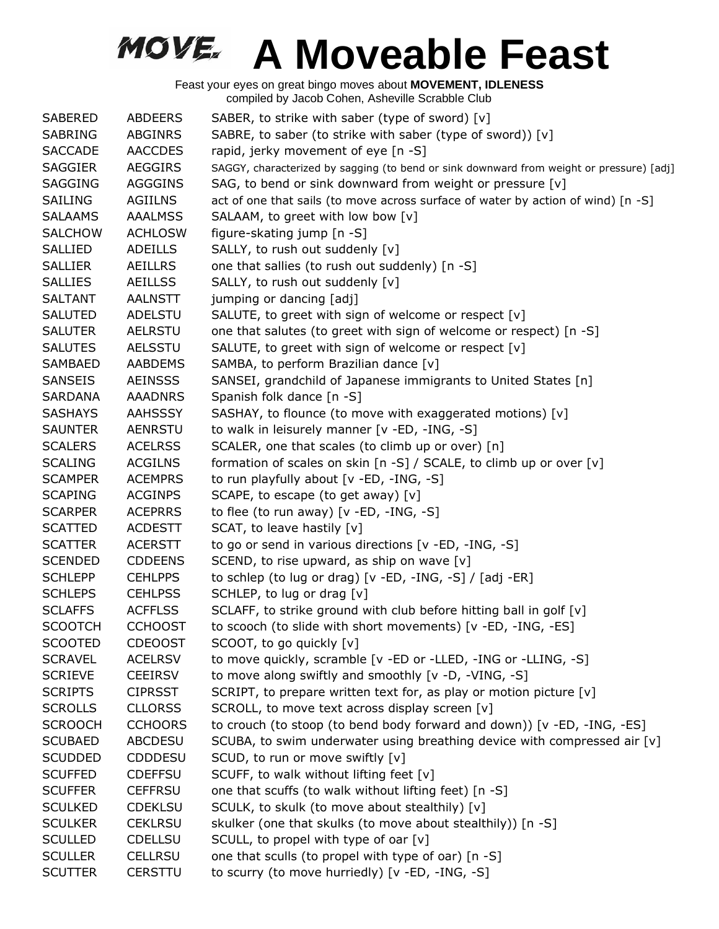| <b>SABERED</b> | <b>ABDEERS</b> | SABER, to strike with saber (type of sword) [v]                                          |
|----------------|----------------|------------------------------------------------------------------------------------------|
| SABRING        | <b>ABGINRS</b> | SABRE, to saber (to strike with saber (type of sword)) [v]                               |
| <b>SACCADE</b> | <b>AACCDES</b> | rapid, jerky movement of eye [n -S]                                                      |
| <b>SAGGIER</b> | <b>AEGGIRS</b> | SAGGY, characterized by sagging (to bend or sink downward from weight or pressure) [adj] |
| <b>SAGGING</b> | <b>AGGGINS</b> | SAG, to bend or sink downward from weight or pressure [v]                                |
| <b>SAILING</b> | <b>AGIILNS</b> | act of one that sails (to move across surface of water by action of wind) [n -S]         |
| <b>SALAAMS</b> | <b>AAALMSS</b> | SALAAM, to greet with low bow [v]                                                        |
| <b>SALCHOW</b> | <b>ACHLOSW</b> | figure-skating jump [n -S]                                                               |
| <b>SALLIED</b> | <b>ADEILLS</b> | SALLY, to rush out suddenly [v]                                                          |
| <b>SALLIER</b> | <b>AEILLRS</b> | one that sallies (to rush out suddenly) [n -S]                                           |
| <b>SALLIES</b> | <b>AEILLSS</b> | SALLY, to rush out suddenly [v]                                                          |
| <b>SALTANT</b> | <b>AALNSTT</b> | jumping or dancing [adj]                                                                 |
| <b>SALUTED</b> | ADELSTU        | SALUTE, to greet with sign of welcome or respect [v]                                     |
| <b>SALUTER</b> | <b>AELRSTU</b> | one that salutes (to greet with sign of welcome or respect) [n -S]                       |
| <b>SALUTES</b> | <b>AELSSTU</b> | SALUTE, to greet with sign of welcome or respect [v]                                     |
| <b>SAMBAED</b> | <b>AABDEMS</b> | SAMBA, to perform Brazilian dance [v]                                                    |
| <b>SANSEIS</b> | <b>AEINSSS</b> | SANSEI, grandchild of Japanese immigrants to United States [n]                           |
| <b>SARDANA</b> | <b>AAADNRS</b> | Spanish folk dance [n -S]                                                                |
| <b>SASHAYS</b> | <b>AAHSSSY</b> | SASHAY, to flounce (to move with exaggerated motions) [v]                                |
| <b>SAUNTER</b> | AENRSTU        | to walk in leisurely manner [v -ED, -ING, -S]                                            |
| <b>SCALERS</b> | <b>ACELRSS</b> | SCALER, one that scales (to climb up or over) [n]                                        |
| <b>SCALING</b> | <b>ACGILNS</b> | formation of scales on skin [n -S] / SCALE, to climb up or over [v]                      |
| <b>SCAMPER</b> | <b>ACEMPRS</b> | to run playfully about [v -ED, -ING, -S]                                                 |
| <b>SCAPING</b> | <b>ACGINPS</b> | SCAPE, to escape (to get away) [v]                                                       |
| <b>SCARPER</b> | <b>ACEPRRS</b> | to flee (to run away) $[v - ED, -ING, -S]$                                               |
| <b>SCATTED</b> | <b>ACDESTT</b> | SCAT, to leave hastily [v]                                                               |
| <b>SCATTER</b> | <b>ACERSTT</b> | to go or send in various directions [v -ED, -ING, -S]                                    |
| <b>SCENDED</b> | <b>CDDEENS</b> | SCEND, to rise upward, as ship on wave [v]                                               |
| <b>SCHLEPP</b> | <b>CEHLPPS</b> | to schlep (to lug or drag) [v -ED, -ING, -S] / [adj -ER]                                 |
| <b>SCHLEPS</b> | <b>CEHLPSS</b> | SCHLEP, to lug or drag [v]                                                               |
| <b>SCLAFFS</b> | <b>ACFFLSS</b> | SCLAFF, to strike ground with club before hitting ball in golf [v]                       |
| <b>SCOOTCH</b> | <b>CCHOOST</b> | to scooch (to slide with short movements) [v -ED, -ING, -ES]                             |
| <b>SCOOTED</b> | <b>CDEOOST</b> | SCOOT, to go quickly [v]                                                                 |
| <b>SCRAVEL</b> | <b>ACELRSV</b> | to move quickly, scramble [v -ED or -LLED, -ING or -LLING, -S]                           |
| <b>SCRIEVE</b> | <b>CEEIRSV</b> | to move along swiftly and smoothly [v -D, -VING, -S]                                     |
| <b>SCRIPTS</b> | <b>CIPRSST</b> | SCRIPT, to prepare written text for, as play or motion picture [v]                       |
| <b>SCROLLS</b> | <b>CLLORSS</b> | SCROLL, to move text across display screen [v]                                           |
| <b>SCROOCH</b> | <b>CCHOORS</b> | to crouch (to stoop (to bend body forward and down)) [v -ED, -ING, -ES]                  |
| <b>SCUBAED</b> | <b>ABCDESU</b> | SCUBA, to swim underwater using breathing device with compressed air [v]                 |
| <b>SCUDDED</b> | <b>CDDDESU</b> | SCUD, to run or move swiftly [v]                                                         |
| <b>SCUFFED</b> | <b>CDEFFSU</b> | SCUFF, to walk without lifting feet [v]                                                  |
| <b>SCUFFER</b> | <b>CEFFRSU</b> | one that scuffs (to walk without lifting feet) [n -S]                                    |
| <b>SCULKED</b> | <b>CDEKLSU</b> | SCULK, to skulk (to move about stealthily) [v]                                           |
| <b>SCULKER</b> | <b>CEKLRSU</b> | skulker (one that skulks (to move about stealthily)) [n -S]                              |
| <b>SCULLED</b> | <b>CDELLSU</b> | SCULL, to propel with type of oar [v]                                                    |
| <b>SCULLER</b> | <b>CELLRSU</b> | one that sculls (to propel with type of oar) [n -S]                                      |
| <b>SCUTTER</b> | <b>CERSTTU</b> | to scurry (to move hurriedly) [v -ED, -ING, -S]                                          |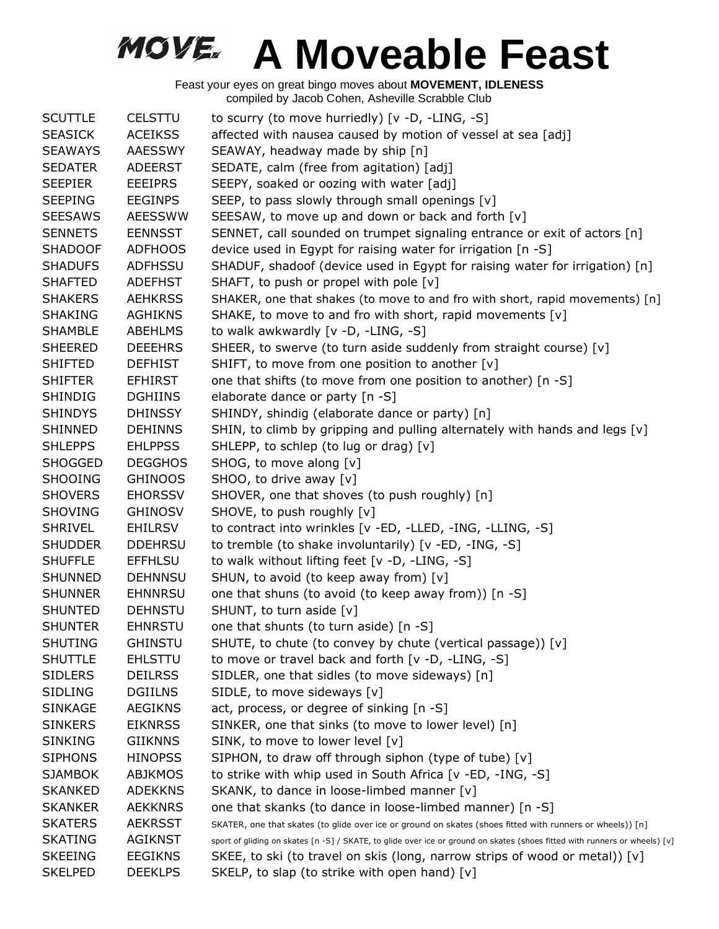| <b>SCUTTLE</b> | <b>CELSTTU</b> | to scurry (to move hurriedly) [v -D, -LING, -S]                                                                            |
|----------------|----------------|----------------------------------------------------------------------------------------------------------------------------|
| <b>SEASICK</b> | <b>ACEIKSS</b> | affected with nausea caused by motion of vessel at sea [adj]                                                               |
| <b>SEAWAYS</b> | AAESSWY        | SEAWAY, headway made by ship [n]                                                                                           |
| <b>SEDATER</b> | <b>ADEERST</b> | SEDATE, calm (free from agitation) [adj]                                                                                   |
| <b>SEEPIER</b> | <b>EEEIPRS</b> | SEEPY, soaked or oozing with water [adj]                                                                                   |
| <b>SEEPING</b> | <b>EEGINPS</b> | SEEP, to pass slowly through small openings [v]                                                                            |
| <b>SEESAWS</b> | <b>AEESSWW</b> | SEESAW, to move up and down or back and forth [v]                                                                          |
| <b>SENNETS</b> | <b>EENNSST</b> | SENNET, call sounded on trumpet signaling entrance or exit of actors [n]                                                   |
| <b>SHADOOF</b> | <b>ADFHOOS</b> | device used in Egypt for raising water for irrigation [n -S]                                                               |
| <b>SHADUFS</b> | <b>ADFHSSU</b> | SHADUF, shadoof (device used in Egypt for raising water for irrigation) [n]                                                |
| <b>SHAFTED</b> | <b>ADEFHST</b> | SHAFT, to push or propel with pole [v]                                                                                     |
| <b>SHAKERS</b> | <b>AEHKRSS</b> | SHAKER, one that shakes (to move to and fro with short, rapid movements) [n]                                               |
| <b>SHAKING</b> | <b>AGHIKNS</b> | SHAKE, to move to and fro with short, rapid movements [v]                                                                  |
| <b>SHAMBLE</b> | ABEHLMS        | to walk awkwardly [v -D, -LING, -S]                                                                                        |
| <b>SHEERED</b> | <b>DEEEHRS</b> | SHEER, to swerve (to turn aside suddenly from straight course) [v]                                                         |
| <b>SHIFTED</b> | <b>DEFHIST</b> | SHIFT, to move from one position to another [v]                                                                            |
| <b>SHIFTER</b> | <b>EFHIRST</b> | one that shifts (to move from one position to another) [n -S]                                                              |
| <b>SHINDIG</b> | <b>DGHIINS</b> | elaborate dance or party [n -S]                                                                                            |
| <b>SHINDYS</b> | <b>DHINSSY</b> | SHINDY, shindig (elaborate dance or party) [n]                                                                             |
| <b>SHINNED</b> | <b>DEHINNS</b> | SHIN, to climb by gripping and pulling alternately with hands and legs [v]                                                 |
| <b>SHLEPPS</b> | <b>EHLPPSS</b> | SHLEPP, to schlep (to lug or drag) [v]                                                                                     |
| <b>SHOGGED</b> | <b>DEGGHOS</b> | SHOG, to move along [v]                                                                                                    |
| <b>SHOOING</b> | <b>GHINOOS</b> | SHOO, to drive away [v]                                                                                                    |
| <b>SHOVERS</b> | <b>EHORSSV</b> | SHOVER, one that shoves (to push roughly) [n]                                                                              |
| <b>SHOVING</b> | <b>GHINOSV</b> | SHOVE, to push roughly [v]                                                                                                 |
| <b>SHRIVEL</b> | EHILRSV        | to contract into wrinkles [v -ED, -LLED, -ING, -LLING, -S]                                                                 |
| <b>SHUDDER</b> | <b>DDEHRSU</b> | to tremble (to shake involuntarily) [v -ED, -ING, -S]                                                                      |
| <b>SHUFFLE</b> | <b>EFFHLSU</b> | to walk without lifting feet [v -D, -LING, -S]                                                                             |
| <b>SHUNNED</b> | <b>DEHNNSU</b> | SHUN, to avoid (to keep away from) [v]                                                                                     |
| <b>SHUNNER</b> | <b>EHNNRSU</b> | one that shuns (to avoid (to keep away from)) [n -S]                                                                       |
| <b>SHUNTED</b> | <b>DEHNSTU</b> | SHUNT, to turn aside [v]                                                                                                   |
| <b>SHUNTER</b> | <b>EHNRSTU</b> | one that shunts (to turn aside) [n -S]                                                                                     |
| <b>SHUTING</b> | <b>GHINSTU</b> | SHUTE, to chute (to convey by chute (vertical passage)) [v]                                                                |
| <b>SHUTTLE</b> | <b>EHLSTTU</b> | to move or travel back and forth [v -D, -LING, -S]                                                                         |
| <b>SIDLERS</b> | <b>DEILRSS</b> | SIDLER, one that sidles (to move sideways) [n]                                                                             |
| <b>SIDLING</b> | <b>DGIILNS</b> | SIDLE, to move sideways [v]                                                                                                |
| <b>SINKAGE</b> | <b>AEGIKNS</b> | act, process, or degree of sinking [n -S]                                                                                  |
| <b>SINKERS</b> | <b>EIKNRSS</b> | SINKER, one that sinks (to move to lower level) [n]                                                                        |
| SINKING        | <b>GIIKNNS</b> | SINK, to move to lower level [v]                                                                                           |
| <b>SIPHONS</b> | <b>HINOPSS</b> | SIPHON, to draw off through siphon (type of tube) [v]                                                                      |
| <b>SJAMBOK</b> | ABJKMOS        | to strike with whip used in South Africa [v -ED, -ING, -S]                                                                 |
| <b>SKANKED</b> | <b>ADEKKNS</b> | SKANK, to dance in loose-limbed manner [v]                                                                                 |
| <b>SKANKER</b> | <b>AEKKNRS</b> | one that skanks (to dance in loose-limbed manner) [n -S]                                                                   |
| <b>SKATERS</b> | <b>AEKRSST</b> | SKATER, one that skates (to glide over ice or ground on skates (shoes fitted with runners or wheels)) [n]                  |
| <b>SKATING</b> | <b>AGIKNST</b> | sport of gliding on skates [n -S] / SKATE, to glide over ice or ground on skates (shoes fitted with runners or wheels) [v] |
| <b>SKEEING</b> | <b>EEGIKNS</b> | SKEE, to ski (to travel on skis (long, narrow strips of wood or metal)) [v]                                                |
| <b>SKELPED</b> | <b>DEEKLPS</b> | SKELP, to slap (to strike with open hand) [v]                                                                              |
|                |                |                                                                                                                            |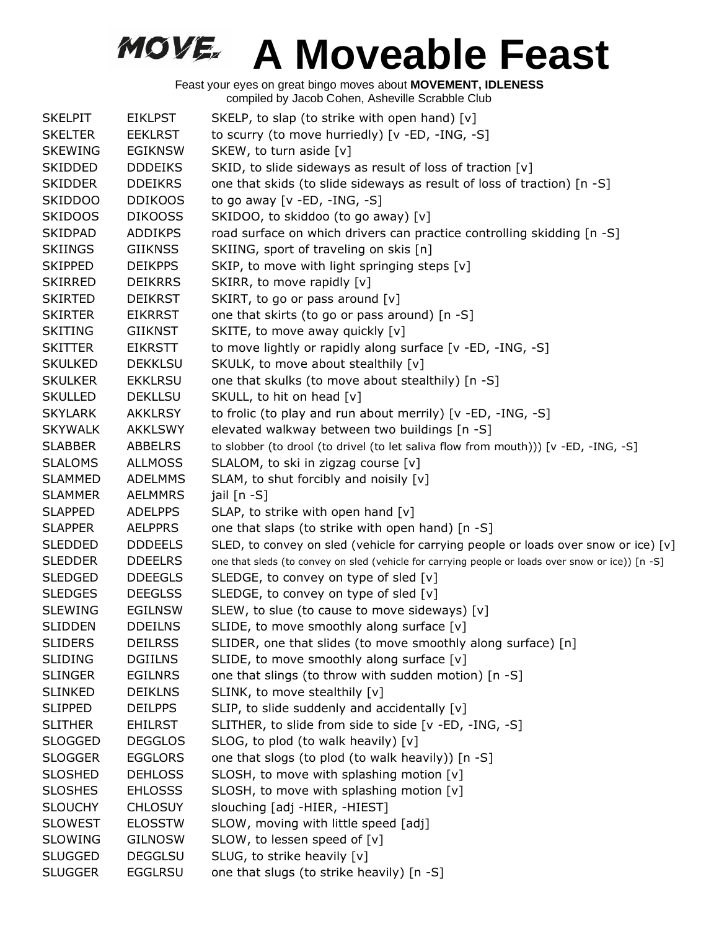| <b>SKELPIT</b> | <b>EIKLPST</b> | SKELP, to slap (to strike with open hand) [v]                                                     |
|----------------|----------------|---------------------------------------------------------------------------------------------------|
| <b>SKELTER</b> | <b>EEKLRST</b> | to scurry (to move hurriedly) [v -ED, -ING, -S]                                                   |
| <b>SKEWING</b> | <b>EGIKNSW</b> | SKEW, to turn aside [v]                                                                           |
| <b>SKIDDED</b> | <b>DDDEIKS</b> | SKID, to slide sideways as result of loss of traction [v]                                         |
| <b>SKIDDER</b> | <b>DDEIKRS</b> | one that skids (to slide sideways as result of loss of traction) [n -S]                           |
| <b>SKIDDOO</b> | <b>DDIKOOS</b> | to go away [ $v$ -ED, -ING, -S]                                                                   |
| <b>SKIDOOS</b> | <b>DIKOOSS</b> | SKIDOO, to skiddoo (to go away) [v]                                                               |
| <b>SKIDPAD</b> | <b>ADDIKPS</b> | road surface on which drivers can practice controlling skidding [n -S]                            |
| <b>SKIINGS</b> | <b>GIIKNSS</b> | SKIING, sport of traveling on skis [n]                                                            |
| <b>SKIPPED</b> | <b>DEIKPPS</b> | SKIP, to move with light springing steps [v]                                                      |
| <b>SKIRRED</b> | <b>DEIKRRS</b> | SKIRR, to move rapidly [v]                                                                        |
| <b>SKIRTED</b> | <b>DEIKRST</b> | SKIRT, to go or pass around [v]                                                                   |
| <b>SKIRTER</b> | <b>EIKRRST</b> | one that skirts (to go or pass around) [n -S]                                                     |
| <b>SKITING</b> | GIIKNST        | SKITE, to move away quickly [v]                                                                   |
| <b>SKITTER</b> | <b>EIKRSTT</b> | to move lightly or rapidly along surface [v -ED, -ING, -S]                                        |
| <b>SKULKED</b> | <b>DEKKLSU</b> | SKULK, to move about stealthily [v]                                                               |
| <b>SKULKER</b> | <b>EKKLRSU</b> | one that skulks (to move about stealthily) [n -S]                                                 |
| <b>SKULLED</b> | <b>DEKLLSU</b> | SKULL, to hit on head [v]                                                                         |
| <b>SKYLARK</b> | <b>AKKLRSY</b> | to frolic (to play and run about merrily) [v -ED, -ING, -S]                                       |
| <b>SKYWALK</b> | <b>AKKLSWY</b> | elevated walkway between two buildings [n -S]                                                     |
| <b>SLABBER</b> | ABBELRS        | to slobber (to drool (to drivel (to let saliva flow from mouth))) [v -ED, -ING, -S]               |
| <b>SLALOMS</b> | <b>ALLMOSS</b> | SLALOM, to ski in zigzag course [v]                                                               |
| <b>SLAMMED</b> | <b>ADELMMS</b> | SLAM, to shut forcibly and noisily [v]                                                            |
| <b>SLAMMER</b> | <b>AELMMRS</b> | jail $[n - S]$                                                                                    |
| <b>SLAPPED</b> | <b>ADELPPS</b> | SLAP, to strike with open hand [v]                                                                |
| <b>SLAPPER</b> | <b>AELPPRS</b> | one that slaps (to strike with open hand) [n -S]                                                  |
| <b>SLEDDED</b> | <b>DDDEELS</b> | SLED, to convey on sled (vehicle for carrying people or loads over snow or ice) [v]               |
| <b>SLEDDER</b> | <b>DDEELRS</b> | one that sleds (to convey on sled (vehicle for carrying people or loads over snow or ice)) [n -S] |
| <b>SLEDGED</b> | <b>DDEEGLS</b> | SLEDGE, to convey on type of sled [v]                                                             |
| <b>SLEDGES</b> | <b>DEEGLSS</b> | SLEDGE, to convey on type of sled [v]                                                             |
| <b>SLEWING</b> | <b>EGILNSW</b> | SLEW, to slue (to cause to move sideways) [v]                                                     |
| SLIDDEN        | <b>DDEILNS</b> | SLIDE, to move smoothly along surface [v]                                                         |
| <b>SLIDERS</b> | <b>DEILRSS</b> | SLIDER, one that slides (to move smoothly along surface) [n]                                      |
| <b>SLIDING</b> | DGIILNS        | SLIDE, to move smoothly along surface [v]                                                         |
| <b>SLINGER</b> | <b>EGILNRS</b> | one that slings (to throw with sudden motion) [n -S]                                              |
| <b>SLINKED</b> | <b>DEIKLNS</b> | SLINK, to move stealthily [v]                                                                     |
| <b>SLIPPED</b> | <b>DEILPPS</b> | SLIP, to slide suddenly and accidentally [v]                                                      |
| <b>SLITHER</b> | <b>EHILRST</b> | SLITHER, to slide from side to side [v -ED, -ING, -S]                                             |
| <b>SLOGGED</b> | <b>DEGGLOS</b> | SLOG, to plod (to walk heavily) [v]                                                               |
| <b>SLOGGER</b> | <b>EGGLORS</b> | one that slogs (to plod (to walk heavily)) [n -S]                                                 |
| <b>SLOSHED</b> | <b>DEHLOSS</b> | SLOSH, to move with splashing motion [v]                                                          |
| <b>SLOSHES</b> | <b>EHLOSSS</b> | SLOSH, to move with splashing motion [v]                                                          |
| <b>SLOUCHY</b> | <b>CHLOSUY</b> | slouching [adj -HIER, -HIEST]                                                                     |
| <b>SLOWEST</b> | <b>ELOSSTW</b> | SLOW, moving with little speed [adj]                                                              |
| <b>SLOWING</b> | <b>GILNOSW</b> | SLOW, to lessen speed of [v]                                                                      |
| <b>SLUGGED</b> | <b>DEGGLSU</b> | SLUG, to strike heavily [v]                                                                       |
| <b>SLUGGER</b> | <b>EGGLRSU</b> | one that slugs (to strike heavily) [n -S]                                                         |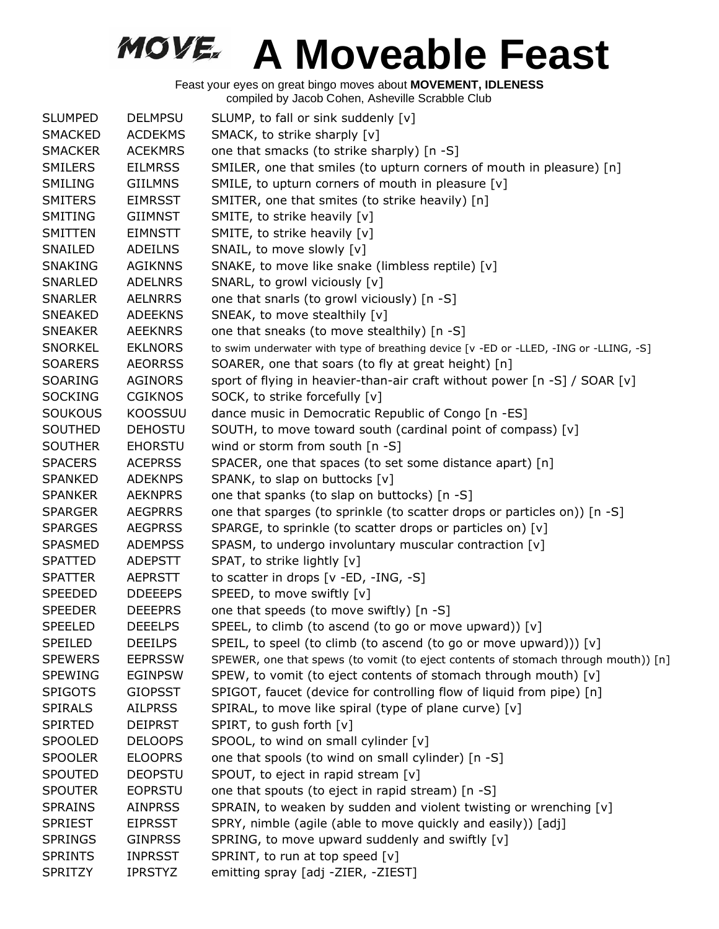| <b>SLUMPED</b> | <b>DELMPSU</b> | SLUMP, to fall or sink suddenly [v]                                                   |
|----------------|----------------|---------------------------------------------------------------------------------------|
| <b>SMACKED</b> | <b>ACDEKMS</b> | SMACK, to strike sharply [v]                                                          |
| <b>SMACKER</b> | <b>ACEKMRS</b> | one that smacks (to strike sharply) [n -S]                                            |
| <b>SMILERS</b> | <b>EILMRSS</b> | SMILER, one that smiles (to upturn corners of mouth in pleasure) [n]                  |
| SMILING        | <b>GIILMNS</b> | SMILE, to upturn corners of mouth in pleasure [v]                                     |
| <b>SMITERS</b> | <b>EIMRSST</b> | SMITER, one that smites (to strike heavily) [n]                                       |
| SMITING        | <b>GIIMNST</b> | SMITE, to strike heavily [v]                                                          |
| SMITTEN        | <b>EIMNSTT</b> | SMITE, to strike heavily [v]                                                          |
| SNAILED        | <b>ADEILNS</b> | SNAIL, to move slowly [v]                                                             |
| <b>SNAKING</b> | <b>AGIKNNS</b> | SNAKE, to move like snake (limbless reptile) [v]                                      |
| <b>SNARLED</b> | <b>ADELNRS</b> | SNARL, to growl viciously [v]                                                         |
| <b>SNARLER</b> | <b>AELNRRS</b> | one that snarls (to growl viciously) [n -S]                                           |
| <b>SNEAKED</b> | <b>ADEEKNS</b> | SNEAK, to move stealthily [v]                                                         |
| <b>SNEAKER</b> | AEEKNRS        | one that sneaks (to move stealthily) [n -S]                                           |
| <b>SNORKEL</b> | <b>EKLNORS</b> | to swim underwater with type of breathing device [v -ED or -LLED, -ING or -LLING, -S] |
| <b>SOARERS</b> | <b>AEORRSS</b> | SOARER, one that soars (to fly at great height) [n]                                   |
| SOARING        | <b>AGINORS</b> | sport of flying in heavier-than-air craft without power [n -S] / SOAR [v]             |
| <b>SOCKING</b> | <b>CGIKNOS</b> | SOCK, to strike forcefully [v]                                                        |
| <b>SOUKOUS</b> | KOOSSUU        | dance music in Democratic Republic of Congo [n -ES]                                   |
| SOUTHED        | <b>DEHOSTU</b> | SOUTH, to move toward south (cardinal point of compass) [v]                           |
| <b>SOUTHER</b> | <b>EHORSTU</b> | wind or storm from south [n -S]                                                       |
| <b>SPACERS</b> | <b>ACEPRSS</b> | SPACER, one that spaces (to set some distance apart) [n]                              |
| <b>SPANKED</b> | <b>ADEKNPS</b> | SPANK, to slap on buttocks [v]                                                        |
| <b>SPANKER</b> | <b>AEKNPRS</b> | one that spanks (to slap on buttocks) [n -S]                                          |
| <b>SPARGER</b> | <b>AEGPRRS</b> | one that sparges (to sprinkle (to scatter drops or particles on)) [n -S]              |
| <b>SPARGES</b> | <b>AEGPRSS</b> | SPARGE, to sprinkle (to scatter drops or particles on) [v]                            |
| <b>SPASMED</b> | <b>ADEMPSS</b> | SPASM, to undergo involuntary muscular contraction [v]                                |
| <b>SPATTED</b> | <b>ADEPSTT</b> | SPAT, to strike lightly [v]                                                           |
| <b>SPATTER</b> | <b>AEPRSTT</b> | to scatter in drops [v -ED, -ING, -S]                                                 |
| <b>SPEEDED</b> | <b>DDEEEPS</b> | SPEED, to move swiftly [v]                                                            |
| <b>SPEEDER</b> | <b>DEEEPRS</b> | one that speeds (to move swiftly) [n -S]                                              |
| <b>SPEELED</b> | <b>DEEELPS</b> | SPEEL, to climb (to ascend (to go or move upward)) [v]                                |
| <b>SPEILED</b> | <b>DEEILPS</b> | SPEIL, to speel (to climb (to ascend (to go or move upward))) [v]                     |
| <b>SPEWERS</b> | <b>EEPRSSW</b> | SPEWER, one that spews (to vomit (to eject contents of stomach through mouth)) [n]    |
| <b>SPEWING</b> | <b>EGINPSW</b> | SPEW, to vomit (to eject contents of stomach through mouth) [v]                       |
| <b>SPIGOTS</b> | <b>GIOPSST</b> | SPIGOT, faucet (device for controlling flow of liquid from pipe) [n]                  |
| <b>SPIRALS</b> | <b>AILPRSS</b> | SPIRAL, to move like spiral (type of plane curve) [v]                                 |
| <b>SPIRTED</b> | <b>DEIPRST</b> | SPIRT, to gush forth [v]                                                              |
| <b>SPOOLED</b> | <b>DELOOPS</b> | SPOOL, to wind on small cylinder [v]                                                  |
| <b>SPOOLER</b> | <b>ELOOPRS</b> | one that spools (to wind on small cylinder) [n -S]                                    |
| <b>SPOUTED</b> | <b>DEOPSTU</b> | SPOUT, to eject in rapid stream [v]                                                   |
| <b>SPOUTER</b> | <b>EOPRSTU</b> | one that spouts (to eject in rapid stream) [n -S]                                     |
| <b>SPRAINS</b> | <b>AINPRSS</b> | SPRAIN, to weaken by sudden and violent twisting or wrenching [v]                     |
| <b>SPRIEST</b> | <b>EIPRSST</b> | SPRY, nimble (agile (able to move quickly and easily)) [adj]                          |
| <b>SPRINGS</b> | <b>GINPRSS</b> | SPRING, to move upward suddenly and swiftly [v]                                       |
| <b>SPRINTS</b> | <b>INPRSST</b> | SPRINT, to run at top speed [v]                                                       |
| <b>SPRITZY</b> | <b>IPRSTYZ</b> | emitting spray [adj -ZIER, -ZIEST]                                                    |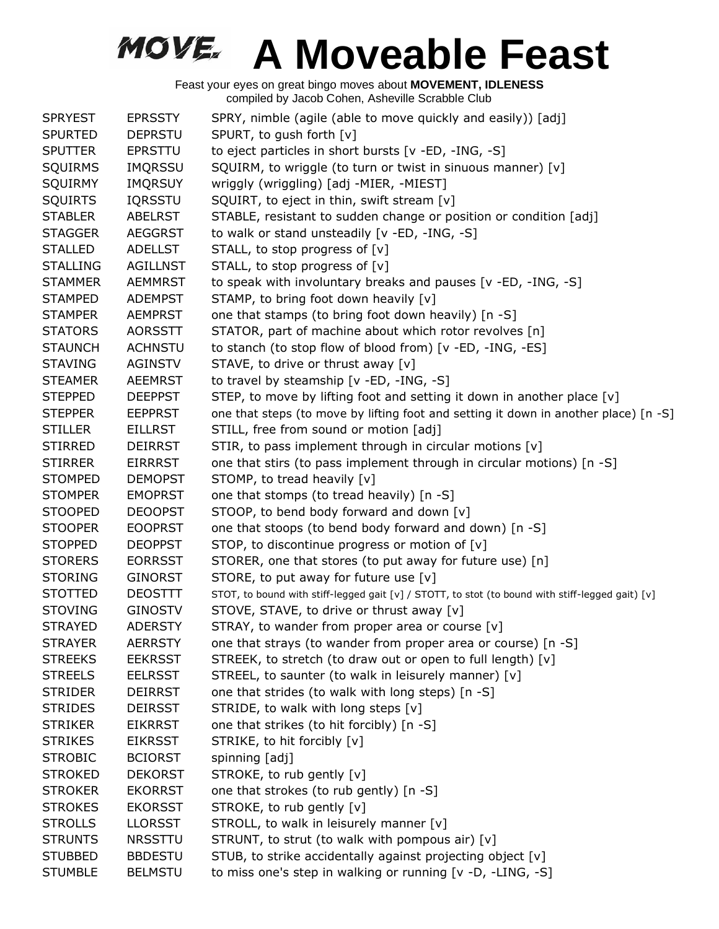| <b>SPRYEST</b>  | <b>EPRSSTY</b>  | SPRY, nimble (agile (able to move quickly and easily)) [adj]                                     |
|-----------------|-----------------|--------------------------------------------------------------------------------------------------|
| <b>SPURTED</b>  | <b>DEPRSTU</b>  | SPURT, to gush forth [v]                                                                         |
| <b>SPUTTER</b>  | <b>EPRSTTU</b>  | to eject particles in short bursts [v -ED, -ING, -S]                                             |
| <b>SQUIRMS</b>  | <b>IMQRSSU</b>  | SQUIRM, to wriggle (to turn or twist in sinuous manner) [v]                                      |
| SQUIRMY         | <b>IMQRSUY</b>  | wriggly (wriggling) [adj -MIER, -MIEST]                                                          |
| <b>SQUIRTS</b>  | <b>IQRSSTU</b>  | SQUIRT, to eject in thin, swift stream [v]                                                       |
| <b>STABLER</b>  | <b>ABELRST</b>  | STABLE, resistant to sudden change or position or condition [adj]                                |
| <b>STAGGER</b>  | <b>AEGGRST</b>  | to walk or stand unsteadily [v -ED, -ING, -S]                                                    |
| <b>STALLED</b>  | <b>ADELLST</b>  | STALL, to stop progress of [v]                                                                   |
| <b>STALLING</b> | <b>AGILLNST</b> | STALL, to stop progress of [v]                                                                   |
| <b>STAMMER</b>  | <b>AEMMRST</b>  | to speak with involuntary breaks and pauses [v -ED, -ING, -S]                                    |
| <b>STAMPED</b>  | <b>ADEMPST</b>  | STAMP, to bring foot down heavily [v]                                                            |
| <b>STAMPER</b>  | <b>AEMPRST</b>  | one that stamps (to bring foot down heavily) [n -S]                                              |
| <b>STATORS</b>  | <b>AORSSTT</b>  | STATOR, part of machine about which rotor revolves [n]                                           |
| <b>STAUNCH</b>  | <b>ACHNSTU</b>  | to stanch (to stop flow of blood from) [v -ED, -ING, -ES]                                        |
| <b>STAVING</b>  | <b>AGINSTV</b>  | STAVE, to drive or thrust away [v]                                                               |
| <b>STEAMER</b>  | <b>AEEMRST</b>  | to travel by steamship [v -ED, -ING, -S]                                                         |
| <b>STEPPED</b>  | <b>DEEPPST</b>  | STEP, to move by lifting foot and setting it down in another place [v]                           |
| <b>STEPPER</b>  | <b>EEPPRST</b>  | one that steps (to move by lifting foot and setting it down in another place) [n -S]             |
| <b>STILLER</b>  | <b>EILLRST</b>  | STILL, free from sound or motion [adj]                                                           |
| <b>STIRRED</b>  | <b>DEIRRST</b>  | STIR, to pass implement through in circular motions [v]                                          |
| <b>STIRRER</b>  | <b>EIRRRST</b>  | one that stirs (to pass implement through in circular motions) [n -S]                            |
| <b>STOMPED</b>  | <b>DEMOPST</b>  | STOMP, to tread heavily [v]                                                                      |
| <b>STOMPER</b>  | <b>EMOPRST</b>  | one that stomps (to tread heavily) [n -S]                                                        |
| <b>STOOPED</b>  | <b>DEOOPST</b>  | STOOP, to bend body forward and down [v]                                                         |
| <b>STOOPER</b>  | <b>EOOPRST</b>  | one that stoops (to bend body forward and down) [n -S]                                           |
| <b>STOPPED</b>  | <b>DEOPPST</b>  | STOP, to discontinue progress or motion of [v]                                                   |
| <b>STORERS</b>  | <b>EORRSST</b>  | STORER, one that stores (to put away for future use) [n]                                         |
| <b>STORING</b>  | <b>GINORST</b>  | STORE, to put away for future use [v]                                                            |
| <b>STOTTED</b>  | <b>DEOSTTT</b>  | STOT, to bound with stiff-legged gait [v] / STOTT, to stot (to bound with stiff-legged gait) [v] |
| <b>STOVING</b>  | <b>GINOSTV</b>  | STOVE, STAVE, to drive or thrust away [v]                                                        |
| <b>STRAYED</b>  | <b>ADERSTY</b>  | STRAY, to wander from proper area or course [v]                                                  |
| <b>STRAYER</b>  | <b>AERRSTY</b>  | one that strays (to wander from proper area or course) [n -S]                                    |
| <b>STREEKS</b>  | <b>EEKRSST</b>  | STREEK, to stretch (to draw out or open to full length) [v]                                      |
| <b>STREELS</b>  | <b>EELRSST</b>  | STREEL, to saunter (to walk in leisurely manner) [v]                                             |
| <b>STRIDER</b>  | <b>DEIRRST</b>  | one that strides (to walk with long steps) [n -S]                                                |
| <b>STRIDES</b>  | <b>DEIRSST</b>  | STRIDE, to walk with long steps [v]                                                              |
| <b>STRIKER</b>  | <b>EIKRRST</b>  | one that strikes (to hit forcibly) [n -S]                                                        |
| <b>STRIKES</b>  | <b>EIKRSST</b>  | STRIKE, to hit forcibly [v]                                                                      |
| <b>STROBIC</b>  | <b>BCIORST</b>  | spinning [adj]                                                                                   |
| <b>STROKED</b>  | <b>DEKORST</b>  | STROKE, to rub gently [v]                                                                        |
| <b>STROKER</b>  | <b>EKORRST</b>  | one that strokes (to rub gently) [n -S]                                                          |
| <b>STROKES</b>  | <b>EKORSST</b>  | STROKE, to rub gently [v]                                                                        |
| <b>STROLLS</b>  | <b>LLORSST</b>  | STROLL, to walk in leisurely manner [v]                                                          |
| <b>STRUNTS</b>  | <b>NRSSTTU</b>  | STRUNT, to strut (to walk with pompous air) [v]                                                  |
| <b>STUBBED</b>  | <b>BBDESTU</b>  | STUB, to strike accidentally against projecting object [v]                                       |
| <b>STUMBLE</b>  | <b>BELMSTU</b>  | to miss one's step in walking or running [v -D, -LING, -S]                                       |
|                 |                 |                                                                                                  |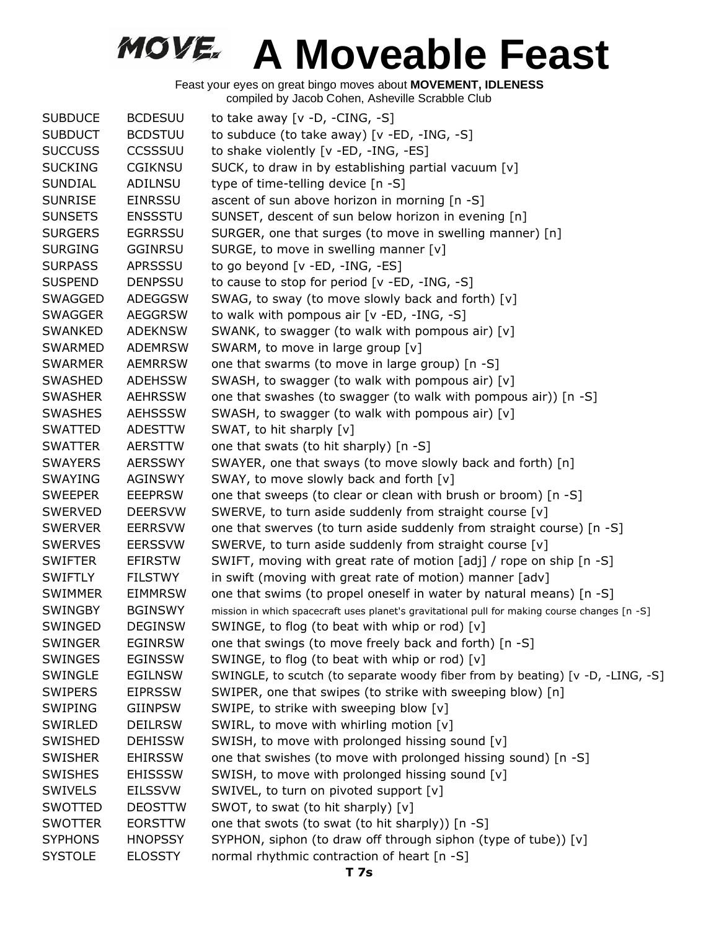|                |                | $\sim$                                                                                        |
|----------------|----------------|-----------------------------------------------------------------------------------------------|
| <b>SUBDUCE</b> | <b>BCDESUU</b> | to take away $[v -D, -CING, -S]$                                                              |
| <b>SUBDUCT</b> | <b>BCDSTUU</b> | to subduce (to take away) $[v - ED, -ING, -S]$                                                |
| <b>SUCCUSS</b> | CCSSSUU        | to shake violently [v -ED, -ING, -ES]                                                         |
| <b>SUCKING</b> | <b>CGIKNSU</b> | SUCK, to draw in by establishing partial vacuum [v]                                           |
| <b>SUNDIAL</b> | ADILNSU        | type of time-telling device [n -S]                                                            |
| <b>SUNRISE</b> | <b>EINRSSU</b> | ascent of sun above horizon in morning [n -S]                                                 |
| <b>SUNSETS</b> | <b>ENSSSTU</b> | SUNSET, descent of sun below horizon in evening [n]                                           |
| <b>SURGERS</b> | <b>EGRRSSU</b> | SURGER, one that surges (to move in swelling manner) [n]                                      |
| <b>SURGING</b> | <b>GGINRSU</b> | SURGE, to move in swelling manner [v]                                                         |
| <b>SURPASS</b> | APRSSSU        | to go beyond [v -ED, -ING, -ES]                                                               |
| <b>SUSPEND</b> | <b>DENPSSU</b> | to cause to stop for period [v -ED, -ING, -S]                                                 |
| SWAGGED        | <b>ADEGGSW</b> | SWAG, to sway (to move slowly back and forth) [v]                                             |
| <b>SWAGGER</b> | <b>AEGGRSW</b> | to walk with pompous air [v -ED, -ING, -S]                                                    |
| <b>SWANKED</b> | <b>ADEKNSW</b> | SWANK, to swagger (to walk with pompous air) [v]                                              |
| <b>SWARMED</b> | ADEMRSW        | SWARM, to move in large group [v]                                                             |
| <b>SWARMER</b> | <b>AEMRRSW</b> | one that swarms (to move in large group) [n -S]                                               |
| <b>SWASHED</b> | <b>ADEHSSW</b> | SWASH, to swagger (to walk with pompous air) [v]                                              |
| <b>SWASHER</b> | <b>AEHRSSW</b> | one that swashes (to swagger (to walk with pompous air)) [n -S]                               |
| <b>SWASHES</b> | <b>AEHSSSW</b> | SWASH, to swagger (to walk with pompous air) [v]                                              |
| <b>SWATTED</b> | <b>ADESTTW</b> | SWAT, to hit sharply [v]                                                                      |
| <b>SWATTER</b> | <b>AERSTTW</b> | one that swats (to hit sharply) [n -S]                                                        |
| <b>SWAYERS</b> | <b>AERSSWY</b> | SWAYER, one that sways (to move slowly back and forth) [n]                                    |
| SWAYING        | <b>AGINSWY</b> | SWAY, to move slowly back and forth [v]                                                       |
| <b>SWEEPER</b> | <b>EEEPRSW</b> | one that sweeps (to clear or clean with brush or broom) [n -S]                                |
| <b>SWERVED</b> | <b>DEERSVW</b> | SWERVE, to turn aside suddenly from straight course [v]                                       |
| <b>SWERVER</b> | <b>EERRSVW</b> | one that swerves (to turn aside suddenly from straight course) [n -S]                         |
| <b>SWERVES</b> | <b>EERSSVW</b> | SWERVE, to turn aside suddenly from straight course [v]                                       |
| <b>SWIFTER</b> | <b>EFIRSTW</b> | SWIFT, moving with great rate of motion [adj] / rope on ship [n -S]                           |
| <b>SWIFTLY</b> | FILSTWY        | in swift (moving with great rate of motion) manner [adv]                                      |
| <b>SWIMMER</b> | <b>EIMMRSW</b> | one that swims (to propel oneself in water by natural means) [n -S]                           |
| <b>SWINGBY</b> | <b>BGINSWY</b> | mission in which spacecraft uses planet's gravitational pull for making course changes [n -S] |
| SWINGED        | <b>DEGINSW</b> | SWINGE, to flog (to beat with whip or rod) [v]                                                |
| <b>SWINGER</b> | <b>EGINRSW</b> | one that swings (to move freely back and forth) [n -S]                                        |
| SWINGES        | <b>EGINSSW</b> | SWINGE, to flog (to beat with whip or rod) [v]                                                |
| SWINGLE        | <b>EGILNSW</b> | SWINGLE, to scutch (to separate woody fiber from by beating) [v -D, -LING, -S]                |
| <b>SWIPERS</b> | <b>EIPRSSW</b> | SWIPER, one that swipes (to strike with sweeping blow) [n]                                    |
| <b>SWIPING</b> | <b>GIINPSW</b> | SWIPE, to strike with sweeping blow [v]                                                       |
| SWIRLED        | <b>DEILRSW</b> | SWIRL, to move with whirling motion [v]                                                       |
| SWISHED        | <b>DEHISSW</b> | SWISH, to move with prolonged hissing sound [v]                                               |
| <b>SWISHER</b> | <b>EHIRSSW</b> | one that swishes (to move with prolonged hissing sound) [n -S]                                |
| <b>SWISHES</b> | <b>EHISSSW</b> | SWISH, to move with prolonged hissing sound [v]                                               |
| <b>SWIVELS</b> | <b>EILSSVW</b> | SWIVEL, to turn on pivoted support [v]                                                        |
| SWOTTED        | <b>DEOSTTW</b> | SWOT, to swat (to hit sharply) [v]                                                            |
| <b>SWOTTER</b> | <b>EORSTTW</b> | one that swots (to swat (to hit sharply)) [n -S]                                              |
| <b>SYPHONS</b> | <b>HNOPSSY</b> | SYPHON, siphon (to draw off through siphon (type of tube)) [v]                                |
| <b>SYSTOLE</b> | <b>ELOSSTY</b> | normal rhythmic contraction of heart [n -S]                                                   |
|                |                |                                                                                               |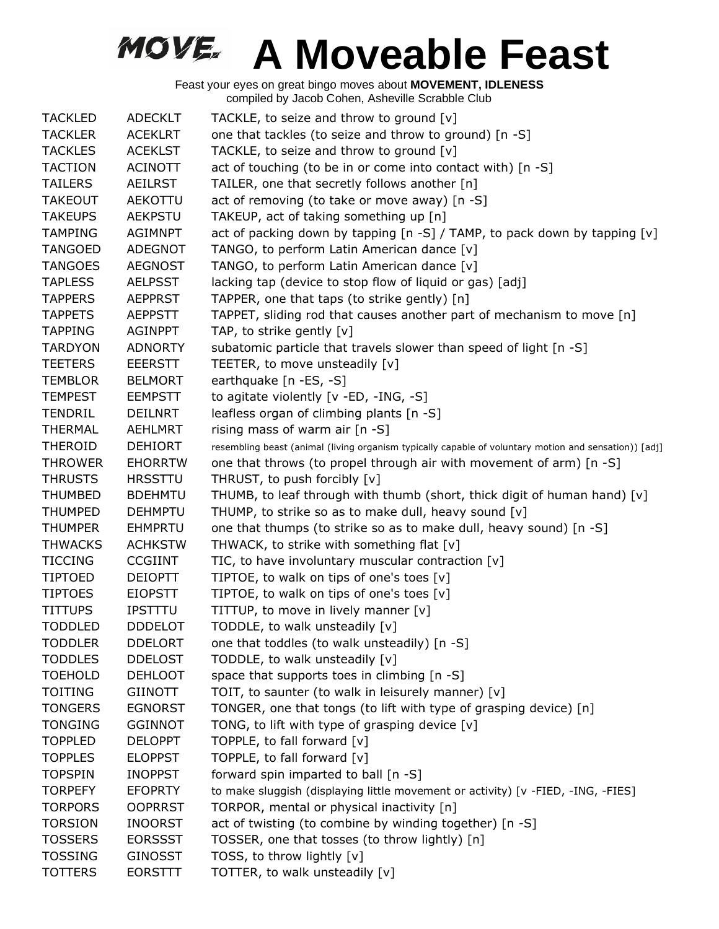| <b>TACKLED</b> | <b>ADECKLT</b> | TACKLE, to seize and throw to ground [v]                                                              |
|----------------|----------------|-------------------------------------------------------------------------------------------------------|
| <b>TACKLER</b> | <b>ACEKLRT</b> | one that tackles (to seize and throw to ground) [n -S]                                                |
| <b>TACKLES</b> | <b>ACEKLST</b> | TACKLE, to seize and throw to ground [v]                                                              |
| <b>TACTION</b> | <b>ACINOTT</b> | act of touching (to be in or come into contact with) [n -S]                                           |
| <b>TAILERS</b> | <b>AEILRST</b> | TAILER, one that secretly follows another [n]                                                         |
| <b>TAKEOUT</b> | AEKOTTU        | act of removing (to take or move away) [n -S]                                                         |
| <b>TAKEUPS</b> | <b>AEKPSTU</b> | TAKEUP, act of taking something up [n]                                                                |
| <b>TAMPING</b> | <b>AGIMNPT</b> | act of packing down by tapping [n -S] / TAMP, to pack down by tapping [v]                             |
| <b>TANGOED</b> | <b>ADEGNOT</b> | TANGO, to perform Latin American dance [v]                                                            |
| <b>TANGOES</b> | <b>AEGNOST</b> | TANGO, to perform Latin American dance [v]                                                            |
| <b>TAPLESS</b> | <b>AELPSST</b> | lacking tap (device to stop flow of liquid or gas) [adj]                                              |
| <b>TAPPERS</b> | <b>AEPPRST</b> | TAPPER, one that taps (to strike gently) [n]                                                          |
| <b>TAPPETS</b> | <b>AEPPSTT</b> | TAPPET, sliding rod that causes another part of mechanism to move [n]                                 |
| <b>TAPPING</b> | <b>AGINPPT</b> | TAP, to strike gently [v]                                                                             |
| <b>TARDYON</b> | <b>ADNORTY</b> | subatomic particle that travels slower than speed of light [n -S]                                     |
| <b>TEETERS</b> | <b>EEERSTT</b> | TEETER, to move unsteadily [v]                                                                        |
| <b>TEMBLOR</b> | <b>BELMORT</b> | earthquake [n -ES, -S]                                                                                |
| <b>TEMPEST</b> | <b>EEMPSTT</b> | to agitate violently [v -ED, -ING, -S]                                                                |
| <b>TENDRIL</b> | <b>DEILNRT</b> | leafless organ of climbing plants [n -S]                                                              |
| <b>THERMAL</b> | <b>AEHLMRT</b> | rising mass of warm air [n -S]                                                                        |
| <b>THEROID</b> | <b>DEHIORT</b> | resembling beast (animal (living organism typically capable of voluntary motion and sensation)) [adj] |
| <b>THROWER</b> | <b>EHORRTW</b> | one that throws (to propel through air with movement of arm) [n -S]                                   |
| <b>THRUSTS</b> | <b>HRSSTTU</b> | THRUST, to push forcibly [v]                                                                          |
| <b>THUMBED</b> | <b>BDEHMTU</b> | THUMB, to leaf through with thumb (short, thick digit of human hand) [v]                              |
| <b>THUMPED</b> | <b>DEHMPTU</b> | THUMP, to strike so as to make dull, heavy sound [v]                                                  |
| <b>THUMPER</b> | <b>EHMPRTU</b> | one that thumps (to strike so as to make dull, heavy sound) [n -S]                                    |
| <b>THWACKS</b> | <b>ACHKSTW</b> | THWACK, to strike with something flat [v]                                                             |
| <b>TICCING</b> | <b>CCGIINT</b> | TIC, to have involuntary muscular contraction [v]                                                     |
| <b>TIPTOED</b> | <b>DEIOPTT</b> | TIPTOE, to walk on tips of one's toes [v]                                                             |
| <b>TIPTOES</b> | <b>EIOPSTT</b> | TIPTOE, to walk on tips of one's toes [v]                                                             |
| <b>TITTUPS</b> | <b>IPSTTTU</b> | TITTUP, to move in lively manner [v]                                                                  |
| <b>TODDLED</b> | <b>DDDELOT</b> | TODDLE, to walk unsteadily [v]                                                                        |
| <b>TODDLER</b> | <b>DDELORT</b> | one that toddles (to walk unsteadily) [n -S]                                                          |
| <b>TODDLES</b> | <b>DDELOST</b> | TODDLE, to walk unsteadily [v]                                                                        |
| <b>TOEHOLD</b> | <b>DEHLOOT</b> | space that supports toes in climbing [n -S]                                                           |
| <b>TOITING</b> | <b>GIINOTT</b> | TOIT, to saunter (to walk in leisurely manner) [v]                                                    |
| <b>TONGERS</b> | <b>EGNORST</b> | TONGER, one that tongs (to lift with type of grasping device) [n]                                     |
| <b>TONGING</b> | <b>GGINNOT</b> | TONG, to lift with type of grasping device [v]                                                        |
| <b>TOPPLED</b> | <b>DELOPPT</b> | TOPPLE, to fall forward [v]                                                                           |
| <b>TOPPLES</b> | <b>ELOPPST</b> | TOPPLE, to fall forward [v]                                                                           |
| <b>TOPSPIN</b> | <b>INOPPST</b> | forward spin imparted to ball [n -S]                                                                  |
| <b>TORPEFY</b> | <b>EFOPRTY</b> | to make sluggish (displaying little movement or activity) [v -FIED, -ING, -FIES]                      |
| <b>TORPORS</b> | <b>OOPRRST</b> | TORPOR, mental or physical inactivity [n]                                                             |
| <b>TORSION</b> | <b>INOORST</b> | act of twisting (to combine by winding together) [n -S]                                               |
| <b>TOSSERS</b> | <b>EORSSST</b> | TOSSER, one that tosses (to throw lightly) [n]                                                        |
| <b>TOSSING</b> | <b>GINOSST</b> | TOSS, to throw lightly [v]                                                                            |
| <b>TOTTERS</b> | <b>EORSTTT</b> | TOTTER, to walk unsteadily [v]                                                                        |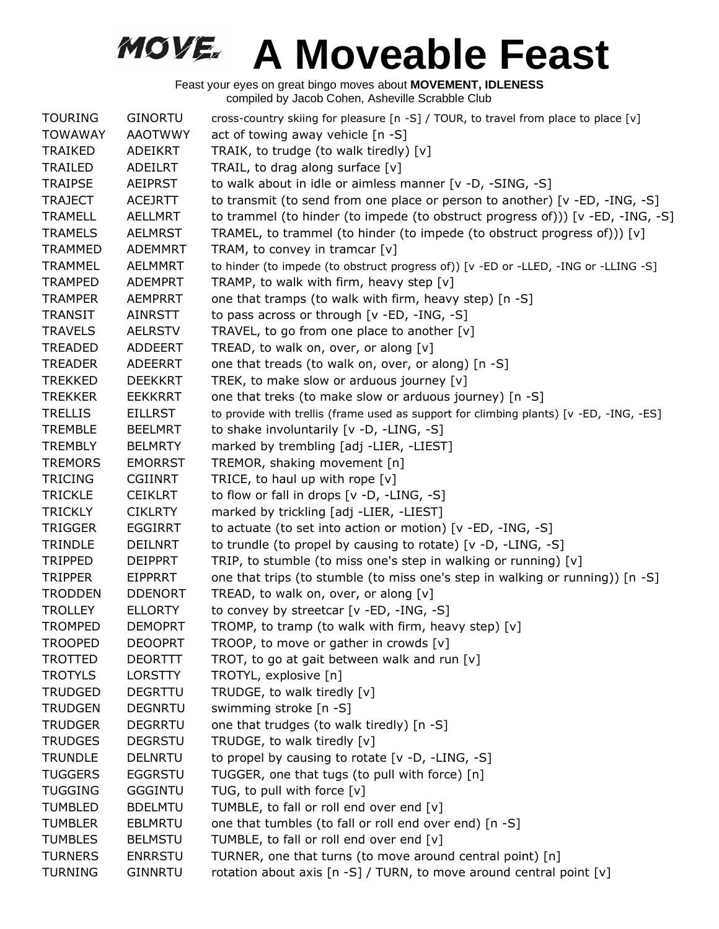| <b>TOURING</b> | <b>GINORTU</b> | cross-country skiing for pleasure [n -S] / TOUR, to travel from place to place [v]     |
|----------------|----------------|----------------------------------------------------------------------------------------|
| <b>TOWAWAY</b> | <b>AAOTWWY</b> | act of towing away vehicle [n -S]                                                      |
| <b>TRAIKED</b> | ADEIKRT        | TRAIK, to trudge (to walk tiredly) [v]                                                 |
| TRAILED        | ADEILRT        | TRAIL, to drag along surface [v]                                                       |
| <b>TRAIPSE</b> | <b>AEIPRST</b> | to walk about in idle or aimless manner [v -D, -SING, -S]                              |
| <b>TRAJECT</b> | <b>ACEJRTT</b> | to transmit (to send from one place or person to another) [v -ED, -ING, -S]            |
| <b>TRAMELL</b> | <b>AELLMRT</b> | to trammel (to hinder (to impede (to obstruct progress of))) [v -ED, -ING, -S]         |
| <b>TRAMELS</b> | <b>AELMRST</b> | TRAMEL, to trammel (to hinder (to impede (to obstruct progress of))) $[v]$             |
| <b>TRAMMED</b> | <b>ADEMMRT</b> | TRAM, to convey in tramcar [v]                                                         |
| <b>TRAMMEL</b> | <b>AELMMRT</b> | to hinder (to impede (to obstruct progress of)) [v -ED or -LLED, -ING or -LLING -S]    |
| <b>TRAMPED</b> | <b>ADEMPRT</b> | TRAMP, to walk with firm, heavy step [v]                                               |
| <b>TRAMPER</b> | <b>AEMPRRT</b> | one that tramps (to walk with firm, heavy step) [n -S]                                 |
| <b>TRANSIT</b> | AINRSTT        | to pass across or through [v -ED, -ING, -S]                                            |
| <b>TRAVELS</b> | <b>AELRSTV</b> | TRAVEL, to go from one place to another $[v]$                                          |
| <b>TREADED</b> | ADDEERT        | TREAD, to walk on, over, or along [v]                                                  |
| <b>TREADER</b> | <b>ADEERRT</b> | one that treads (to walk on, over, or along) [n -S]                                    |
| <b>TREKKED</b> | <b>DEEKKRT</b> | TREK, to make slow or arduous journey [v]                                              |
| <b>TREKKER</b> | <b>EEKKRRT</b> | one that treks (to make slow or arduous journey) [n -S]                                |
| <b>TRELLIS</b> | <b>EILLRST</b> | to provide with trellis (frame used as support for climbing plants) [v -ED, -ING, -ES] |
| <b>TREMBLE</b> | <b>BEELMRT</b> | to shake involuntarily [v -D, -LING, -S]                                               |
| <b>TREMBLY</b> | <b>BELMRTY</b> | marked by trembling [adj -LIER, -LIEST]                                                |
| <b>TREMORS</b> | <b>EMORRST</b> | TREMOR, shaking movement [n]                                                           |
| <b>TRICING</b> | <b>CGIINRT</b> | TRICE, to haul up with rope $[v]$                                                      |
| <b>TRICKLE</b> | <b>CEIKLRT</b> | to flow or fall in drops [v -D, -LING, -S]                                             |
| <b>TRICKLY</b> | <b>CIKLRTY</b> | marked by trickling [adj -LIER, -LIEST]                                                |
| <b>TRIGGER</b> | <b>EGGIRRT</b> | to actuate (to set into action or motion) [v -ED, -ING, -S]                            |
| <b>TRINDLE</b> | <b>DEILNRT</b> | to trundle (to propel by causing to rotate) [v -D, -LING, -S]                          |
| <b>TRIPPED</b> | <b>DEIPPRT</b> | TRIP, to stumble (to miss one's step in walking or running) [v]                        |
| <b>TRIPPER</b> | EIPPRRT        | one that trips (to stumble (to miss one's step in walking or running)) [n -S]          |
| <b>TRODDEN</b> | <b>DDENORT</b> | TREAD, to walk on, over, or along [v]                                                  |
| <b>TROLLEY</b> | <b>ELLORTY</b> | to convey by streetcar [v -ED, -ING, -S]                                               |
| <b>TROMPED</b> | <b>DEMOPRT</b> | TROMP, to tramp (to walk with firm, heavy step) $[v]$                                  |
| <b>TROOPED</b> | <b>DEOOPRT</b> | TROOP, to move or gather in crowds [v]                                                 |
| <b>TROTTED</b> | <b>DEORTTT</b> | TROT, to go at gait between walk and run [v]                                           |
| <b>TROTYLS</b> | <b>LORSTTY</b> | TROTYL, explosive [n]                                                                  |
| <b>TRUDGED</b> | <b>DEGRTTU</b> | TRUDGE, to walk tiredly [v]                                                            |
| <b>TRUDGEN</b> | <b>DEGNRTU</b> | swimming stroke [n -S]                                                                 |
| <b>TRUDGER</b> | <b>DEGRRTU</b> | one that trudges (to walk tiredly) [n -S]                                              |
| <b>TRUDGES</b> | <b>DEGRSTU</b> | TRUDGE, to walk tiredly [v]                                                            |
| <b>TRUNDLE</b> | <b>DELNRTU</b> | to propel by causing to rotate [v -D, -LING, -S]                                       |
| <b>TUGGERS</b> | <b>EGGRSTU</b> | TUGGER, one that tugs (to pull with force) [n]                                         |
| <b>TUGGING</b> | <b>GGGINTU</b> | TUG, to pull with force [v]                                                            |
| <b>TUMBLED</b> | <b>BDELMTU</b> | TUMBLE, to fall or roll end over end [v]                                               |
| <b>TUMBLER</b> | <b>EBLMRTU</b> | one that tumbles (to fall or roll end over end) [n -S]                                 |
| <b>TUMBLES</b> | <b>BELMSTU</b> | TUMBLE, to fall or roll end over end [v]                                               |
| <b>TURNERS</b> | <b>ENRRSTU</b> | TURNER, one that turns (to move around central point) [n]                              |
| <b>TURNING</b> | <b>GINNRTU</b> | rotation about axis [n -S] / TURN, to move around central point [v]                    |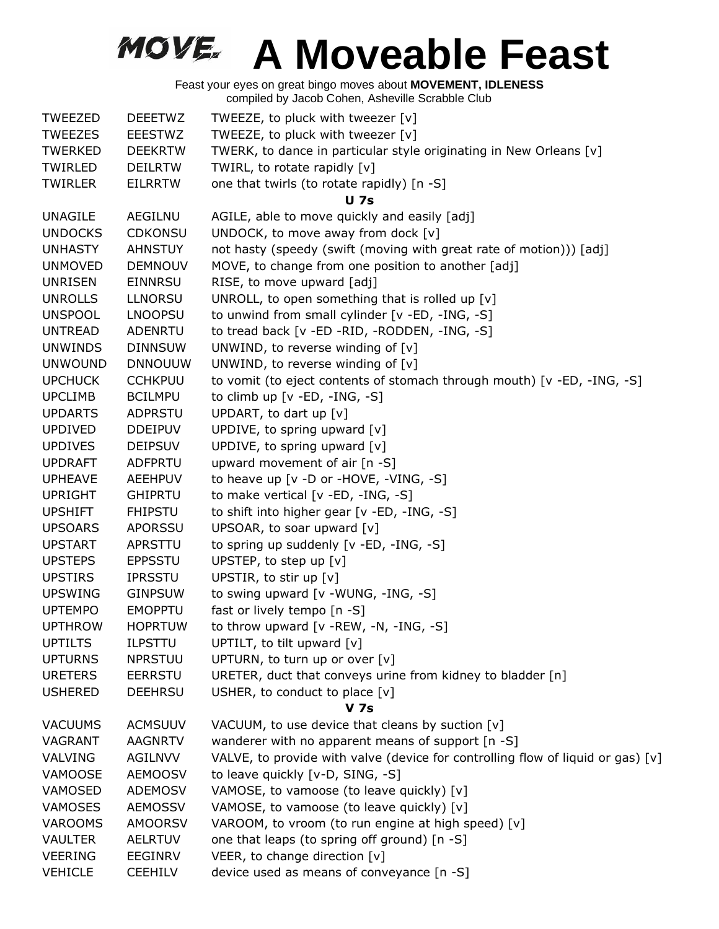| <b>TWEEZED</b> | <b>DEEETWZ</b> | TWEEZE, to pluck with tweezer [v]                                                 |
|----------------|----------------|-----------------------------------------------------------------------------------|
| <b>TWEEZES</b> | <b>EEESTWZ</b> | TWEEZE, to pluck with tweezer [v]                                                 |
| TWERKED        | <b>DEEKRTW</b> | TWERK, to dance in particular style originating in New Orleans [v]                |
| TWIRLED        | <b>DEILRTW</b> | TWIRL, to rotate rapidly [v]                                                      |
| <b>TWIRLER</b> | <b>EILRRTW</b> | one that twirls (to rotate rapidly) [n -S]                                        |
|                |                | <b>U</b> 7s                                                                       |
| <b>UNAGILE</b> | AEGILNU        | AGILE, able to move quickly and easily [adj]                                      |
| <b>UNDOCKS</b> | <b>CDKONSU</b> | UNDOCK, to move away from dock [v]                                                |
| <b>UNHASTY</b> | <b>AHNSTUY</b> | not hasty (speedy (swift (moving with great rate of motion))) [adj]               |
| <b>UNMOVED</b> | <b>DEMNOUV</b> | MOVE, to change from one position to another [adj]                                |
| <b>UNRISEN</b> | <b>EINNRSU</b> | RISE, to move upward [adj]                                                        |
| <b>UNROLLS</b> | <b>LLNORSU</b> | UNROLL, to open something that is rolled up $[v]$                                 |
| <b>UNSPOOL</b> | <b>LNOOPSU</b> | to unwind from small cylinder [v -ED, -ING, -S]                                   |
| <b>UNTREAD</b> | <b>ADENRTU</b> | to tread back [v -ED -RID, -RODDEN, -ING, -S]                                     |
| <b>UNWINDS</b> | <b>DINNSUW</b> | UNWIND, to reverse winding of $[v]$                                               |
| <b>UNWOUND</b> | <b>DNNOUUW</b> | UNWIND, to reverse winding of $[v]$                                               |
| <b>UPCHUCK</b> | <b>CCHKPUU</b> | to vomit (to eject contents of stomach through mouth) [v -ED, -ING, -S]           |
| <b>UPCLIMB</b> | <b>BCILMPU</b> | to climb up [v -ED, -ING, -S]                                                     |
| <b>UPDARTS</b> | <b>ADPRSTU</b> | UPDART, to dart up [v]                                                            |
| <b>UPDIVED</b> | <b>DDEIPUV</b> | UPDIVE, to spring upward [v]                                                      |
| <b>UPDIVES</b> | <b>DEIPSUV</b> | UPDIVE, to spring upward [v]                                                      |
| <b>UPDRAFT</b> | <b>ADFPRTU</b> | upward movement of air [n -S]                                                     |
| <b>UPHEAVE</b> | <b>AEEHPUV</b> | to heave up [v -D or -HOVE, -VING, -S]                                            |
| <b>UPRIGHT</b> | <b>GHIPRTU</b> | to make vertical [v -ED, -ING, -S]                                                |
| <b>UPSHIFT</b> | <b>FHIPSTU</b> | to shift into higher gear [v -ED, -ING, -S]                                       |
| <b>UPSOARS</b> | APORSSU        | UPSOAR, to soar upward [v]                                                        |
| <b>UPSTART</b> | APRSTTU        | to spring up suddenly [v -ED, -ING, -S]                                           |
| <b>UPSTEPS</b> | <b>EPPSSTU</b> | UPSTEP, to step up [v]                                                            |
| <b>UPSTIRS</b> | <b>IPRSSTU</b> | UPSTIR, to stir up [v]                                                            |
| <b>UPSWING</b> | <b>GINPSUW</b> | to swing upward [v -WUNG, -ING, -S]                                               |
| <b>UPTEMPO</b> | <b>EMOPPTU</b> | fast or lively tempo [n -S]                                                       |
| <b>UPTHROW</b> | <b>HOPRTUW</b> | to throw upward $[v - REW, -N, -ING, -S]$                                         |
| <b>UPTILTS</b> | <b>ILPSTTU</b> | UPTILT, to tilt upward [v]                                                        |
| <b>UPTURNS</b> | <b>NPRSTUU</b> | UPTURN, to turn up or over [v]                                                    |
| <b>URETERS</b> | <b>EERRSTU</b> | URETER, duct that conveys urine from kidney to bladder [n]                        |
| <b>USHERED</b> | <b>DEEHRSU</b> | USHER, to conduct to place $[v]$                                                  |
|                |                | <b>V</b> 7s                                                                       |
| <b>VACUUMS</b> | <b>ACMSUUV</b> | VACUUM, to use device that cleans by suction [v]                                  |
| VAGRANT        | <b>AAGNRTV</b> | wanderer with no apparent means of support [n -S]                                 |
| VALVING        | <b>AGILNVV</b> | VALVE, to provide with valve (device for controlling flow of liquid or gas) $[v]$ |
| VAMOOSE        | <b>AEMOOSV</b> | to leave quickly [v-D, SING, -S]                                                  |
| VAMOSED        | <b>ADEMOSV</b> | VAMOSE, to vamoose (to leave quickly) [v]                                         |
| <b>VAMOSES</b> | <b>AEMOSSV</b> | VAMOSE, to vamoose (to leave quickly) [v]                                         |
| <b>VAROOMS</b> | <b>AMOORSV</b> | VAROOM, to vroom (to run engine at high speed) [v]                                |
| <b>VAULTER</b> | <b>AELRTUV</b> | one that leaps (to spring off ground) [n -S]                                      |
| <b>VEERING</b> | <b>EEGINRV</b> | VEER, to change direction [v]                                                     |
| <b>VEHICLE</b> | <b>CEEHILV</b> | device used as means of conveyance [n -S]                                         |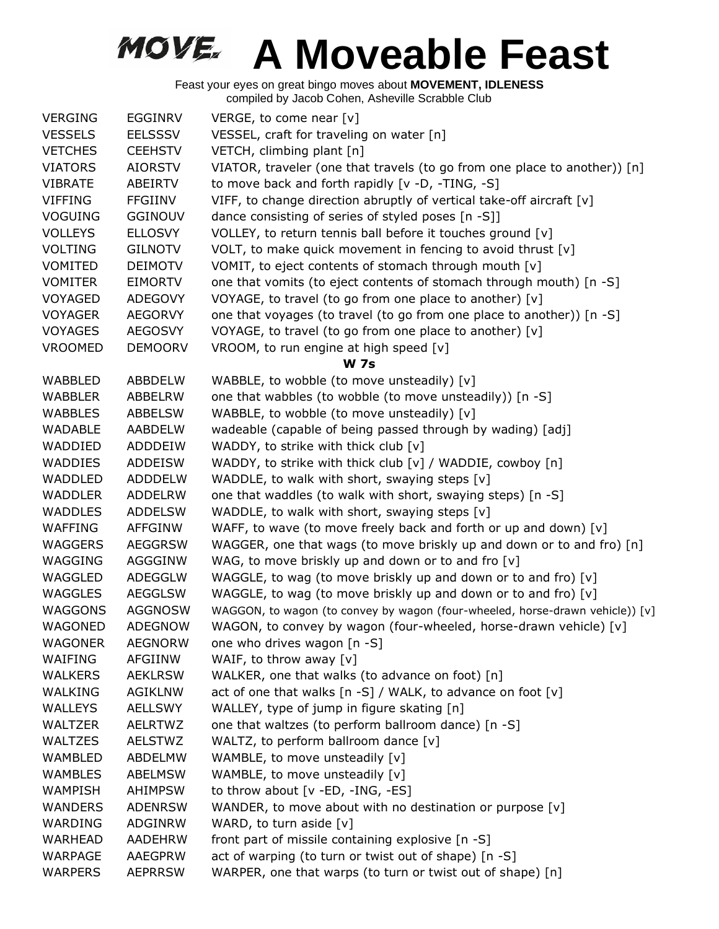| <b>VERGING</b> | EGGINRV        | VERGE, to come near [v]                                                       |
|----------------|----------------|-------------------------------------------------------------------------------|
| <b>VESSELS</b> | <b>EELSSSV</b> | VESSEL, craft for traveling on water [n]                                      |
| <b>VETCHES</b> | <b>CEEHSTV</b> | VETCH, climbing plant [n]                                                     |
| <b>VIATORS</b> | <b>AIORSTV</b> | VIATOR, traveler (one that travels (to go from one place to another)) [n]     |
| <b>VIBRATE</b> | ABEIRTV        | to move back and forth rapidly [v -D, -TING, -S]                              |
| <b>VIFFING</b> | <b>FFGIINV</b> | VIFF, to change direction abruptly of vertical take-off aircraft [v]          |
| <b>VOGUING</b> | <b>GGINOUV</b> | dance consisting of series of styled poses [n -S]]                            |
| <b>VOLLEYS</b> | <b>ELLOSVY</b> | VOLLEY, to return tennis ball before it touches ground [v]                    |
| <b>VOLTING</b> | <b>GILNOTV</b> | VOLT, to make quick movement in fencing to avoid thrust [v]                   |
| <b>VOMITED</b> | <b>DEIMOTV</b> | VOMIT, to eject contents of stomach through mouth [v]                         |
| <b>VOMITER</b> | <b>EIMORTV</b> | one that vomits (to eject contents of stomach through mouth) [n -S]           |
| <b>VOYAGED</b> | <b>ADEGOVY</b> | VOYAGE, to travel (to go from one place to another) [v]                       |
| <b>VOYAGER</b> | <b>AEGORVY</b> | one that voyages (to travel (to go from one place to another)) [n -S]         |
| <b>VOYAGES</b> | <b>AEGOSVY</b> | VOYAGE, to travel (to go from one place to another) [v]                       |
| <b>VROOMED</b> | <b>DEMOORV</b> | VROOM, to run engine at high speed [v]                                        |
|                |                | <b>W 7s</b>                                                                   |
| WABBLED        | <b>ABBDELW</b> | WABBLE, to wobble (to move unsteadily) [v]                                    |
| <b>WABBLER</b> | ABBELRW        | one that wabbles (to wobble (to move unsteadily)) [n -S]                      |
| <b>WABBLES</b> | <b>ABBELSW</b> | WABBLE, to wobble (to move unsteadily) [v]                                    |
| <b>WADABLE</b> | AABDELW        | wadeable (capable of being passed through by wading) [adj]                    |
| WADDIED        | ADDDEIW        | WADDY, to strike with thick club [v]                                          |
| <b>WADDIES</b> | <b>ADDEISW</b> | WADDY, to strike with thick club [v] / WADDIE, cowboy [n]                     |
| <b>WADDLED</b> | <b>ADDDELW</b> | WADDLE, to walk with short, swaying steps [v]                                 |
| <b>WADDLER</b> | <b>ADDELRW</b> | one that waddles (to walk with short, swaying steps) [n -S]                   |
| <b>WADDLES</b> | <b>ADDELSW</b> | WADDLE, to walk with short, swaying steps [v]                                 |
| <b>WAFFING</b> | AFFGINW        | WAFF, to wave (to move freely back and forth or up and down) [v]              |
| <b>WAGGERS</b> | <b>AEGGRSW</b> | WAGGER, one that wags (to move briskly up and down or to and fro) [n]         |
| WAGGING        | AGGGINW        | WAG, to move briskly up and down or to and fro [v]                            |
| WAGGLED        | ADEGGLW        | WAGGLE, to wag (to move briskly up and down or to and fro) [v]                |
| <b>WAGGLES</b> | <b>AEGGLSW</b> | WAGGLE, to wag (to move briskly up and down or to and fro) [v]                |
| WAGGONS        | <b>AGGNOSW</b> | WAGGON, to wagon (to convey by wagon (four-wheeled, horse-drawn vehicle)) [v] |
| WAGONED        | <b>ADEGNOW</b> | WAGON, to convey by wagon (four-wheeled, horse-drawn vehicle) [v]             |
| <b>WAGONER</b> | <b>AEGNORW</b> | one who drives wagon [n -S]                                                   |
| WAIFING        | <b>AFGIINW</b> | WAIF, to throw away $[v]$                                                     |
| <b>WALKERS</b> | <b>AEKLRSW</b> | WALKER, one that walks (to advance on foot) [n]                               |
| WALKING        | <b>AGIKLNW</b> | act of one that walks $[n -S]$ / WALK, to advance on foot $[v]$               |
| <b>WALLEYS</b> | <b>AELLSWY</b> | WALLEY, type of jump in figure skating [n]                                    |
| <b>WALTZER</b> | <b>AELRTWZ</b> | one that waltzes (to perform ballroom dance) [n -S]                           |
| <b>WALTZES</b> | <b>AELSTWZ</b> | WALTZ, to perform ballroom dance [v]                                          |
| <b>WAMBLED</b> | <b>ABDELMW</b> | WAMBLE, to move unsteadily [v]                                                |
| <b>WAMBLES</b> | <b>ABELMSW</b> | WAMBLE, to move unsteadily [v]                                                |
| WAMPISH        | <b>AHIMPSW</b> | to throw about [v -ED, -ING, -ES]                                             |
| <b>WANDERS</b> | <b>ADENRSW</b> | WANDER, to move about with no destination or purpose $[v]$                    |
| WARDING        | ADGINRW        | WARD, to turn aside $[v]$                                                     |
| <b>WARHEAD</b> | <b>AADEHRW</b> | front part of missile containing explosive [n -S]                             |
| WARPAGE        | <b>AAEGPRW</b> | act of warping (to turn or twist out of shape) [n -S]                         |
| <b>WARPERS</b> | <b>AEPRRSW</b> | WARPER, one that warps (to turn or twist out of shape) [n]                    |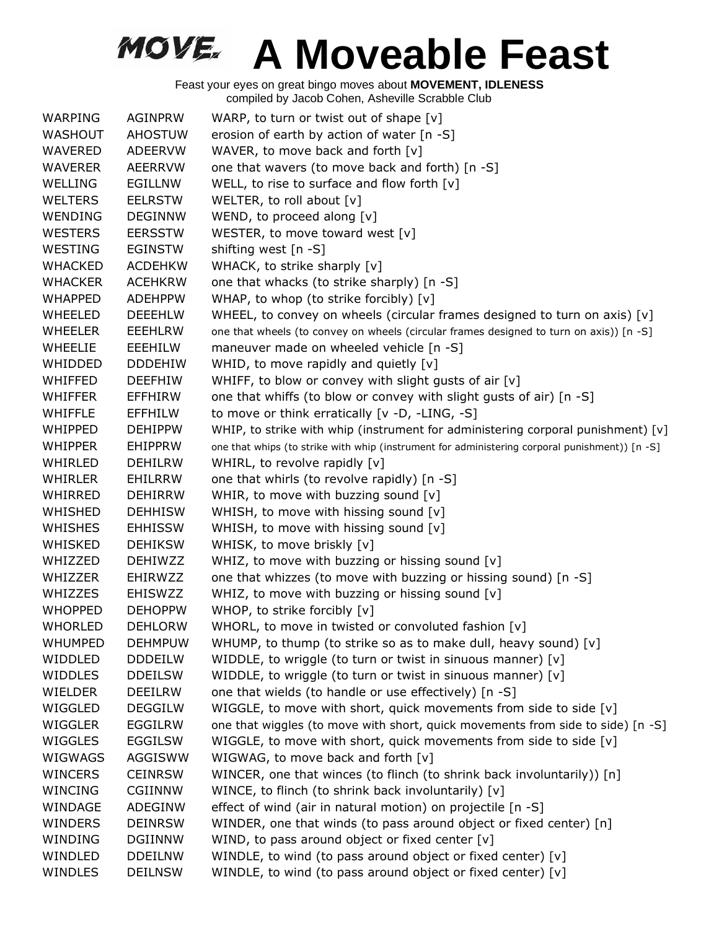| <b>WARPING</b> | <b>AGINPRW</b> | WARP, to turn or twist out of shape $[v]$                                                      |
|----------------|----------------|------------------------------------------------------------------------------------------------|
| <b>WASHOUT</b> | <b>AHOSTUW</b> | erosion of earth by action of water [n -S]                                                     |
| <b>WAVERED</b> | <b>ADEERVW</b> | WAVER, to move back and forth [v]                                                              |
| <b>WAVERER</b> | <b>AEERRVW</b> | one that wavers (to move back and forth) [n -S]                                                |
| <b>WELLING</b> | <b>EGILLNW</b> | WELL, to rise to surface and flow forth [v]                                                    |
| <b>WELTERS</b> | <b>EELRSTW</b> | WELTER, to roll about [v]                                                                      |
| WENDING        | <b>DEGINNW</b> | WEND, to proceed along [v]                                                                     |
| <b>WESTERS</b> | <b>EERSSTW</b> | WESTER, to move toward west [v]                                                                |
| WESTING        | <b>EGINSTW</b> | shifting west [n -S]                                                                           |
| <b>WHACKED</b> | <b>ACDEHKW</b> | WHACK, to strike sharply [v]                                                                   |
| <b>WHACKER</b> | <b>ACEHKRW</b> | one that whacks (to strike sharply) [n -S]                                                     |
| <b>WHAPPED</b> | <b>ADEHPPW</b> | WHAP, to whop (to strike forcibly) [v]                                                         |
| <b>WHEELED</b> | <b>DEEEHLW</b> | WHEEL, to convey on wheels (circular frames designed to turn on axis) $[v]$                    |
| WHEELER        | <b>EEEHLRW</b> | one that wheels (to convey on wheels (circular frames designed to turn on axis)) [n -S]        |
| <b>WHEELIE</b> | EEEHILW        | maneuver made on wheeled vehicle [n -S]                                                        |
| <b>WHIDDED</b> | <b>DDDEHIW</b> | WHID, to move rapidly and quietly [v]                                                          |
| WHIFFED        | <b>DEEFHIW</b> | WHIFF, to blow or convey with slight gusts of air [v]                                          |
| WHIFFER        | EFFHIRW        | one that whiffs (to blow or convey with slight gusts of air) [n -S]                            |
| <b>WHIFFLE</b> | <b>EFFHILW</b> | to move or think erratically [v -D, -LING, -S]                                                 |
| WHIPPED        | <b>DEHIPPW</b> | WHIP, to strike with whip (instrument for administering corporal punishment) [v]               |
| <b>WHIPPER</b> | <b>EHIPPRW</b> | one that whips (to strike with whip (instrument for administering corporal punishment)) [n -S] |
| WHIRLED        | <b>DEHILRW</b> | WHIRL, to revolve rapidly [v]                                                                  |
| WHIRLER        | EHILRRW        | one that whirls (to revolve rapidly) [n -S]                                                    |
| WHIRRED        | <b>DEHIRRW</b> | WHIR, to move with buzzing sound [v]                                                           |
| WHISHED        | <b>DEHHISW</b> | WHISH, to move with hissing sound [v]                                                          |
| <b>WHISHES</b> | <b>EHHISSW</b> | WHISH, to move with hissing sound [v]                                                          |
| WHISKED        | <b>DEHIKSW</b> | WHISK, to move briskly [v]                                                                     |
| WHIZZED        | <b>DEHIWZZ</b> | WHIZ, to move with buzzing or hissing sound [v]                                                |
| WHIZZER        | EHIRWZZ        | one that whizzes (to move with buzzing or hissing sound) [n -S]                                |
| WHIZZES        | <b>EHISWZZ</b> | WHIZ, to move with buzzing or hissing sound [v]                                                |
| <b>WHOPPED</b> | <b>DEHOPPW</b> | WHOP, to strike forcibly [v]                                                                   |
| <b>WHORLED</b> | <b>DEHLORW</b> | WHORL, to move in twisted or convoluted fashion [v]                                            |
| <b>WHUMPED</b> | <b>DEHMPUW</b> | WHUMP, to thump (to strike so as to make dull, heavy sound) [v]                                |
| WIDDLED        | <b>DDDEILW</b> | WIDDLE, to wriggle (to turn or twist in sinuous manner) [v]                                    |
| <b>WIDDLES</b> | <b>DDEILSW</b> | WIDDLE, to wriggle (to turn or twist in sinuous manner) [v]                                    |
| WIELDER        | <b>DEEILRW</b> | one that wields (to handle or use effectively) [n -S]                                          |
| WIGGLED        | <b>DEGGILW</b> | WIGGLE, to move with short, quick movements from side to side [v]                              |
| <b>WIGGLER</b> | <b>EGGILRW</b> | one that wiggles (to move with short, quick movements from side to side) [n -S]                |
| WIGGLES        | <b>EGGILSW</b> | WIGGLE, to move with short, quick movements from side to side [v]                              |
| WIGWAGS        | AGGISWW        | WIGWAG, to move back and forth [v]                                                             |
| <b>WINCERS</b> | <b>CEINRSW</b> | WINCER, one that winces (to flinch (to shrink back involuntarily)) [n]                         |
| WINCING        | <b>CGIINNW</b> | WINCE, to flinch (to shrink back involuntarily) [v]                                            |
| WINDAGE        | <b>ADEGINW</b> | effect of wind (air in natural motion) on projectile [n -S]                                    |
| WINDERS        | <b>DEINRSW</b> | WINDER, one that winds (to pass around object or fixed center) [n]                             |
| WINDING        | <b>DGIINNW</b> | WIND, to pass around object or fixed center [v]                                                |
| WINDLED        | <b>DDEILNW</b> | WINDLE, to wind (to pass around object or fixed center) [v]                                    |
| WINDLES        | <b>DEILNSW</b> | WINDLE, to wind (to pass around object or fixed center) [v]                                    |